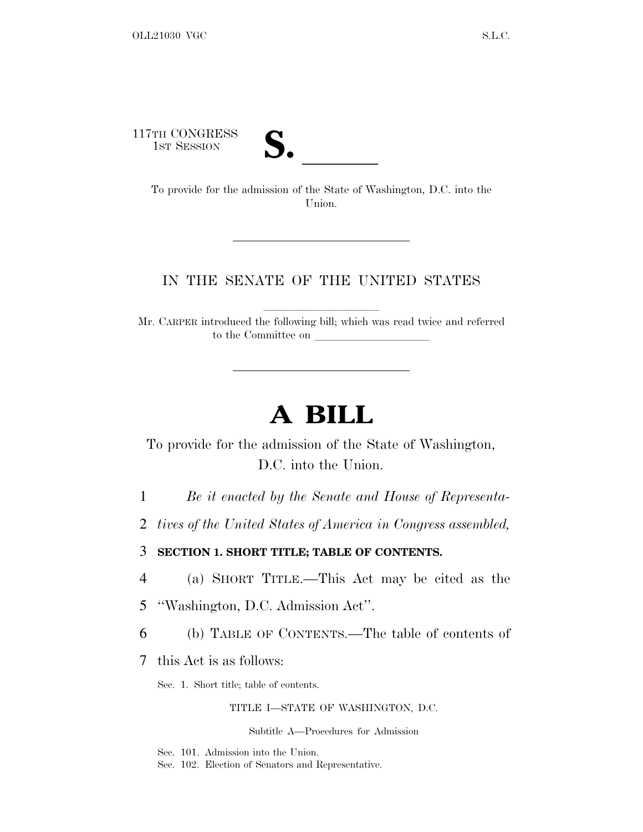117TH CONGRESS

TH CONGRESS<br>
1ST SESSION<br>
To provide for the admission of the State of Washington, D.C. into the Union.

## IN THE SENATE OF THE UNITED STATES

Mr. CARPER introduced the following bill; which was read twice and referred to the Committee on

# **A BILL**

To provide for the admission of the State of Washington, D.C. into the Union.

1 *Be it enacted by the Senate and House of Representa-*

2 *tives of the United States of America in Congress assembled,*

3 **SECTION 1. SHORT TITLE; TABLE OF CONTENTS.**

4 (a) SHORT TITLE.—This Act may be cited as the

- 5 ''Washington, D.C. Admission Act''.
- 6 (b) TABLE OF CONTENTS.—The table of contents of

7 this Act is as follows:

Sec. 1. Short title; table of contents.

TITLE I—STATE OF WASHINGTON, D.C.

Subtitle A—Procedures for Admission

Sec. 101. Admission into the Union.

Sec. 102. Election of Senators and Representative.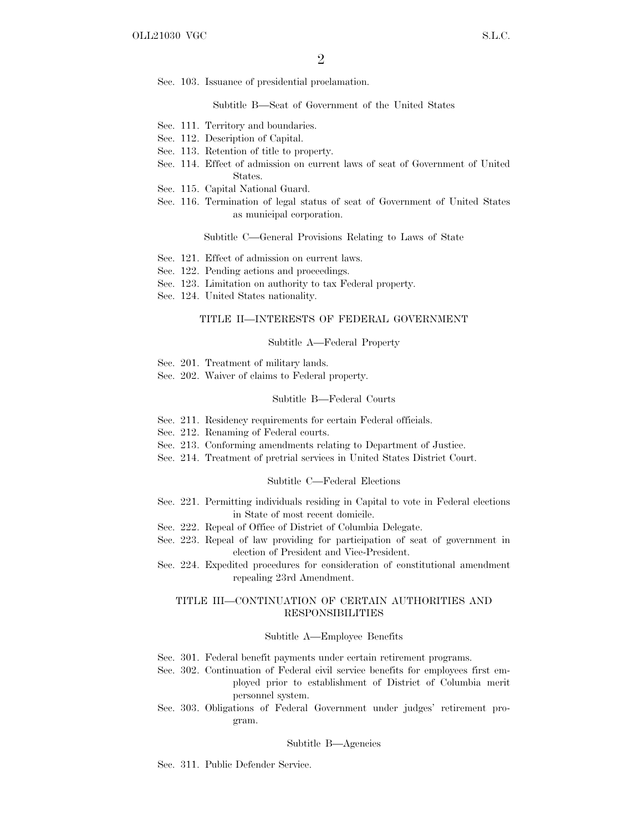Sec. 103. Issuance of presidential proclamation.

Subtitle B—Seat of Government of the United States

- Sec. 111. Territory and boundaries.
- Sec. 112. Description of Capital.
- Sec. 113. Retention of title to property.
- Sec. 114. Effect of admission on current laws of seat of Government of United States.
- Sec. 115. Capital National Guard.
- Sec. 116. Termination of legal status of seat of Government of United States as municipal corporation.

#### Subtitle C—General Provisions Relating to Laws of State

- Sec. 121. Effect of admission on current laws.
- Sec. 122. Pending actions and proceedings.
- Sec. 123. Limitation on authority to tax Federal property.
- Sec. 124. United States nationality.

#### TITLE II—INTERESTS OF FEDERAL GOVERNMENT

#### Subtitle A—Federal Property

- Sec. 201. Treatment of military lands.
- Sec. 202. Waiver of claims to Federal property.

#### Subtitle B—Federal Courts

- Sec. 211. Residency requirements for certain Federal officials.
- Sec. 212. Renaming of Federal courts.
- Sec. 213. Conforming amendments relating to Department of Justice.
- Sec. 214. Treatment of pretrial services in United States District Court.

#### Subtitle C—Federal Elections

- Sec. 221. Permitting individuals residing in Capital to vote in Federal elections in State of most recent domicile.
- Sec. 222. Repeal of Office of District of Columbia Delegate.
- Sec. 223. Repeal of law providing for participation of seat of government in election of President and Vice-President.
- Sec. 224. Expedited procedures for consideration of constitutional amendment repealing 23rd Amendment.

#### TITLE III—CONTINUATION OF CERTAIN AUTHORITIES AND RESPONSIBILITIES

#### Subtitle A—Employee Benefits

- Sec. 301. Federal benefit payments under certain retirement programs.
- Sec. 302. Continuation of Federal civil service benefits for employees first employed prior to establishment of District of Columbia merit personnel system.
- Sec. 303. Obligations of Federal Government under judges' retirement program.

#### Subtitle B—Agencies

Sec. 311. Public Defender Service.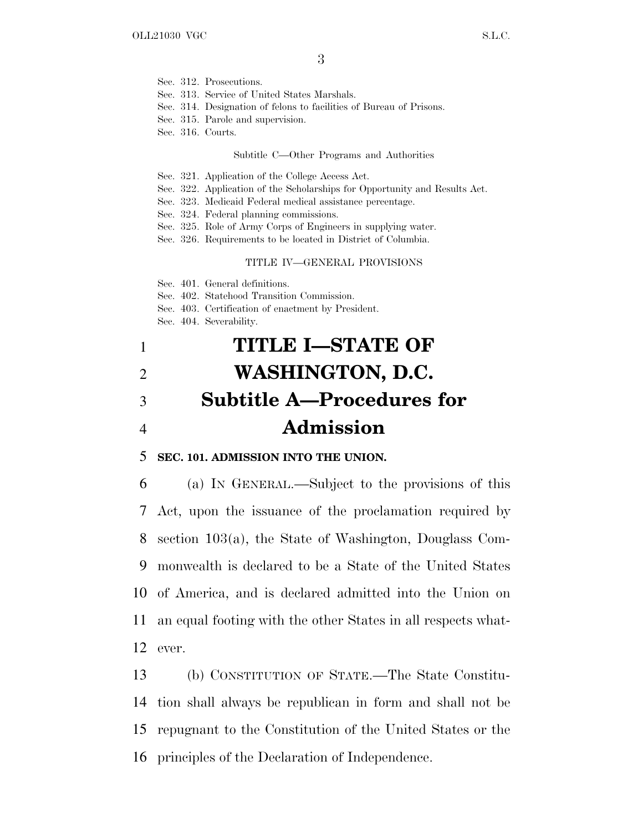- Sec. 312. Prosecutions.
- Sec. 313. Service of United States Marshals.
- Sec. 314. Designation of felons to facilities of Bureau of Prisons.
- Sec. 315. Parole and supervision.
- Sec. 316. Courts.

#### Subtitle C—Other Programs and Authorities

- Sec. 321. Application of the College Access Act.
- Sec. 322. Application of the Scholarships for Opportunity and Results Act.
- Sec. 323. Medicaid Federal medical assistance percentage.
- Sec. 324. Federal planning commissions.
- Sec. 325. Role of Army Corps of Engineers in supplying water.
- Sec. 326. Requirements to be located in District of Columbia.

#### TITLE IV—GENERAL PROVISIONS

Sec. 401. General definitions.

- Sec. 402. Statehood Transition Commission.
- Sec. 403. Certification of enactment by President.
- Sec. 404. Severability.

# 1 **TITLE I—STATE OF** 2 **WASHINGTON, D.C.** 3 **Subtitle A—Procedures for** 4 **Admission**

### 5 **SEC. 101. ADMISSION INTO THE UNION.**

 (a) I<sup>N</sup> GENERAL.—Subject to the provisions of this Act, upon the issuance of the proclamation required by section 103(a), the State of Washington, Douglass Com- monwealth is declared to be a State of the United States of America, and is declared admitted into the Union on an equal footing with the other States in all respects what-12 ever.

 (b) CONSTITUTION OF STATE.—The State Constitu- tion shall always be republican in form and shall not be repugnant to the Constitution of the United States or the principles of the Declaration of Independence.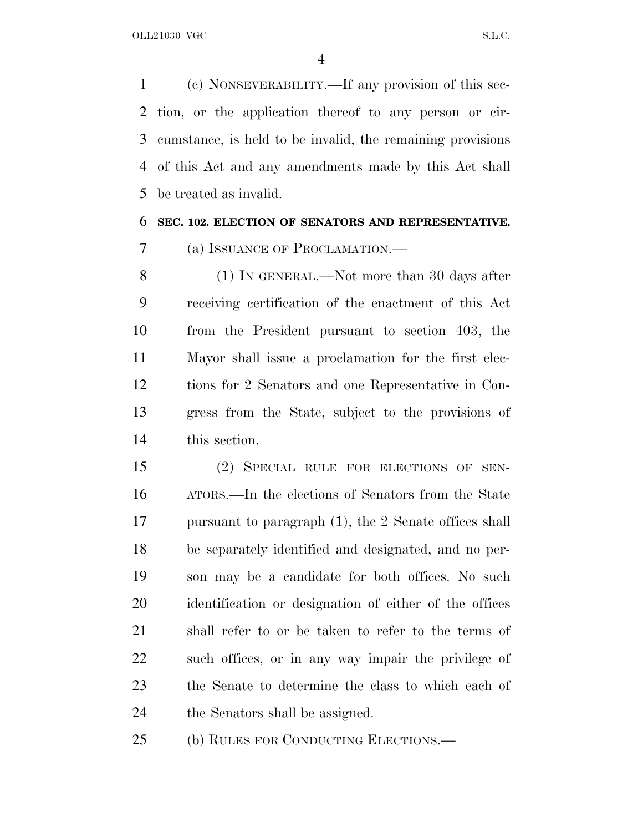(c) NONSEVERABILITY.—If any provision of this sec- tion, or the application thereof to any person or cir- cumstance, is held to be invalid, the remaining provisions of this Act and any amendments made by this Act shall be treated as invalid.

### **SEC. 102. ELECTION OF SENATORS AND REPRESENTATIVE.**

(a) ISSUANCE OF PROCLAMATION.—

 (1) IN GENERAL.—Not more than 30 days after receiving certification of the enactment of this Act from the President pursuant to section 403, the Mayor shall issue a proclamation for the first elec- tions for 2 Senators and one Representative in Con- gress from the State, subject to the provisions of this section.

 (2) SPECIAL RULE FOR ELECTIONS OF SEN- ATORS.—In the elections of Senators from the State pursuant to paragraph (1), the 2 Senate offices shall be separately identified and designated, and no per- son may be a candidate for both offices. No such identification or designation of either of the offices shall refer to or be taken to refer to the terms of such offices, or in any way impair the privilege of the Senate to determine the class to which each of the Senators shall be assigned.

(b) RULES FOR CONDUCTING ELECTIONS.—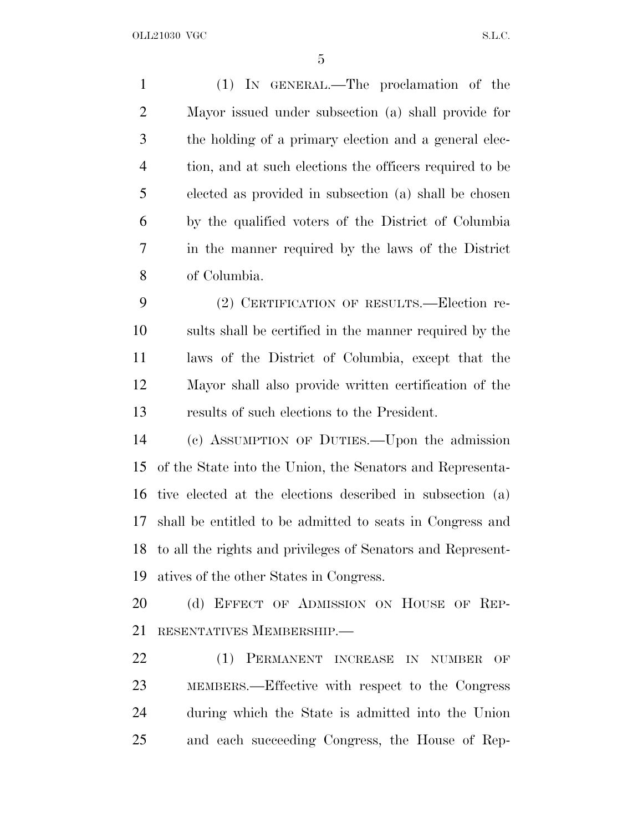(1) IN GENERAL.—The proclamation of the Mayor issued under subsection (a) shall provide for the holding of a primary election and a general elec- tion, and at such elections the officers required to be elected as provided in subsection (a) shall be chosen by the qualified voters of the District of Columbia in the manner required by the laws of the District of Columbia. (2) CERTIFICATION OF RESULTS.—Election re-

 sults shall be certified in the manner required by the laws of the District of Columbia, except that the Mayor shall also provide written certification of the results of such elections to the President.

 (c) ASSUMPTION OF DUTIES.—Upon the admission of the State into the Union, the Senators and Representa- tive elected at the elections described in subsection (a) shall be entitled to be admitted to seats in Congress and to all the rights and privileges of Senators and Represent-atives of the other States in Congress.

20 (d) EFFECT OF ADMISSION ON HOUSE OF REP-RESENTATIVES MEMBERSHIP.—

22 (1) PERMANENT INCREASE IN NUMBER OF MEMBERS.—Effective with respect to the Congress during which the State is admitted into the Union and each succeeding Congress, the House of Rep-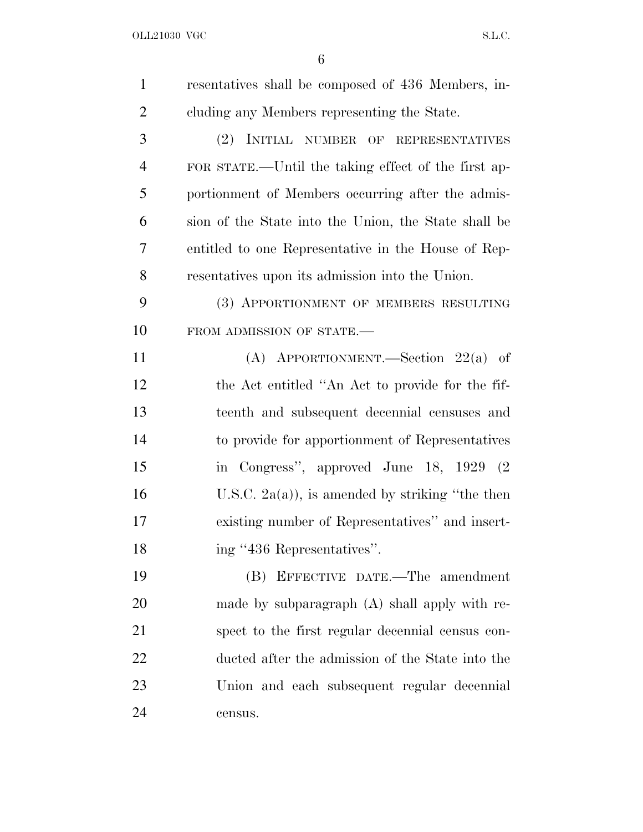| $\mathbf{1}$   | resentatives shall be composed of 436 Members, in-   |
|----------------|------------------------------------------------------|
| $\overline{2}$ | cluding any Members representing the State.          |
| 3              | (2) INITIAL NUMBER OF REPRESENTATIVES                |
| $\overline{4}$ | FOR STATE.—Until the taking effect of the first ap-  |
| 5              | portionment of Members occurring after the admis-    |
| 6              | sion of the State into the Union, the State shall be |
| 7              | entitled to one Representative in the House of Rep-  |
| 8              | resentatives upon its admission into the Union.      |
| 9              | (3) APPORTIONMENT OF MEMBERS RESULTING               |
| 10             | FROM ADMISSION OF STATE.-                            |
| 11             | (A) APPORTIONMENT.—Section $22(a)$ of                |
| 12             | the Act entitled "An Act to provide for the fif-     |
| 13             | teenth and subsequent decennial censuses and         |
| 14             | to provide for apportionment of Representatives      |
| 15             | in Congress", approved June 18, 1929 (2)             |
| 16             | U.S.C. 2a(a)), is amended by striking "the then      |
| 17             | existing number of Representatives" and insert-      |
| 18             | ing "436 Representatives".                           |
| 19             | (B) EFFECTIVE DATE.—The amendment                    |
| 20             | made by subparagraph $(A)$ shall apply with re-      |
| 21             | spect to the first regular decennial census con-     |
| 22             | ducted after the admission of the State into the     |
| 23             | Union and each subsequent regular decennial          |
| 24             | census.                                              |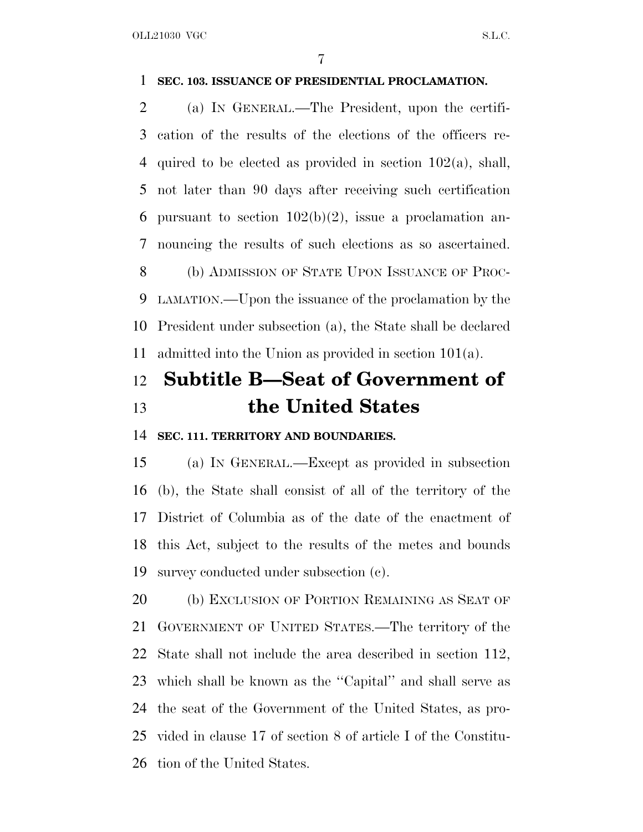## **SEC. 103. ISSUANCE OF PRESIDENTIAL PROCLAMATION.**

 (a) I<sup>N</sup> GENERAL.—The President, upon the certifi- cation of the results of the elections of the officers re-4 quired to be elected as provided in section  $102(a)$ , shall, not later than 90 days after receiving such certification 6 pursuant to section  $102(b)(2)$ , issue a proclamation an- nouncing the results of such elections as so ascertained. 8 (b) ADMISSION OF STATE UPON ISSUANCE OF PROC- LAMATION.—Upon the issuance of the proclamation by the President under subsection (a), the State shall be declared admitted into the Union as provided in section 101(a).

## **Subtitle B—Seat of Government of the United States**

### **SEC. 111. TERRITORY AND BOUNDARIES.**

 (a) I<sup>N</sup> GENERAL.—Except as provided in subsection (b), the State shall consist of all of the territory of the District of Columbia as of the date of the enactment of this Act, subject to the results of the metes and bounds survey conducted under subsection (c).

20 (b) EXCLUSION OF PORTION REMAINING AS SEAT OF GOVERNMENT OF UNITED STATES.—The territory of the State shall not include the area described in section 112, which shall be known as the ''Capital'' and shall serve as the seat of the Government of the United States, as pro- vided in clause 17 of section 8 of article I of the Constitu-tion of the United States.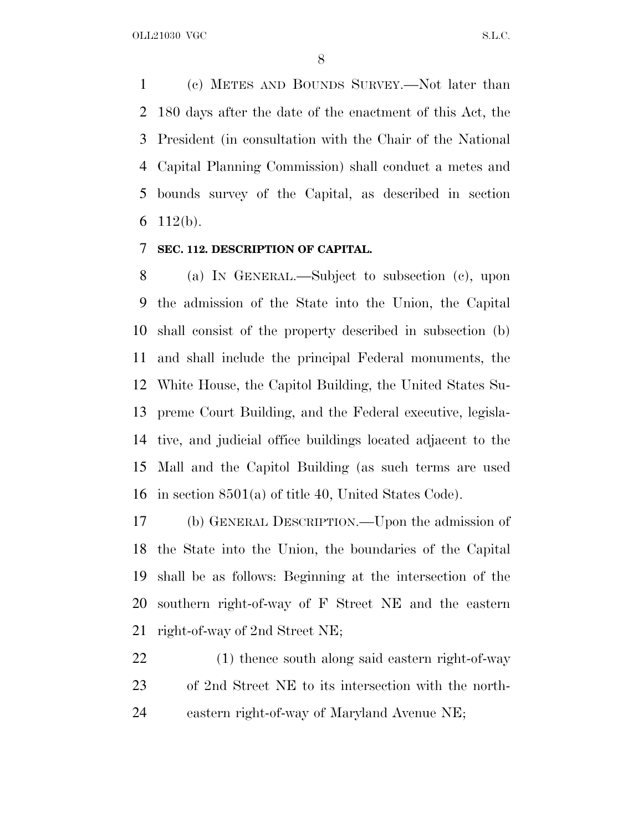(c) METES AND BOUNDS SURVEY.—Not later than 180 days after the date of the enactment of this Act, the President (in consultation with the Chair of the National Capital Planning Commission) shall conduct a metes and bounds survey of the Capital, as described in section 6 112(b).

## **SEC. 112. DESCRIPTION OF CAPITAL.**

 (a) I<sup>N</sup> GENERAL.—Subject to subsection (c), upon the admission of the State into the Union, the Capital shall consist of the property described in subsection (b) and shall include the principal Federal monuments, the White House, the Capitol Building, the United States Su- preme Court Building, and the Federal executive, legisla- tive, and judicial office buildings located adjacent to the Mall and the Capitol Building (as such terms are used in section 8501(a) of title 40, United States Code).

 (b) GENERAL DESCRIPTION.—Upon the admission of the State into the Union, the boundaries of the Capital shall be as follows: Beginning at the intersection of the southern right-of-way of F Street NE and the eastern right-of-way of 2nd Street NE;

 (1) thence south along said eastern right-of-way of 2nd Street NE to its intersection with the north-eastern right-of-way of Maryland Avenue NE;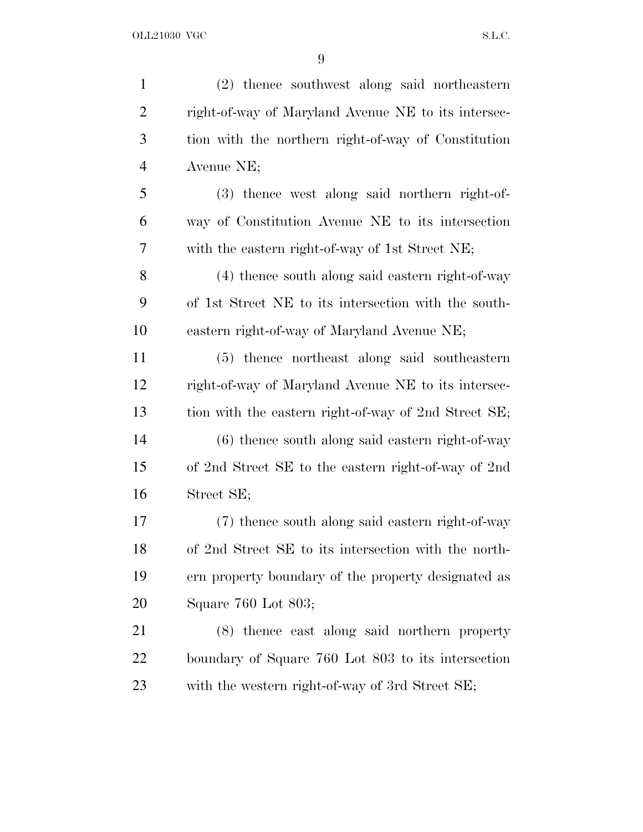| $\mathbf{1}$   | (2) thence southwest along said northeastern         |
|----------------|------------------------------------------------------|
| $\overline{2}$ | right-of-way of Maryland Avenue NE to its intersec-  |
| 3              | tion with the northern right-of-way of Constitution  |
| $\overline{4}$ | Avenue NE;                                           |
| 5              | (3) thence west along said northern right-of-        |
| 6              | way of Constitution Avenue NE to its intersection    |
| 7              | with the eastern right-of-way of 1st Street NE;      |
| 8              | (4) thence south along said eastern right-of-way     |
| 9              | of 1st Street NE to its intersection with the south- |
| 10             | eastern right-of-way of Maryland Avenue NE;          |
| 11             | (5) thence northeast along said southeastern         |
| 12             | right-of-way of Maryland Avenue NE to its intersec-  |
| 13             | tion with the eastern right-of-way of 2nd Street SE; |
| 14             | $(6)$ thence south along said eastern right-of-way   |
| 15             | of 2nd Street SE to the eastern right-of-way of 2nd  |
| 16             | Street SE;                                           |
| 17             | (7) thence south along said eastern right-of-way     |
| 18             | of 2nd Street SE to its intersection with the north- |
| 19             | ern property boundary of the property designated as  |
| 20             | Square 760 Lot 803;                                  |
| 21             | (8) thence east along said northern property         |
| 22             | boundary of Square 760 Lot 803 to its intersection   |
| 23             | with the western right-of-way of 3rd Street SE;      |
|                |                                                      |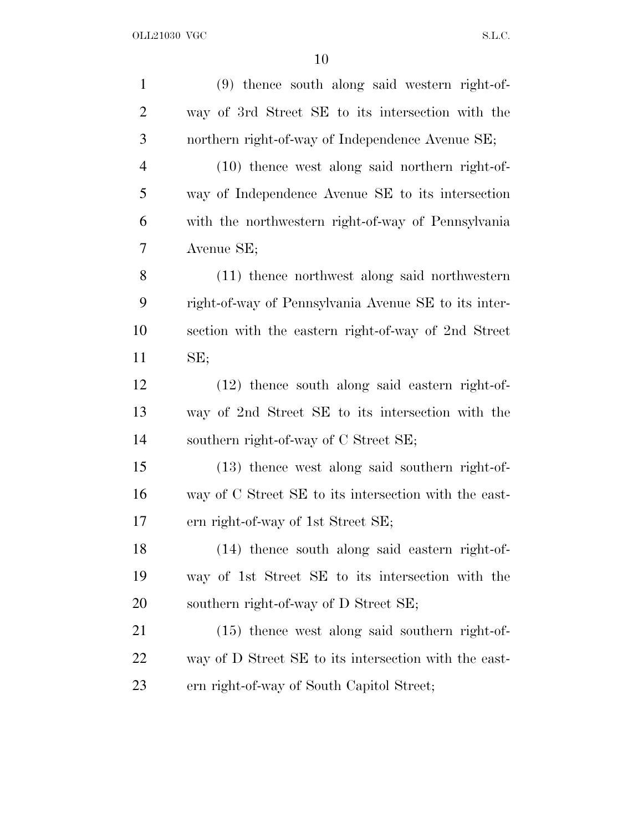| $\mathbf{1}$   | (9) thence south along said western right-of-         |
|----------------|-------------------------------------------------------|
| $\overline{2}$ | way of 3rd Street SE to its intersection with the     |
| 3              | northern right-of-way of Independence Avenue SE;      |
| $\overline{4}$ | $(10)$ thence west along said northern right-of-      |
| 5              | way of Independence Avenue SE to its intersection     |
| 6              | with the northwestern right-of-way of Pennsylvania    |
| 7              | Avenue SE;                                            |
| 8              | (11) thence northwest along said northwestern         |
| 9              | right-of-way of Pennsylvania Avenue SE to its inter-  |
| 10             | section with the eastern right-of-way of 2nd Street   |
| 11             | SE;                                                   |
| 12             | $(12)$ thence south along said eastern right-of-      |
| 13             | way of 2nd Street SE to its intersection with the     |
| 14             | southern right-of-way of C Street SE;                 |
| 15             | $(13)$ thence west along said southern right-of-      |
| 16             | way of C Street SE to its intersection with the east- |
| 17             | ern right-of-way of 1st Street SE;                    |
| 18             | $(14)$ thence south along said eastern right-of-      |
| 19             | way of 1st Street SE to its intersection with the     |
| 20             | southern right-of-way of D Street SE;                 |
| 21             | $(15)$ thence west along said southern right-of-      |
| 22             | way of D Street SE to its intersection with the east- |
| 23             | ern right-of-way of South Capitol Street;             |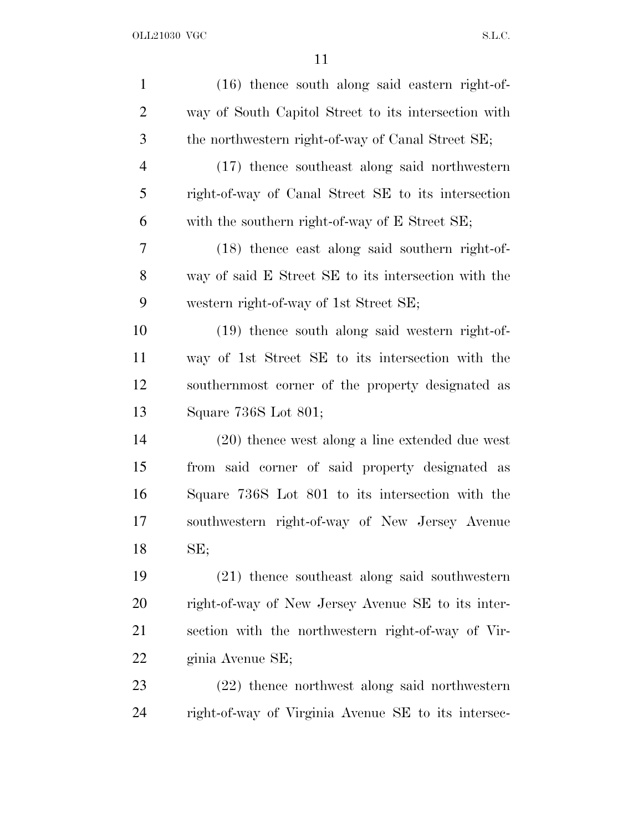| $\mathbf{1}$   | $(16)$ thence south along said eastern right-of-     |
|----------------|------------------------------------------------------|
| $\overline{2}$ | way of South Capitol Street to its intersection with |
| 3              | the northwestern right-of-way of Canal Street SE;    |
| 4              | (17) thence southeast along said northwestern        |
| 5              | right-of-way of Canal Street SE to its intersection  |
| 6              | with the southern right-of-way of E Street SE;       |
| 7              | (18) thence east along said southern right-of-       |
| 8              | way of said E Street SE to its intersection with the |
| 9              | western right-of-way of 1st Street SE;               |
| 10             | (19) thence south along said western right-of-       |
| 11             | way of 1st Street SE to its intersection with the    |
| 12             | southernmost corner of the property designated as    |
| 13             | Square 736S Lot 801;                                 |
| 14             | $(20)$ thence west along a line extended due west    |
| 15             | from said corner of said property designated as      |
| 16             | Square 736S Lot 801 to its intersection with the     |
| 17             | southwestern right-of-way of New Jersey Avenue       |
| 18             | SE;                                                  |
| 19             | (21) thence southeast along said southwestern        |
| 20             | right-of-way of New Jersey Avenue SE to its inter-   |
| 21             | section with the northwestern right-of-way of Vir-   |
| 22             | ginia Avenue SE;                                     |
| 23             | (22) thence northwest along said northwestern        |
| 24             | right-of-way of Virginia Avenue SE to its intersec-  |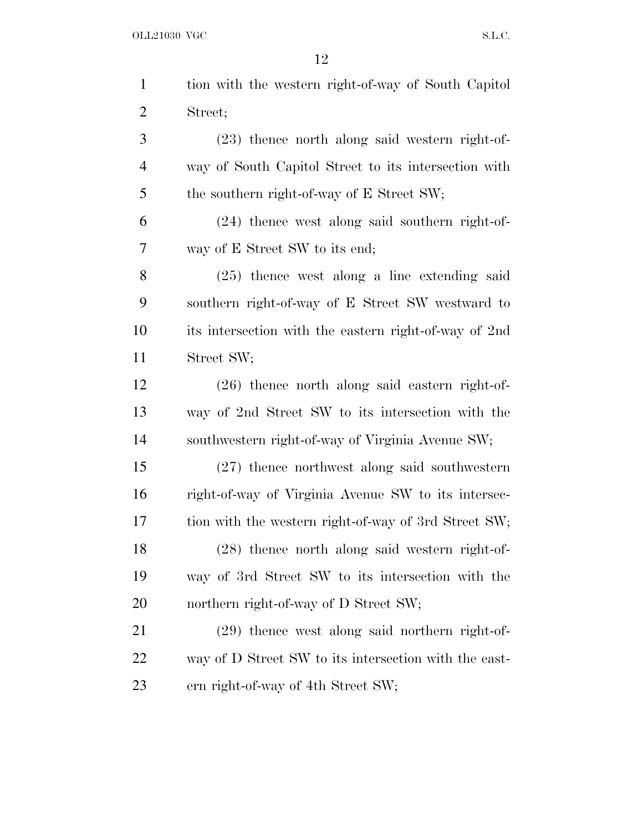|                | 12                                                    |
|----------------|-------------------------------------------------------|
| $\mathbf{1}$   | tion with the western right-of-way of South Capitol   |
| $\overline{2}$ | Street;                                               |
| 3              | $(23)$ thence north along said western right-of-      |
| $\overline{4}$ | way of South Capitol Street to its intersection with  |
| 5              | the southern right-of-way of E Street SW;             |
| 6              | $(24)$ thence west along said southern right-of-      |
| 7              | way of E Street SW to its end;                        |
| 8              | $(25)$ thence west along a line extending said        |
| 9              | southern right-of-way of E Street SW westward to      |
| 10             | its intersection with the eastern right-of-way of 2nd |
| 11             | Street SW;                                            |
| 12             | $(26)$ thence north along said eastern right-of-      |
| 13             | way of 2nd Street SW to its intersection with the     |
| 14             | southwestern right-of-way of Virginia Avenue SW;      |
| 15             | $(27)$ thence northwest along said southwestern       |
| 16             | right-of-way of Virginia Avenue SW to its intersec-   |
| 17             | tion with the western right-of-way of 3rd Street SW;  |
| 18             | $(28)$ thence north along said western right-of-      |
| 19             | way of 3rd Street SW to its intersection with the     |
| 20             | northern right-of-way of D Street SW;                 |
| 21             | $(29)$ thence west along said northern right-of-      |
| 22             | way of D Street SW to its intersection with the east- |
| 23             | ern right-of-way of 4th Street SW;                    |
|                |                                                       |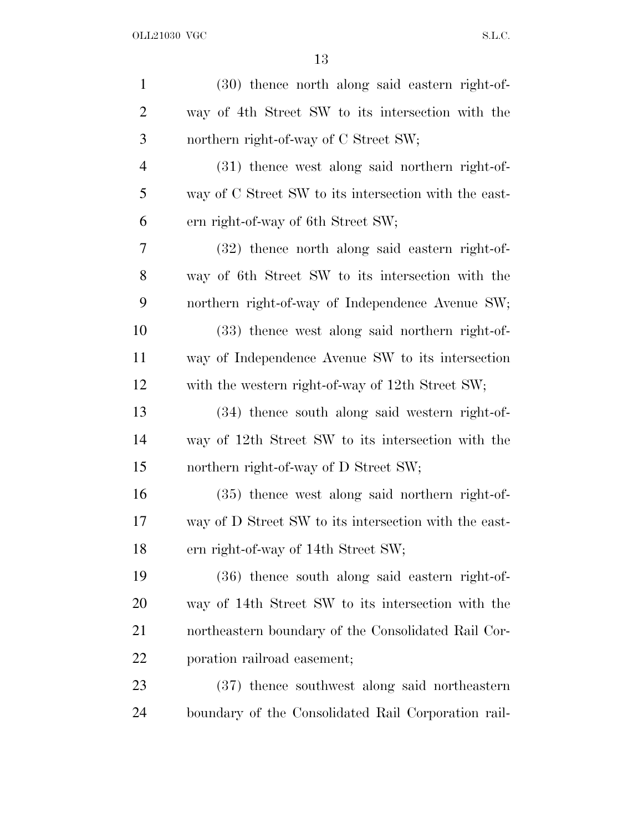| $\mathbf{1}$   | (30) thence north along said eastern right-of-        |
|----------------|-------------------------------------------------------|
| $\overline{2}$ | way of 4th Street SW to its intersection with the     |
| 3              | northern right-of-way of C Street SW;                 |
| $\overline{4}$ | (31) thence west along said northern right-of-        |
| 5              | way of C Street SW to its intersection with the east- |
| 6              | ern right-of-way of 6th Street SW;                    |
| 7              | (32) thence north along said eastern right-of-        |
| 8              | way of 6th Street SW to its intersection with the     |
| 9              | northern right-of-way of Independence Avenue SW;      |
| 10             | (33) thence west along said northern right-of-        |
| 11             | way of Independence Avenue SW to its intersection     |
| 12             | with the western right-of-way of 12th Street SW;      |
| 13             | (34) thence south along said western right-of-        |
| 14             | way of 12th Street SW to its intersection with the    |
| 15             | northern right-of-way of D Street SW;                 |
| 16             | $(35)$ thence west along said northern right-of-      |
| 17             | way of D Street SW to its intersection with the east- |
| 18             | ern right-of-way of 14th Street SW;                   |
| 19             | $(36)$ thence south along said eastern right-of-      |
| 20             | way of 14th Street SW to its intersection with the    |
| 21             | northeastern boundary of the Consolidated Rail Cor-   |
| 22             | poration railroad easement;                           |
| 23             | (37) thence southwest along said northeastern         |
| 24             | boundary of the Consolidated Rail Corporation rail-   |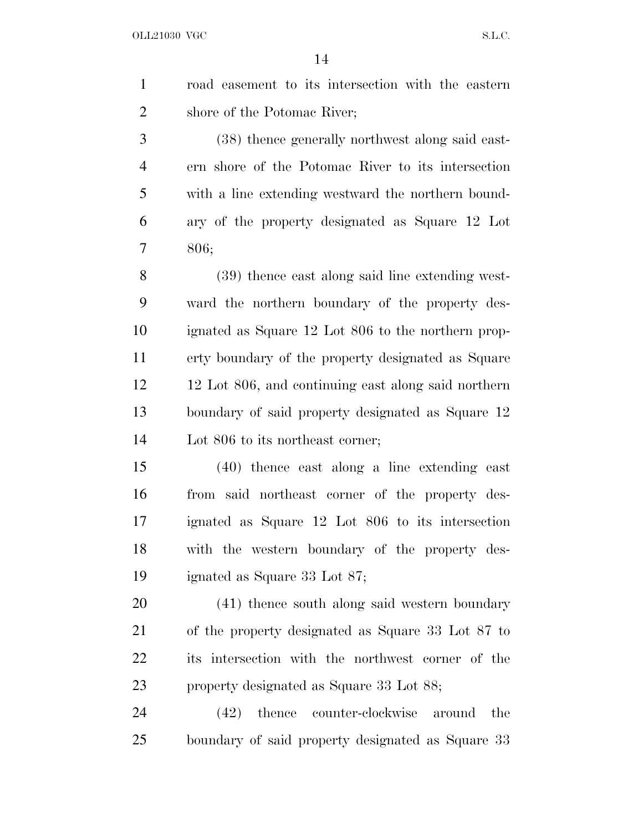| $1 \quad \blacksquare$ | road easement to its intersection with the eastern |
|------------------------|----------------------------------------------------|
| 2                      | shore of the Potomac River;                        |

 (38) thence generally northwest along said east- ern shore of the Potomac River to its intersection with a line extending westward the northern bound- ary of the property designated as Square 12 Lot 806;

 (39) thence east along said line extending west- ward the northern boundary of the property des- ignated as Square 12 Lot 806 to the northern prop- erty boundary of the property designated as Square 12 Lot 806, and continuing east along said northern boundary of said property designated as Square 12 Lot 806 to its northeast corner;

 (40) thence east along a line extending east from said northeast corner of the property des- ignated as Square 12 Lot 806 to its intersection with the western boundary of the property des-ignated as Square 33 Lot 87;

 (41) thence south along said western boundary of the property designated as Square 33 Lot 87 to its intersection with the northwest corner of the property designated as Square 33 Lot 88;

 (42) thence counter-clockwise around the boundary of said property designated as Square 33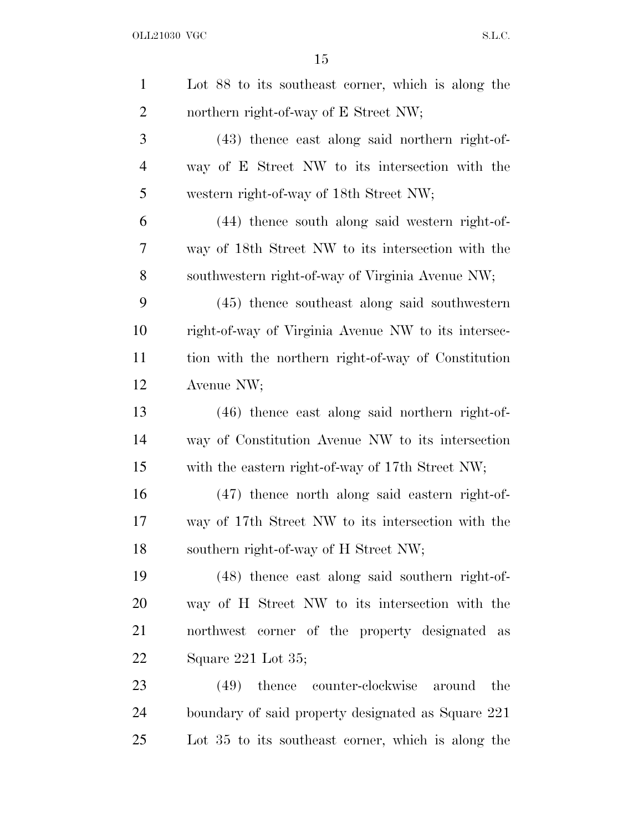| $\mathbf{1}$   | Lot 88 to its southeast corner, which is along the   |
|----------------|------------------------------------------------------|
| $\overline{2}$ | northern right-of-way of E Street NW;                |
| 3              | $(43)$ thence east along said northern right-of-     |
| $\overline{4}$ | way of E Street NW to its intersection with the      |
| 5              | western right-of-way of 18th Street NW;              |
| 6              | (44) thence south along said western right-of-       |
| 7              | way of 18th Street NW to its intersection with the   |
| 8              | southwestern right-of-way of Virginia Avenue NW;     |
| 9              | $(45)$ thence southeast along said southwestern      |
| 10             | right-of-way of Virginia Avenue NW to its intersec-  |
| 11             | tion with the northern right-of-way of Constitution  |
| 12             | Avenue NW;                                           |
| 13             | $(46)$ thence east along said northern right-of-     |
| 14             | way of Constitution Avenue NW to its intersection    |
| 15             | with the eastern right-of-way of 17th Street NW;     |
| 16             | (47) thence north along said eastern right-of-       |
| 17             | way of 17th Street NW to its intersection with the   |
| 18             | southern right-of-way of H Street NW;                |
| 19             | (48) thence east along said southern right-of-       |
| 20             | way of H Street NW to its intersection with the      |
| 21             | northwest corner of the property designated as       |
| <u>22</u>      | Square 221 Lot 35;                                   |
| 23             | thence<br>counter-clockwise<br>the<br>(49)<br>around |
| 24             | boundary of said property designated as Square 221   |
| 25             | Lot 35 to its southeast corner, which is along the   |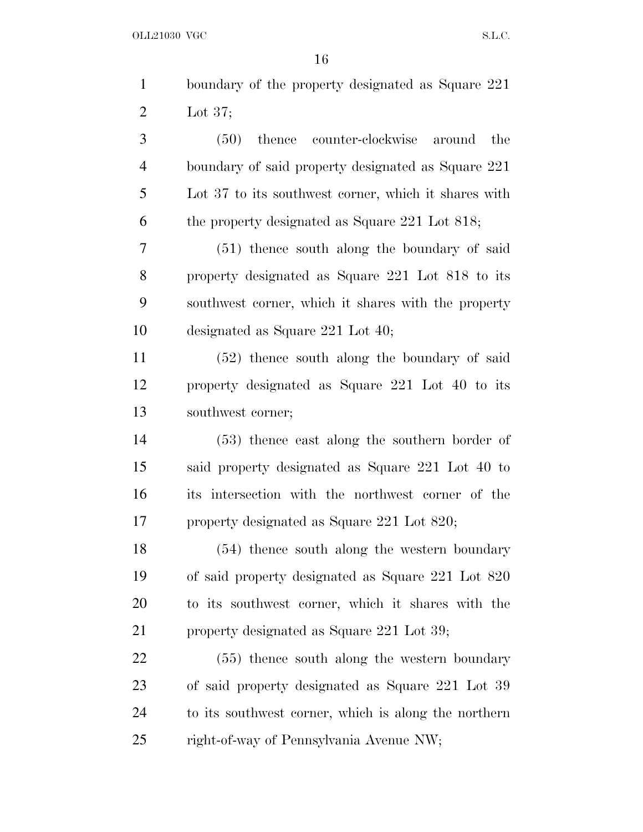|                | 16                                                   |
|----------------|------------------------------------------------------|
| $\mathbf{1}$   | boundary of the property designated as Square 221    |
| $\overline{2}$ | Lot $37$ ;                                           |
| 3              | counter-clockwise<br>thence<br>(50)<br>around<br>the |
| $\overline{4}$ | boundary of said property designated as Square 221   |
| 5              | Lot 37 to its southwest corner, which it shares with |
| 6              | the property designated as Square $221$ Lot $818$ ;  |
| 7              | $(51)$ thence south along the boundary of said       |
| 8              | property designated as Square 221 Lot 818 to its     |
| 9              | southwest corner, which it shares with the property  |
| 10             | designated as Square $221$ Lot $40$ ;                |
| 11             | (52) thence south along the boundary of said         |
| 12             | property designated as Square 221 Lot 40 to its      |
| 13             | southwest corner;                                    |
| 14             | $(53)$ thence east along the southern border of      |
| 15             | said property designated as Square 221 Lot 40 to     |
| 16             | its intersection with the northwest corner of the    |
| 17             | property designated as Square 221 Lot 820;           |
| 18             | (54) thence south along the western boundary         |
| 19             | of said property designated as Square 221 Lot 820    |
| 20             | to its southwest corner, which it shares with the    |
| 21             | property designated as Square 221 Lot 39;            |
| 22             | $(55)$ thence south along the western boundary       |
| 23             | of said property designated as Square 221 Lot 39     |
| 24             | to its southwest corner, which is along the northern |
| 25             | right-of-way of Pennsylvania Avenue NW;              |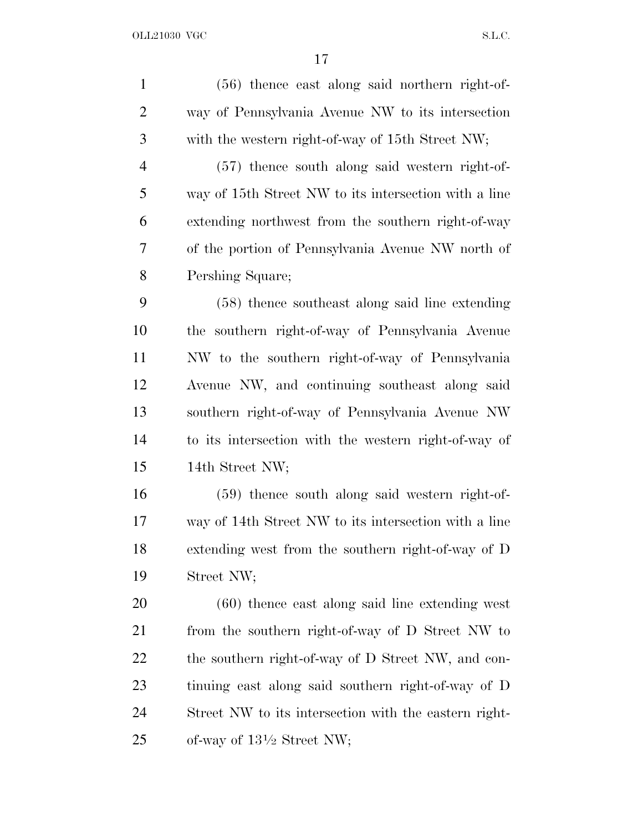(56) thence east along said northern right-of- way of Pennsylvania Avenue NW to its intersection with the western right-of-way of 15th Street NW; (57) thence south along said western right-of- way of 15th Street NW to its intersection with a line extending northwest from the southern right-of-way of the portion of Pennsylvania Avenue NW north of Pershing Square; (58) thence southeast along said line extending the southern right-of-way of Pennsylvania Avenue NW to the southern right-of-way of Pennsylvania Avenue NW, and continuing southeast along said southern right-of-way of Pennsylvania Avenue NW to its intersection with the western right-of-way of 14th Street NW; (59) thence south along said western right-of- way of 14th Street NW to its intersection with a line extending west from the southern right-of-way of D Street NW; (60) thence east along said line extending west from the southern right-of-way of D Street NW to the southern right-of-way of D Street NW, and con- tinuing east along said southern right-of-way of D Street NW to its intersection with the eastern right-25 of-way of  $13\frac{1}{2}$  Street NW;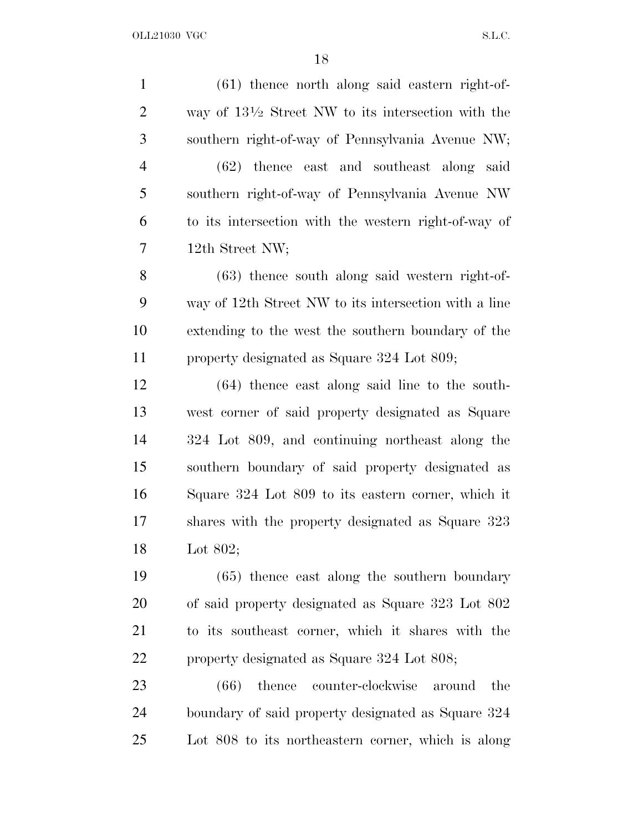(61) thence north along said eastern right-of-2 way of  $13\frac{1}{2}$  Street NW to its intersection with the southern right-of-way of Pennsylvania Avenue NW; (62) thence east and southeast along said southern right-of-way of Pennsylvania Avenue NW to its intersection with the western right-of-way of 12th Street NW; (63) thence south along said western right-of- way of 12th Street NW to its intersection with a line extending to the west the southern boundary of the property designated as Square 324 Lot 809; (64) thence east along said line to the south- west corner of said property designated as Square 324 Lot 809, and continuing northeast along the southern boundary of said property designated as Square 324 Lot 809 to its eastern corner, which it shares with the property designated as Square 323 Lot 802; (65) thence east along the southern boundary of said property designated as Square 323 Lot 802 to its southeast corner, which it shares with the property designated as Square 324 Lot 808; (66) thence counter-clockwise around the boundary of said property designated as Square 324 Lot 808 to its northeastern corner, which is along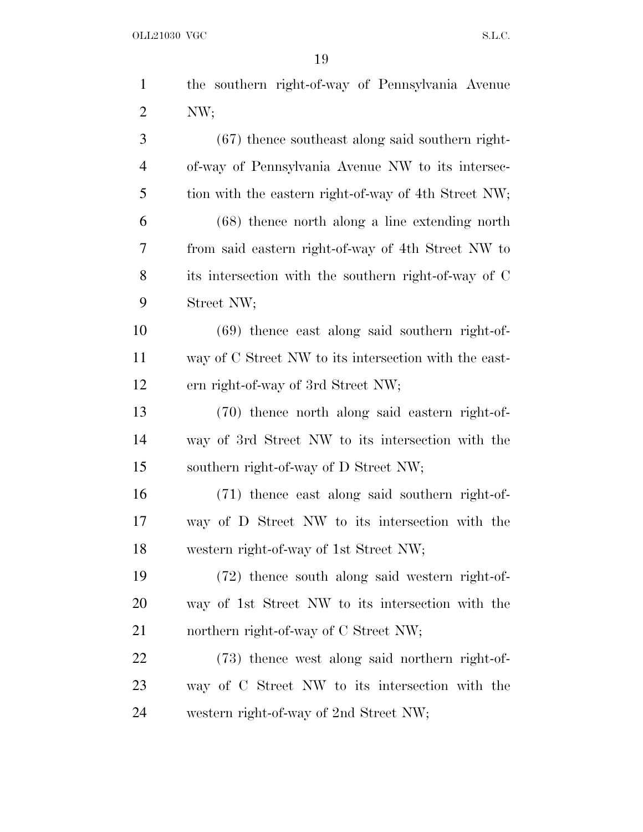| $\mathbf{1}$   | the southern right-of-way of Pennsylvania Avenue      |
|----------------|-------------------------------------------------------|
| $\overline{2}$ | NW;                                                   |
| 3              | $(67)$ thence southeast along said southern right-    |
| $\overline{4}$ | of-way of Pennsylvania Avenue NW to its intersec-     |
| 5              | tion with the eastern right-of-way of 4th Street NW;  |
| 6              | $(68)$ thence north along a line extending north      |
| 7              | from said eastern right-of-way of 4th Street NW to    |
| 8              | its intersection with the southern right-of-way of C  |
| 9              | Street NW;                                            |
| 10             | $(69)$ thence east along said southern right-of-      |
| 11             | way of C Street NW to its intersection with the east- |
| 12             | ern right-of-way of 3rd Street NW;                    |
| 13             | (70) thence north along said eastern right-of-        |
| 14             | way of 3rd Street NW to its intersection with the     |
| 15             | southern right-of-way of D Street NW;                 |
| 16             | (71) thence east along said southern right-of-        |
| 17             | way of D Street NW to its intersection with the       |
| 18             | western right-of-way of 1st Street NW;                |
| 19             | (72) thence south along said western right-of-        |
| 20             | way of 1st Street NW to its intersection with the     |
| 21             | northern right-of-way of C Street NW;                 |
| 22             | (73) thence west along said northern right-of-        |
| 23             | way of C Street NW to its intersection with the       |
| 24             | western right-of-way of 2nd Street NW;                |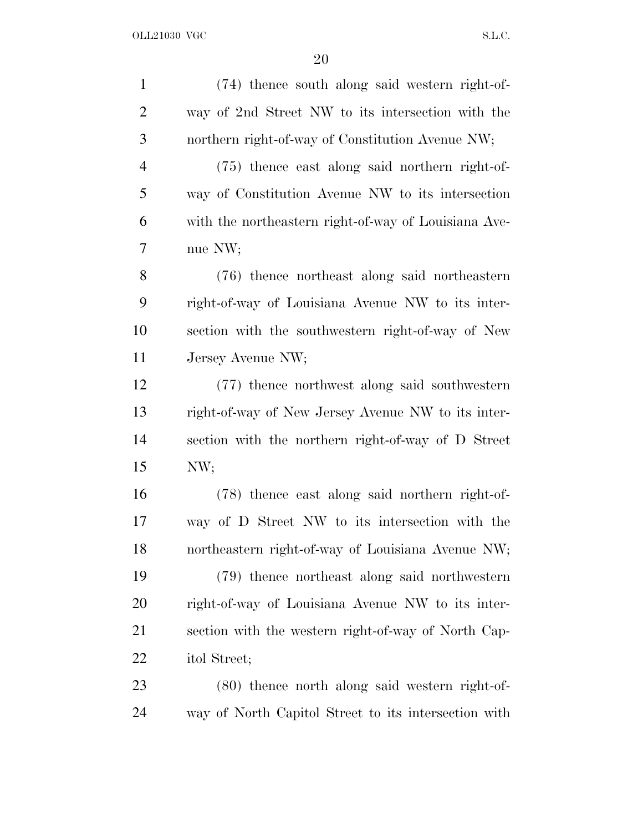| $\mathbf{1}$   | (74) thence south along said western right-of-       |
|----------------|------------------------------------------------------|
| $\overline{2}$ | way of 2nd Street NW to its intersection with the    |
| 3              | northern right-of-way of Constitution Avenue NW;     |
| $\overline{4}$ | (75) thence east along said northern right-of-       |
| 5              | way of Constitution Avenue NW to its intersection    |
| 6              | with the northeastern right-of-way of Louisiana Ave- |
| 7              | nue NW;                                              |
| 8              | (76) thence northeast along said northeastern        |
| 9              | right-of-way of Louisiana Avenue NW to its inter-    |
| 10             | section with the southwestern right-of-way of New    |
| 11             | Jersey Avenue NW;                                    |
| 12             | (77) thence northwest along said southwestern        |
| 13             | right-of-way of New Jersey Avenue NW to its inter-   |
| 14             | section with the northern right-of-way of D Street   |
| 15             | NW;                                                  |
| 16             | (78) thence east along said northern right-of-       |
| 17             | way of D Street NW to its intersection with the      |
| 18             | northeastern right-of-way of Louisiana Avenue NW;    |
| 19             | (79) thence northeast along said northwestern        |
| 20             | right-of-way of Louisiana Avenue NW to its inter-    |
| 21             | section with the western right-of-way of North Cap-  |
| 22             | itol Street;                                         |
| 23             | (80) thence north along said western right-of-       |
| 24             | way of North Capitol Street to its intersection with |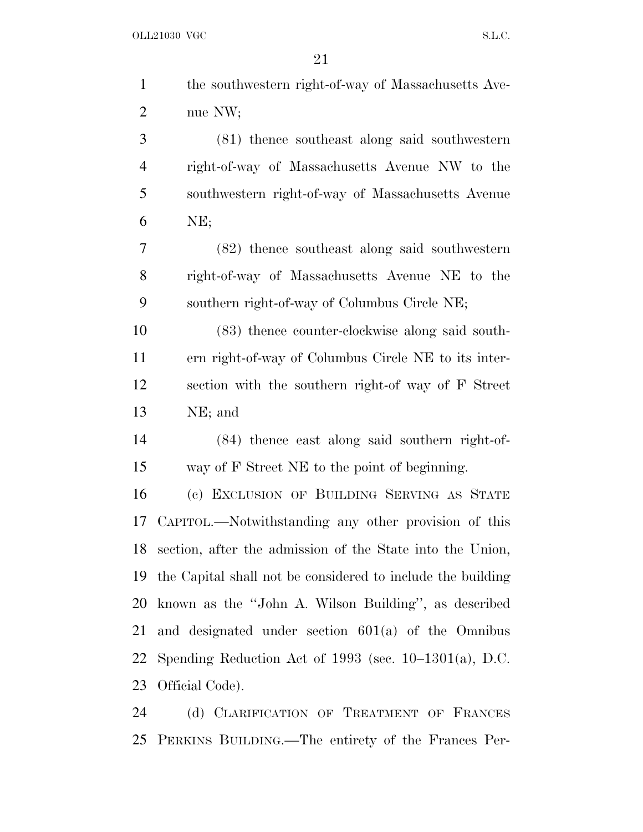| $\mathbf{1}$   | the southwestern right-of-way of Massachusetts Ave-         |
|----------------|-------------------------------------------------------------|
| $\overline{2}$ | nue NW;                                                     |
| 3              | (81) thence southeast along said southwestern               |
| $\overline{4}$ | right-of-way of Massachusetts Avenue NW to the              |
| 5              | southwestern right-of-way of Massachusetts Avenue           |
| 6              | NE;                                                         |
| 7              | (82) thence southeast along said southwestern               |
| 8              | right-of-way of Massachusetts Avenue NE to the              |
| 9              | southern right-of-way of Columbus Circle NE;                |
| 10             | (83) thence counter-clockwise along said south-             |
| 11             | ern right-of-way of Columbus Circle NE to its inter-        |
| 12             | section with the southern right-of way of F Street          |
| 13             | NE; and                                                     |
| 14             | (84) thence east along said southern right-of-              |
| 15             | way of F Street NE to the point of beginning.               |
| 16             | (c) EXCLUSION OF BUILDING SERVING AS STATE                  |
| 17             | CAPITOL.—Notwithstanding any other provision of this        |
| 18             | section, after the admission of the State into the Union,   |
| 19             | the Capital shall not be considered to include the building |
| 20             | known as the "John A. Wilson Building", as described        |
| 21             | and designated under section $601(a)$ of the Omnibus        |
| 22             | Spending Reduction Act of $1993$ (sec. $10-1301(a)$ , D.C.  |
| 23             | Official Code).                                             |
| 24             | (d) CLARIFICATION OF TREATMENT OF FRANCES                   |

PERKINS BUILDING.—The entirety of the Frances Per-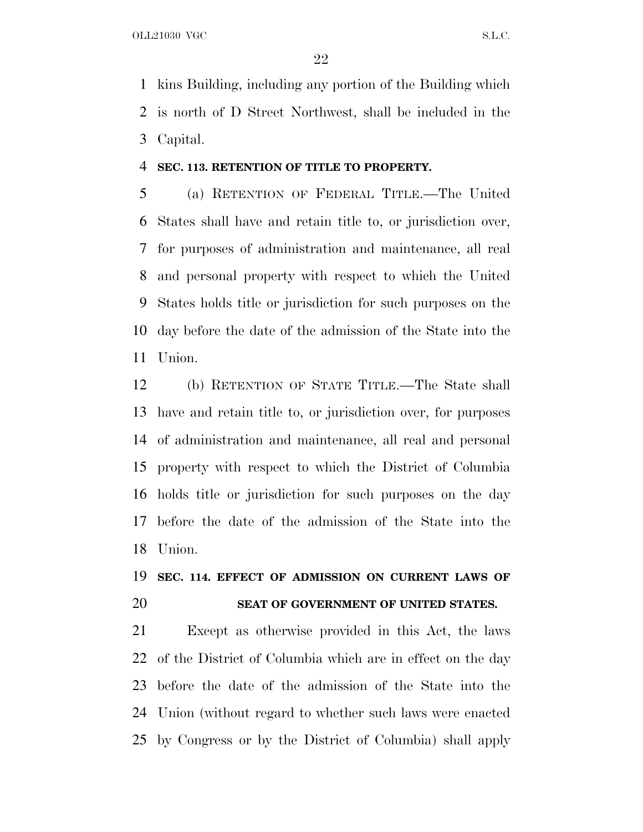kins Building, including any portion of the Building which is north of D Street Northwest, shall be included in the Capital.

### **SEC. 113. RETENTION OF TITLE TO PROPERTY.**

 (a) RETENTION OF FEDERAL TITLE.—The United States shall have and retain title to, or jurisdiction over, for purposes of administration and maintenance, all real and personal property with respect to which the United States holds title or jurisdiction for such purposes on the day before the date of the admission of the State into the Union.

 (b) RETENTION OF STATE TITLE.—The State shall have and retain title to, or jurisdiction over, for purposes of administration and maintenance, all real and personal property with respect to which the District of Columbia holds title or jurisdiction for such purposes on the day before the date of the admission of the State into the Union.

## **SEC. 114. EFFECT OF ADMISSION ON CURRENT LAWS OF SEAT OF GOVERNMENT OF UNITED STATES.**

 Except as otherwise provided in this Act, the laws of the District of Columbia which are in effect on the day before the date of the admission of the State into the Union (without regard to whether such laws were enacted by Congress or by the District of Columbia) shall apply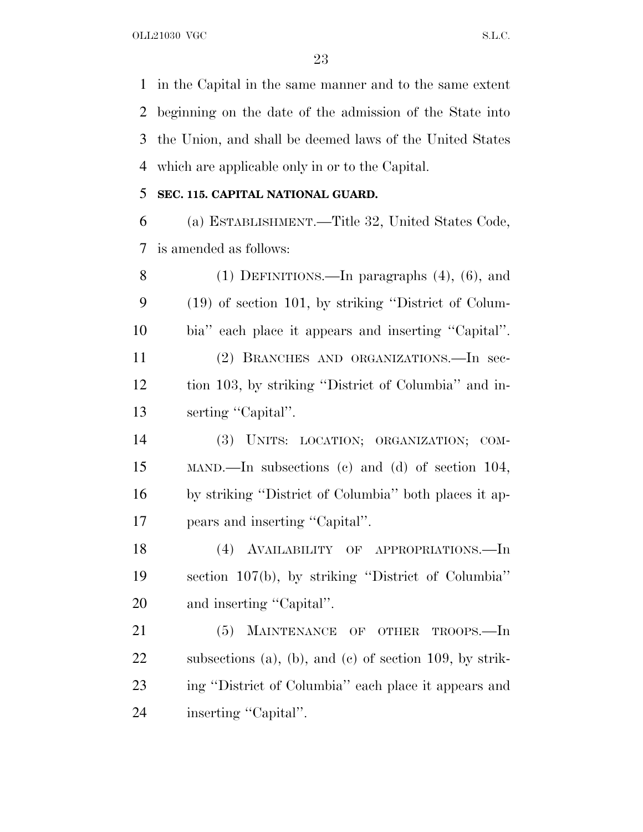in the Capital in the same manner and to the same extent beginning on the date of the admission of the State into the Union, and shall be deemed laws of the United States which are applicable only in or to the Capital.

## **SEC. 115. CAPITAL NATIONAL GUARD.**

 (a) ESTABLISHMENT.—Title 32, United States Code, is amended as follows:

 (1) DEFINITIONS.—In paragraphs (4), (6), and (19) of section 101, by striking ''District of Colum- bia'' each place it appears and inserting ''Capital''. (2) BRANCHES AND ORGANIZATIONS.—In sec- tion 103, by striking ''District of Columbia'' and in-13 serting "Capital".

 (3) UNITS: LOCATION; ORGANIZATION; COM- MAND.—In subsections (c) and (d) of section 104, by striking ''District of Columbia'' both places it ap-pears and inserting ''Capital''.

 (4) AVAILABILITY OF APPROPRIATIONS.—In section 107(b), by striking ''District of Columbia'' and inserting ''Capital''.

21 (5) MAINTENANCE OF OTHER TROOPS.—In subsections (a), (b), and (c) of section 109, by strik- ing ''District of Columbia'' each place it appears and 24 inserting "Capital".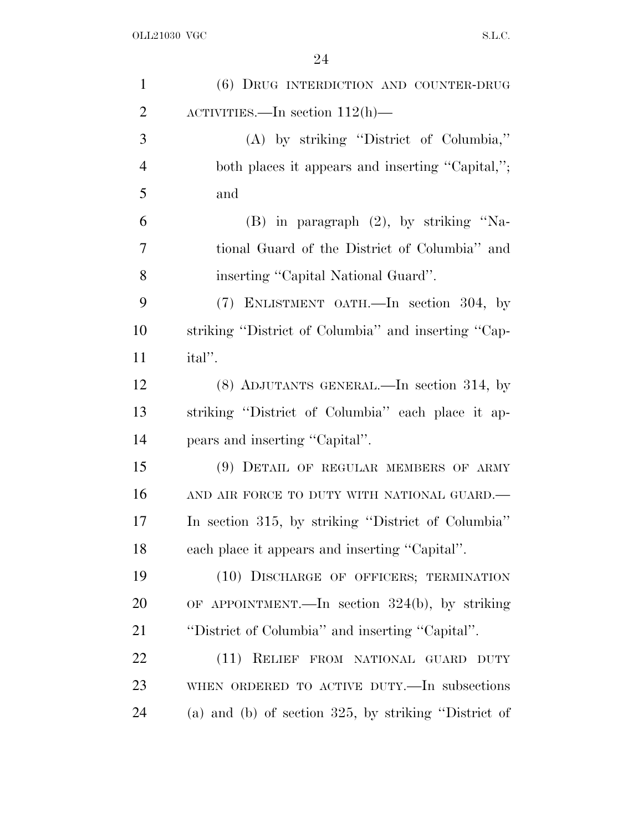| $\mathbf{1}$   | (6) DRUG INTERDICTION AND COUNTER-DRUG                  |
|----------------|---------------------------------------------------------|
| $\overline{2}$ | ACTIVITIES.—In section $112(h)$ —                       |
| 3              | (A) by striking "District of Columbia,"                 |
| $\overline{4}$ | both places it appears and inserting "Capital,";        |
| 5              | and                                                     |
| 6              | $(B)$ in paragraph $(2)$ , by striking "Na-             |
| $\overline{7}$ | tional Guard of the District of Columbia" and           |
| 8              | inserting "Capital National Guard".                     |
| 9              | (7) ENLISTMENT OATH.—In section 304, by                 |
| 10             | striking "District of Columbia" and inserting "Cap-     |
| 11             | ital''.                                                 |
| 12             | $(8)$ ADJUTANTS GENERAL.—In section 314, by             |
| 13             | striking "District of Columbia" each place it ap-       |
| 14             | pears and inserting "Capital".                          |
| 15             | (9) DETAIL OF REGULAR MEMBERS OF ARMY                   |
| 16             | AND AIR FORCE TO DUTY WITH NATIONAL GUARD.-             |
| 17             | In section 315, by striking "District of Columbia"      |
| 18             | each place it appears and inserting "Capital".          |
| 19             | (10) DISCHARGE OF OFFICERS; TERMINATION                 |
| 20             | OF APPOINTMENT.—In section $324(b)$ , by striking       |
| 21             | "District of Columbia" and inserting "Capital".         |
| 22             | (11) RELIEF FROM NATIONAL GUARD DUTY                    |
| 23             | WHEN ORDERED TO ACTIVE DUTY.—In subsections             |
| 24             | (a) and (b) of section $325$ , by striking "District of |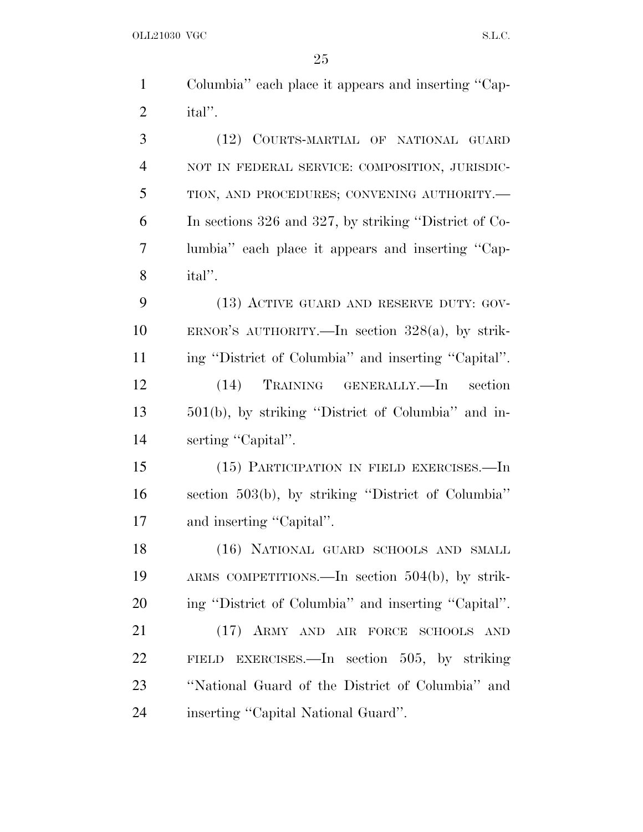| $\mathbf{1}$   | Columbia" each place it appears and inserting "Cap-   |
|----------------|-------------------------------------------------------|
| $\overline{2}$ | ital''.                                               |
| 3              | (12) COURTS-MARTIAL OF NATIONAL GUARD                 |
| $\overline{4}$ | NOT IN FEDERAL SERVICE: COMPOSITION, JURISDIC-        |
| 5              | TION, AND PROCEDURES; CONVENING AUTHORITY.-           |
| 6              | In sections 326 and 327, by striking "District of Co- |
| 7              | lumbia" each place it appears and inserting "Cap-     |
| 8              | ital".                                                |
| 9              | (13) ACTIVE GUARD AND RESERVE DUTY: GOV-              |
| 10             | ERNOR'S AUTHORITY.—In section $328(a)$ , by strik-    |
| 11             | ing "District of Columbia" and inserting "Capital".   |
| 12             | (14)<br>TRAINING GENERALLY.—In<br>section             |
| 13             | 501(b), by striking "District of Columbia" and in-    |
| 14             | serting "Capital".                                    |
| 15             | (15) PARTICIPATION IN FIELD EXERCISES.—In             |
| 16             | section 503(b), by striking "District of Columbia"    |
| 17             | and inserting "Capital".                              |
| 18             | (16) NATIONAL GUARD SCHOOLS AND SMALL                 |
| 19             | ARMS COMPETITIONS.—In section $504(b)$ , by strik-    |
| 20             | ing "District of Columbia" and inserting "Capital".   |
| 21             | (17) ARMY AND AIR FORCE SCHOOLS AND                   |
| 22             | FIELD EXERCISES.—In section 505, by striking          |
| 23             | "National Guard of the District of Columbia" and      |
| 24             | inserting "Capital National Guard".                   |
|                |                                                       |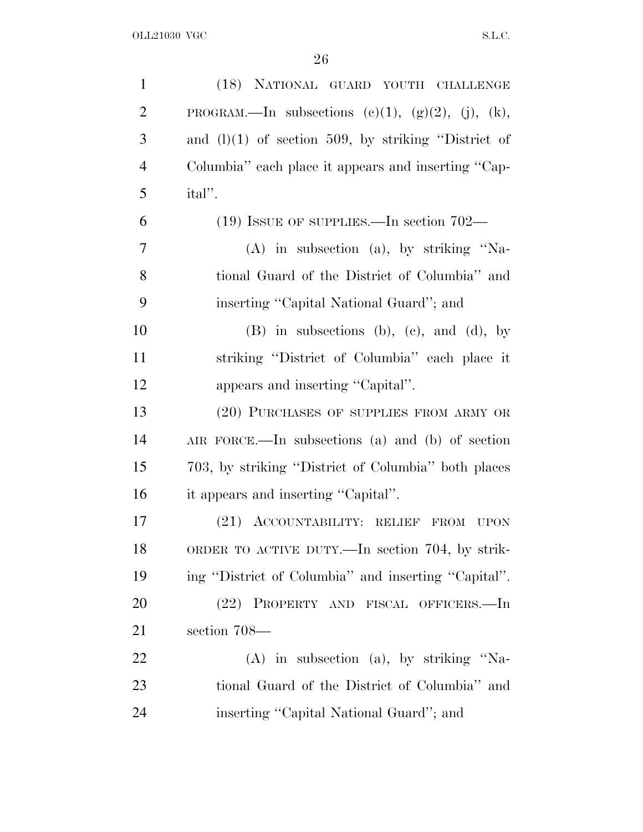| $\mathbf{1}$   | (18) NATIONAL GUARD YOUTH CHALLENGE                           |
|----------------|---------------------------------------------------------------|
| $\overline{2}$ | PROGRAM.—In subsections $(c)(1)$ , $(g)(2)$ , $(j)$ , $(k)$ , |
| 3              | and $(l)(1)$ of section 509, by striking "District of         |
| $\overline{4}$ | Columbia" each place it appears and inserting "Cap-           |
| 5              | ital''.                                                       |
| 6              | $(19)$ ISSUE OF SUPPLIES.—In section 702—                     |
| 7              | $(A)$ in subsection $(a)$ , by striking "Na-                  |
| 8              | tional Guard of the District of Columbia" and                 |
| 9              | inserting "Capital National Guard"; and                       |
| 10             | $(B)$ in subsections $(b)$ , $(c)$ , and $(d)$ , by           |
| 11             | striking "District of Columbia" each place it                 |
| 12             | appears and inserting "Capital".                              |
| 13             | (20) PURCHASES OF SUPPLIES FROM ARMY OR                       |
| 14             | AIR FORCE.—In subsections (a) and (b) of section              |
| 15             | 703, by striking "District of Columbia" both places           |
| 16             | it appears and inserting "Capital".                           |
| 17             | $(21)$ ACCOUNTABILITY: RELIEF<br>FROM<br><b>UPON</b>          |
| 18             | ORDER TO ACTIVE DUTY.—In section 704, by strik-               |
| 19             | ing "District of Columbia" and inserting "Capital".           |
| 20             | (22) PROPERTY AND FISCAL OFFICERS.—In                         |
| 21             | section 708-                                                  |
| 22             | $(A)$ in subsection $(a)$ , by striking "Na-                  |
| 23             | tional Guard of the District of Columbia" and                 |
| 24             | inserting "Capital National Guard"; and                       |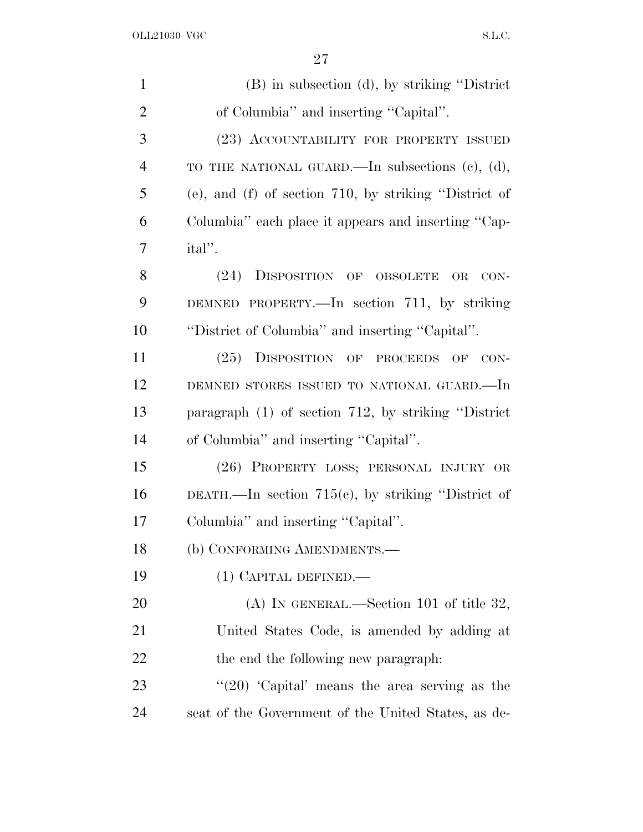| $\mathbf{1}$   | (B) in subsection (d), by striking "District"                     |
|----------------|-------------------------------------------------------------------|
| $\overline{2}$ | of Columbia" and inserting "Capital".                             |
| 3              | (23) ACCOUNTABILITY FOR PROPERTY ISSUED                           |
| $\overline{4}$ | TO THE NATIONAL GUARD.—In subsections $(c)$ , $(d)$ ,             |
| 5              | $(e)$ , and $(f)$ of section 710, by striking "District of        |
| 6              | Columbia" each place it appears and inserting "Cap-               |
| 7              | ital''.                                                           |
| 8              | DISPOSITION OF OBSOLETE<br>(24)<br>$\overline{\text{OR}}$<br>CON- |
| 9              | DEMNED PROPERTY.—In section 711, by striking                      |
| 10             | "District of Columbia" and inserting "Capital".                   |
| 11             | (25) DISPOSITION OF PROCEEDS OF CON-                              |
| 12             | DEMNED STORES ISSUED TO NATIONAL GUARD.-In                        |
| 13             | paragraph $(1)$ of section 712, by striking "District"            |
| 14             | of Columbia" and inserting "Capital".                             |
| 15             | (26) PROPERTY LOSS; PERSONAL INJURY OR                            |
| 16             | DEATH.—In section $715(e)$ , by striking "District of             |
| 17             | Columbia" and inserting "Capital".                                |
| 18             | (b) CONFORMING AMENDMENTS.-                                       |
| 19             | $(1)$ CAPITAL DEFINED.—                                           |
| 20             | (A) IN GENERAL.—Section 101 of title 32,                          |
| 21             | United States Code, is amended by adding at                       |
| 22             | the end the following new paragraph.                              |
| 23             | " $(20)$ 'Capital' means the area serving as the                  |
| 24             | seat of the Government of the United States, as de-               |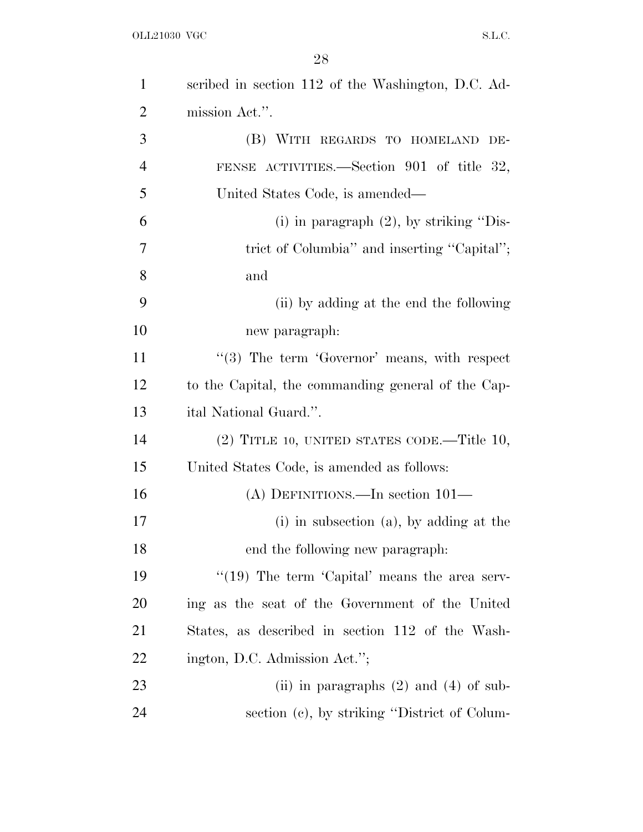| $\mathbf{1}$   | scribed in section 112 of the Washington, D.C. Ad- |
|----------------|----------------------------------------------------|
| $\overline{2}$ | mission Act.".                                     |
| 3              | (B) WITH REGARDS TO HOMELAND<br>DE-                |
| $\overline{4}$ | FENSE ACTIVITIES.—Section 901 of title 32,         |
| 5              | United States Code, is amended—                    |
| 6              | (i) in paragraph $(2)$ , by striking "Dis-         |
| 7              | trict of Columbia" and inserting "Capital";        |
| 8              | and                                                |
| 9              | (ii) by adding at the end the following            |
| 10             | new paragraph:                                     |
| 11             | $(3)$ The term 'Governor' means, with respect      |
| 12             | to the Capital, the commanding general of the Cap- |
| 13             | ital National Guard.".                             |
| 14             | $(2)$ TITLE 10, UNITED STATES CODE.—Title 10,      |
| 15             | United States Code, is amended as follows:         |
| 16             | (A) DEFINITIONS.—In section $101-$                 |
| 17             | $(i)$ in subsection $(a)$ , by adding at the       |
| 18             | end the following new paragraph.                   |
| 19             | " $(19)$ The term 'Capital' means the area serv-   |
| <b>20</b>      | ing as the seat of the Government of the United    |
| 21             | States, as described in section 112 of the Wash-   |
| 22             | ington, D.C. Admission Act.";                      |
| 23             | (ii) in paragraphs $(2)$ and $(4)$ of sub-         |
| 24             | section (c), by striking "District of Colum-       |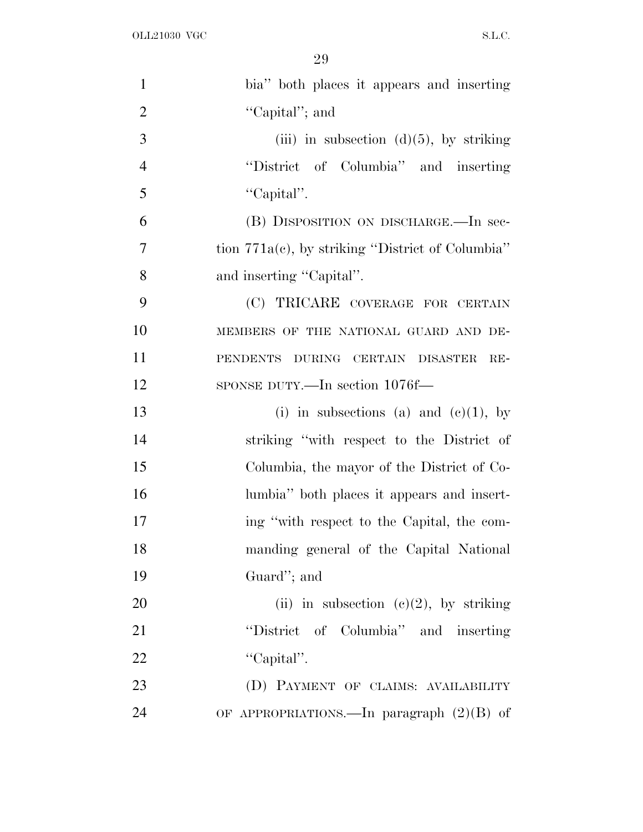| $\mathbf{1}$   | bia" both places it appears and inserting           |
|----------------|-----------------------------------------------------|
| $\overline{2}$ | "Capital"; and                                      |
| 3              | (iii) in subsection $(d)(5)$ , by striking          |
| $\overline{4}$ | "District of Columbia" and inserting                |
| 5              | "Capital".                                          |
| 6              | (B) DISPOSITION ON DISCHARGE.—In sec-               |
| $\overline{7}$ | tion $771a(c)$ , by striking "District of Columbia" |
| 8              | and inserting "Capital".                            |
| 9              | (C) TRICARE COVERAGE FOR CERTAIN                    |
| 10             | MEMBERS OF THE NATIONAL GUARD AND DE-               |
| 11             | PENDENTS DURING CERTAIN DISASTER<br>$RE-$           |
| 12             | SPONSE DUTY.—In section 1076f—                      |
| 13             | (i) in subsections (a) and (e)(1), by               |
| 14             | striking "with respect to the District of           |
| 15             | Columbia, the mayor of the District of Co-          |
| 16             | lumbia" both places it appears and insert-          |
| 17             | ing "with respect to the Capital, the com-          |
| 18             | manding general of the Capital National             |
| 19             | Guard"; and                                         |
| 20             | (ii) in subsection (c)(2), by striking              |
| 21             | "District of Columbia" and inserting                |
| 22             | "Capital".                                          |
| 23             | (D) PAYMENT OF CLAIMS: AVAILABILITY                 |
| 24             | OF APPROPRIATIONS.—In paragraph $(2)(B)$ of         |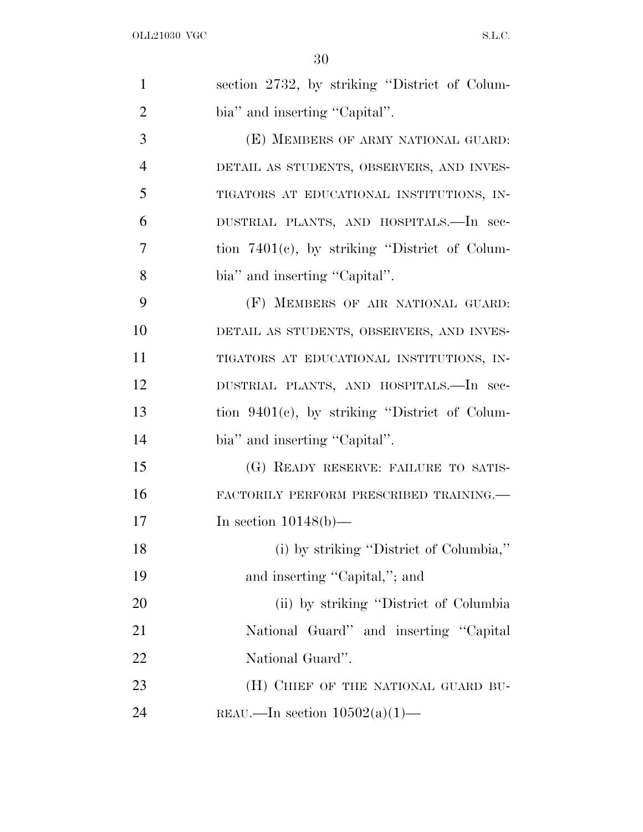| $\mathbf{1}$   | section 2732, by striking "District of Colum-    |
|----------------|--------------------------------------------------|
| $\overline{2}$ | bia" and inserting "Capital".                    |
| 3              | (E) MEMBERS OF ARMY NATIONAL GUARD:              |
| $\overline{4}$ | DETAIL AS STUDENTS, OBSERVERS, AND INVES-        |
| 5              | TIGATORS AT EDUCATIONAL INSTITUTIONS, IN-        |
| 6              | DUSTRIAL PLANTS, AND HOSPITALS.—In sec-          |
| 7              | tion $7401(c)$ , by striking "District of Colum- |
| 8              | bia" and inserting "Capital".                    |
| 9              | (F) MEMBERS OF AIR NATIONAL GUARD:               |
| 10             | DETAIL AS STUDENTS, OBSERVERS, AND INVES-        |
| 11             | TIGATORS AT EDUCATIONAL INSTITUTIONS, IN-        |
| 12             | DUSTRIAL PLANTS, AND HOSPITALS.-In sec-          |
| 13             | tion $9401(c)$ , by striking "District of Colum- |
| 14             | bia" and inserting "Capital".                    |
| 15             | (G) READY RESERVE: FAILURE TO SATIS-             |
| 16             | FACTORILY PERFORM PRESCRIBED TRAINING.           |
| 17             | In section $10148(b)$ —                          |
| 18             | (i) by striking "District of Columbia,"          |
| 19             | and inserting "Capital,"; and                    |
| 20             | (ii) by striking "District of Columbia"          |
| 21             | National Guard" and inserting "Capital"          |
| 22             | National Guard".                                 |
| 23             | (H) CHIEF OF THE NATIONAL GUARD BU-              |
| 24             | REAU.—In section $10502(a)(1)$ —                 |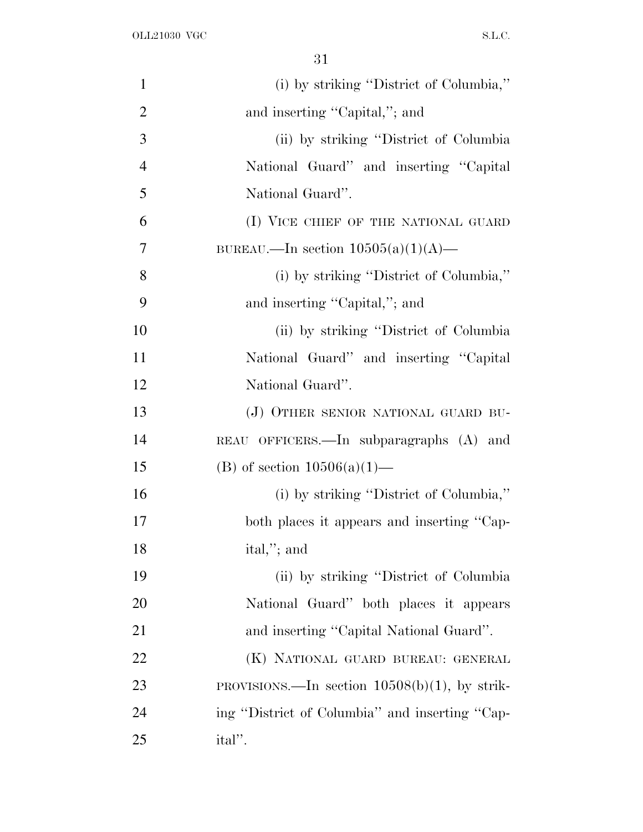| $\mathbf{1}$   | (i) by striking "District of Columbia,"          |
|----------------|--------------------------------------------------|
| $\overline{2}$ | and inserting "Capital,"; and                    |
| 3              | (ii) by striking "District of Columbia"          |
| $\overline{4}$ | National Guard" and inserting "Capital           |
| 5              | National Guard".                                 |
| 6              | (I) VICE CHIEF OF THE NATIONAL GUARD             |
| $\overline{7}$ | BUREAU.—In section $10505(a)(1)(A)$ —            |
| 8              | (i) by striking "District of Columbia,"          |
| 9              | and inserting "Capital,"; and                    |
| 10             | (ii) by striking "District of Columbia"          |
| 11             | National Guard" and inserting "Capital           |
| 12             | National Guard".                                 |
| 13             | (J) OTHER SENIOR NATIONAL GUARD BU-              |
| 14             | REAU OFFICERS.—In subparagraphs (A) and          |
| 15             | (B) of section $10506(a)(1)$ —                   |
| 16             | (i) by striking "District of Columbia,"          |
| 17             | both places it appears and inserting "Cap-       |
| 18             | ital,"; and                                      |
| 19             | (ii) by striking "District of Columbia           |
| 20             | National Guard" both places it appears           |
| 21             | and inserting "Capital National Guard".          |
| 22             | (K) NATIONAL GUARD BUREAU: GENERAL               |
| 23             | PROVISIONS.—In section $10508(b)(1)$ , by strik- |
| 24             | ing "District of Columbia" and inserting "Cap-   |
| 25             | ital''.                                          |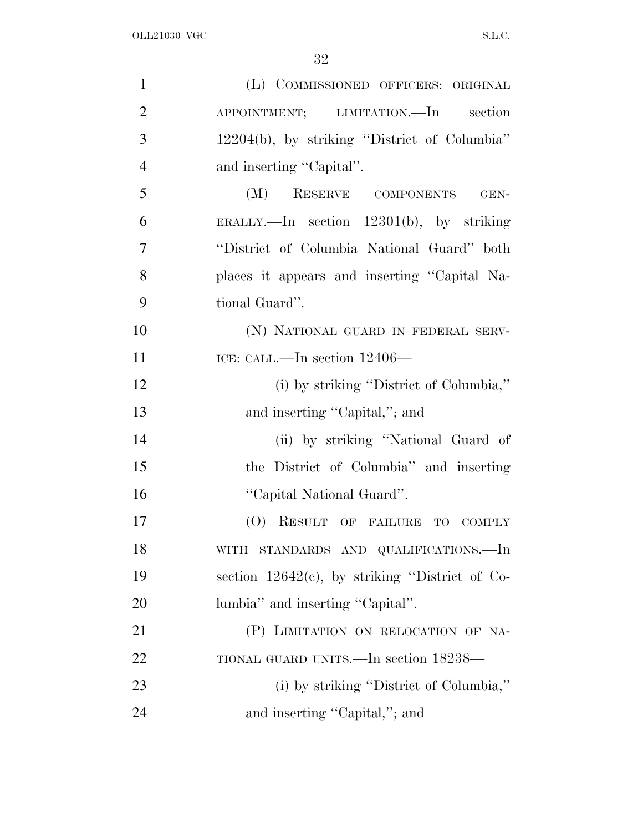| $\mathbf{1}$   | (L) COMMISSIONED OFFICERS: ORIGINAL               |
|----------------|---------------------------------------------------|
| $\overline{2}$ | APPOINTMENT; LIMITATION.—In section               |
| 3              | 12204(b), by striking "District of Columbia"      |
| $\overline{4}$ | and inserting "Capital".                          |
| 5              | (M)<br>RESERVE COMPONENTS<br>GEN-                 |
| 6              | ERALLY.—In section $12301(b)$ , by striking       |
| 7              | "District of Columbia National Guard" both        |
| 8              | places it appears and inserting "Capital Na-      |
| 9              | tional Guard".                                    |
| 10             | (N) NATIONAL GUARD IN FEDERAL SERV-               |
| 11             | ICE: CALL.—In section 12406—                      |
| 12             | (i) by striking "District of Columbia,"           |
| 13             | and inserting "Capital,"; and                     |
| 14             | (ii) by striking "National Guard of               |
| 15             | the District of Columbia" and inserting           |
| 16             | "Capital National Guard".                         |
| 17             | (O) RESULT OF FAILURE TO COMPLY                   |
| 18             | WITH STANDARDS AND QUALIFICATIONS.—In             |
| 19             | section $12642(c)$ , by striking "District of Co- |
| <b>20</b>      | lumbia" and inserting "Capital".                  |
| 21             | (P) LIMITATION ON RELOCATION OF NA-               |
| <u>22</u>      | TIONAL GUARD UNITS.—In section 18238—             |
| 23             | (i) by striking "District of Columbia,"           |
| 24             | and inserting "Capital,"; and                     |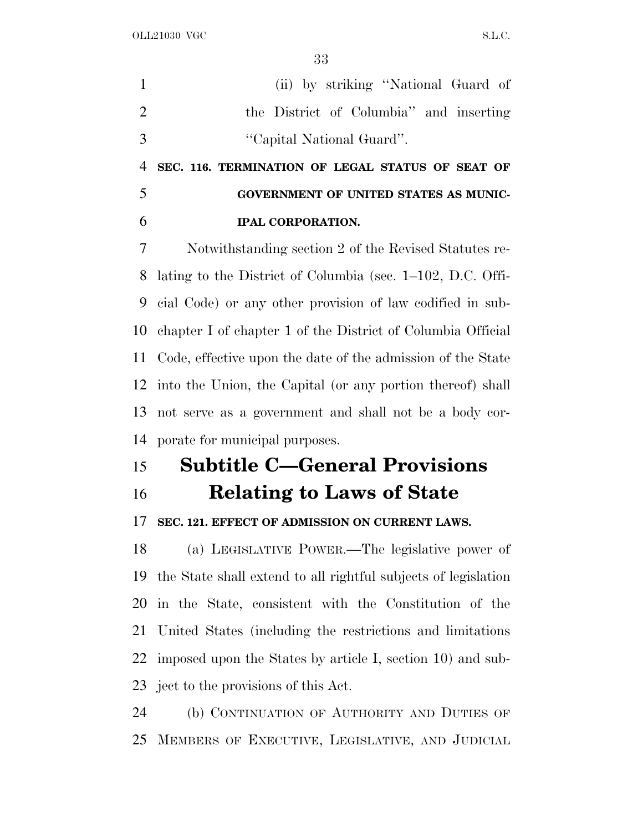(ii) by striking ''National Guard of the District of Columbia'' and inserting ''Capital National Guard''.

 **SEC. 116. TERMINATION OF LEGAL STATUS OF SEAT OF GOVERNMENT OF UNITED STATES AS MUNIC-IPAL CORPORATION.**

 Notwithstanding section 2 of the Revised Statutes re- lating to the District of Columbia (sec. 1–102, D.C. Offi- cial Code) or any other provision of law codified in sub- chapter I of chapter 1 of the District of Columbia Official Code, effective upon the date of the admission of the State into the Union, the Capital (or any portion thereof) shall not serve as a government and shall not be a body cor-porate for municipal purposes.

## **Subtitle C—General Provisions**

**Relating to Laws of State**

## **SEC. 121. EFFECT OF ADMISSION ON CURRENT LAWS.**

 (a) LEGISLATIVE POWER.—The legislative power of the State shall extend to all rightful subjects of legislation in the State, consistent with the Constitution of the United States (including the restrictions and limitations imposed upon the States by article I, section 10) and sub-ject to the provisions of this Act.

 (b) CONTINUATION OF AUTHORITY AND DUTIES OF MEMBERS OF EXECUTIVE, LEGISLATIVE, AND JUDICIAL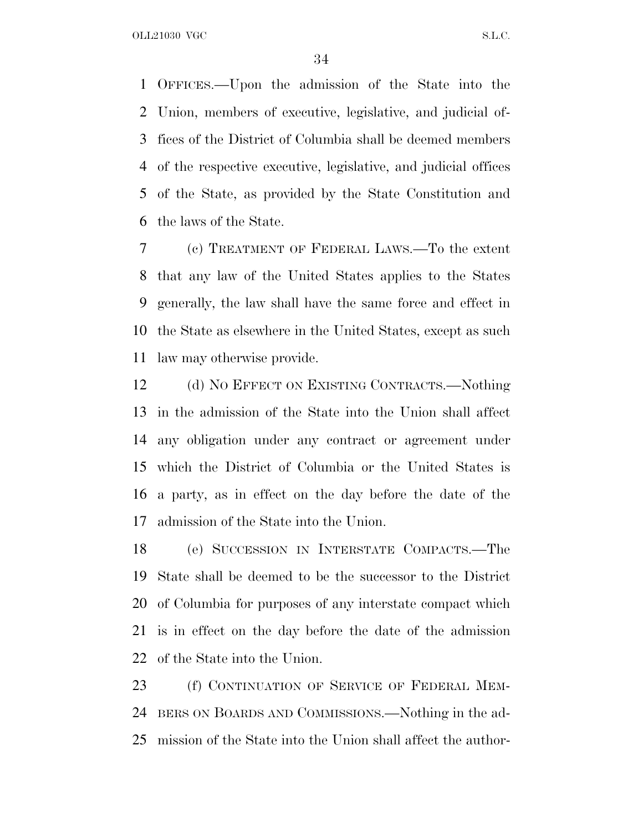OFFICES.—Upon the admission of the State into the Union, members of executive, legislative, and judicial of- fices of the District of Columbia shall be deemed members of the respective executive, legislative, and judicial offices of the State, as provided by the State Constitution and the laws of the State.

 (c) TREATMENT OF FEDERAL LAWS.—To the extent that any law of the United States applies to the States generally, the law shall have the same force and effect in the State as elsewhere in the United States, except as such law may otherwise provide.

12 (d) NO EFFECT ON EXISTING CONTRACTS.—Nothing in the admission of the State into the Union shall affect any obligation under any contract or agreement under which the District of Columbia or the United States is a party, as in effect on the day before the date of the admission of the State into the Union.

 (e) SUCCESSION IN INTERSTATE COMPACTS.—The State shall be deemed to be the successor to the District of Columbia for purposes of any interstate compact which is in effect on the day before the date of the admission of the State into the Union.

23 (f) CONTINUATION OF SERVICE OF FEDERAL MEM- BERS ON BOARDS AND COMMISSIONS.—Nothing in the ad-mission of the State into the Union shall affect the author-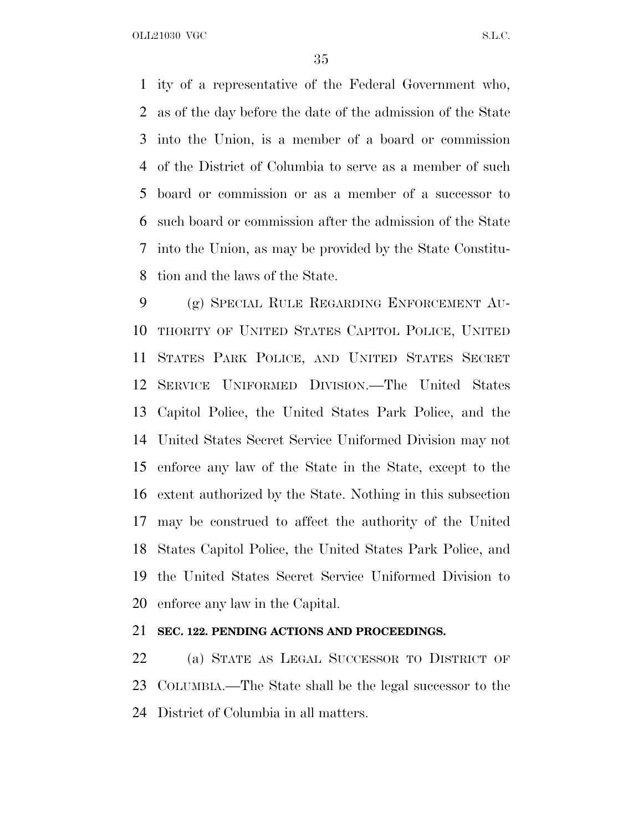ity of a representative of the Federal Government who, as of the day before the date of the admission of the State into the Union, is a member of a board or commission of the District of Columbia to serve as a member of such board or commission or as a member of a successor to such board or commission after the admission of the State into the Union, as may be provided by the State Constitu-tion and the laws of the State.

 (g) SPECIAL RULE REGARDING ENFORCEMENT AU- THORITY OF UNITED STATES CAPITOL POLICE, UNITED STATES PARK POLICE, AND UNITED STATES SECRET SERVICE UNIFORMED DIVISION.—The United States Capitol Police, the United States Park Police, and the United States Secret Service Uniformed Division may not enforce any law of the State in the State, except to the extent authorized by the State. Nothing in this subsection may be construed to affect the authority of the United States Capitol Police, the United States Park Police, and the United States Secret Service Uniformed Division to enforce any law in the Capital.

## **SEC. 122. PENDING ACTIONS AND PROCEEDINGS.**

 (a) STATE AS LEGAL SUCCESSOR TO DISTRICT OF COLUMBIA.—The State shall be the legal successor to the District of Columbia in all matters.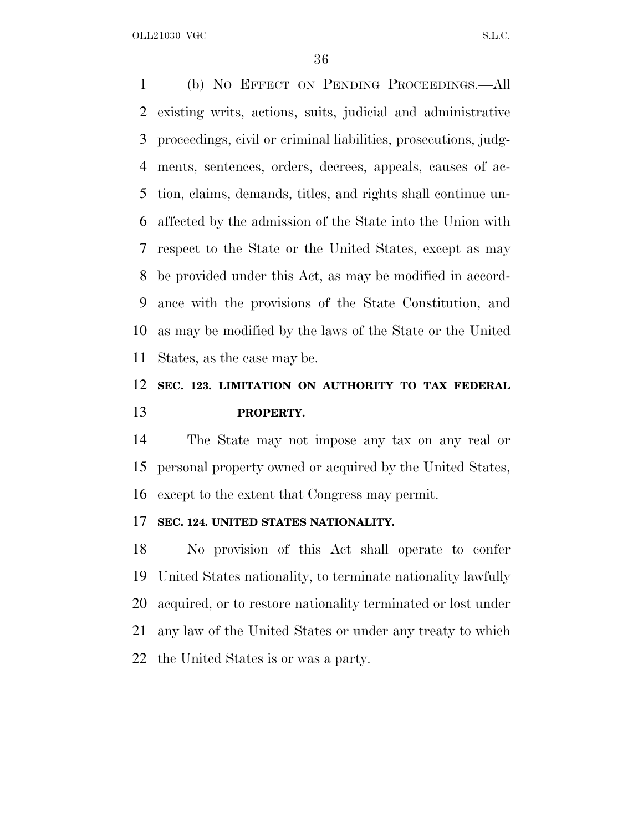(b) N<sup>O</sup> EFFECT ON PENDING PROCEEDINGS.—All existing writs, actions, suits, judicial and administrative proceedings, civil or criminal liabilities, prosecutions, judg- ments, sentences, orders, decrees, appeals, causes of ac- tion, claims, demands, titles, and rights shall continue un- affected by the admission of the State into the Union with respect to the State or the United States, except as may be provided under this Act, as may be modified in accord- ance with the provisions of the State Constitution, and as may be modified by the laws of the State or the United States, as the case may be.

## **SEC. 123. LIMITATION ON AUTHORITY TO TAX FEDERAL PROPERTY.**

 The State may not impose any tax on any real or personal property owned or acquired by the United States, except to the extent that Congress may permit.

## **SEC. 124. UNITED STATES NATIONALITY.**

 No provision of this Act shall operate to confer United States nationality, to terminate nationality lawfully acquired, or to restore nationality terminated or lost under any law of the United States or under any treaty to which the United States is or was a party.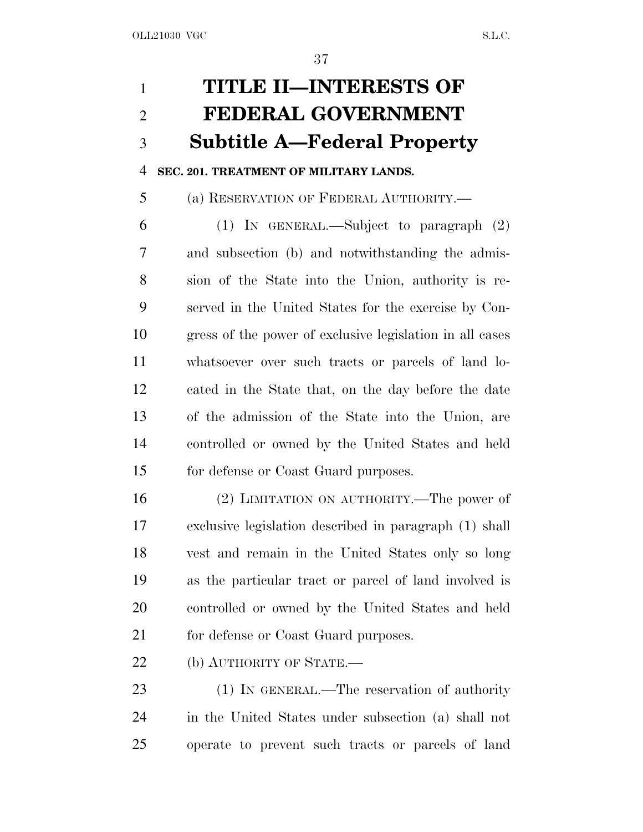# **TITLE II—INTERESTS OF FEDERAL GOVERNMENT Subtitle A—Federal Property**

## **SEC. 201. TREATMENT OF MILITARY LANDS.**

(a) RESERVATION OF FEDERAL AUTHORITY.—

 (1) IN GENERAL.—Subject to paragraph (2) and subsection (b) and notwithstanding the admis- sion of the State into the Union, authority is re- served in the United States for the exercise by Con- gress of the power of exclusive legislation in all cases whatsoever over such tracts or parcels of land lo- cated in the State that, on the day before the date of the admission of the State into the Union, are controlled or owned by the United States and held for defense or Coast Guard purposes.

 (2) LIMITATION ON AUTHORITY.—The power of exclusive legislation described in paragraph (1) shall vest and remain in the United States only so long as the particular tract or parcel of land involved is controlled or owned by the United States and held 21 for defense or Coast Guard purposes.

22 (b) AUTHORITY OF STATE.

 (1) IN GENERAL.—The reservation of authority in the United States under subsection (a) shall not operate to prevent such tracts or parcels of land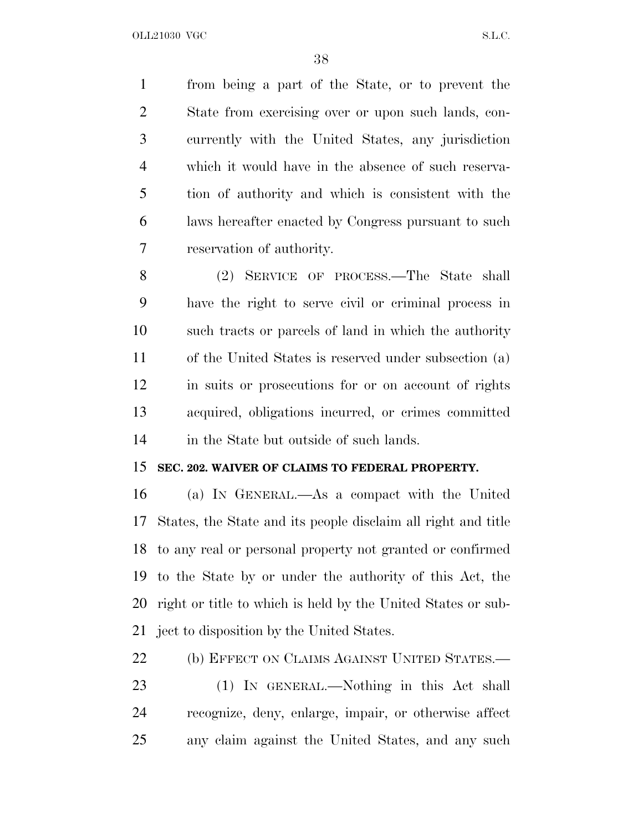from being a part of the State, or to prevent the State from exercising over or upon such lands, con- currently with the United States, any jurisdiction which it would have in the absence of such reserva- tion of authority and which is consistent with the laws hereafter enacted by Congress pursuant to such reservation of authority.

 (2) SERVICE OF PROCESS.—The State shall have the right to serve civil or criminal process in such tracts or parcels of land in which the authority of the United States is reserved under subsection (a) in suits or prosecutions for or on account of rights acquired, obligations incurred, or crimes committed in the State but outside of such lands.

## **SEC. 202. WAIVER OF CLAIMS TO FEDERAL PROPERTY.**

 (a) I<sup>N</sup> GENERAL.—As a compact with the United States, the State and its people disclaim all right and title to any real or personal property not granted or confirmed to the State by or under the authority of this Act, the right or title to which is held by the United States or sub-ject to disposition by the United States.

22 (b) EFFECT ON CLAIMS AGAINST UNITED STATES.—

 (1) IN GENERAL.—Nothing in this Act shall recognize, deny, enlarge, impair, or otherwise affect any claim against the United States, and any such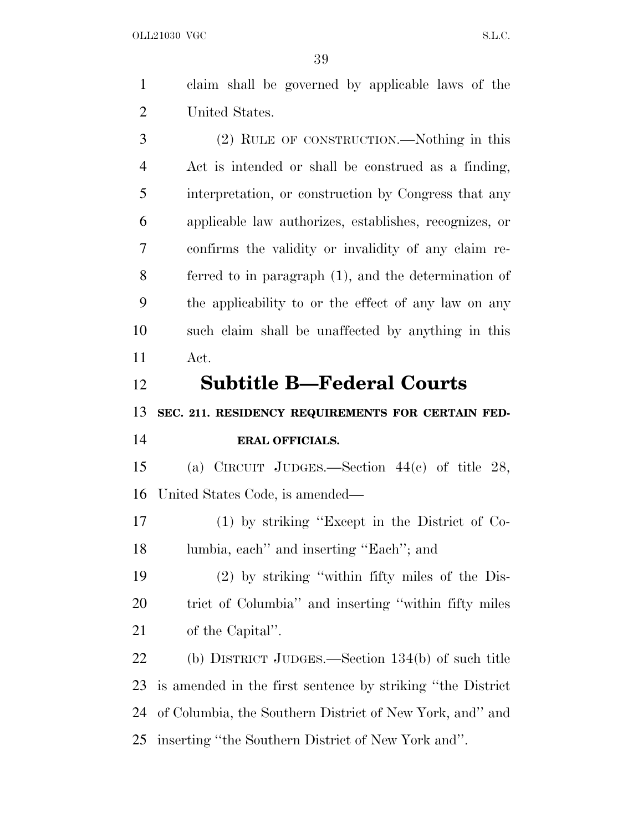claim shall be governed by applicable laws of the United States. (2) RULE OF CONSTRUCTION.—Nothing in this Act is intended or shall be construed as a finding, interpretation, or construction by Congress that any applicable law authorizes, establishes, recognizes, or confirms the validity or invalidity of any claim re- ferred to in paragraph (1), and the determination of the applicability to or the effect of any law on any such claim shall be unaffected by anything in this Act. **Subtitle B—Federal Courts SEC. 211. RESIDENCY REQUIREMENTS FOR CERTAIN FED- ERAL OFFICIALS.** (a) CIRCUIT JUDGES.—Section 44(c) of title 28, United States Code, is amended— (1) by striking ''Except in the District of Co- lumbia, each'' and inserting ''Each''; and (2) by striking ''within fifty miles of the Dis- trict of Columbia'' and inserting ''within fifty miles of the Capital''.

 (b) DISTRICT JUDGES.—Section 134(b) of such title is amended in the first sentence by striking ''the District of Columbia, the Southern District of New York, and'' and inserting ''the Southern District of New York and''.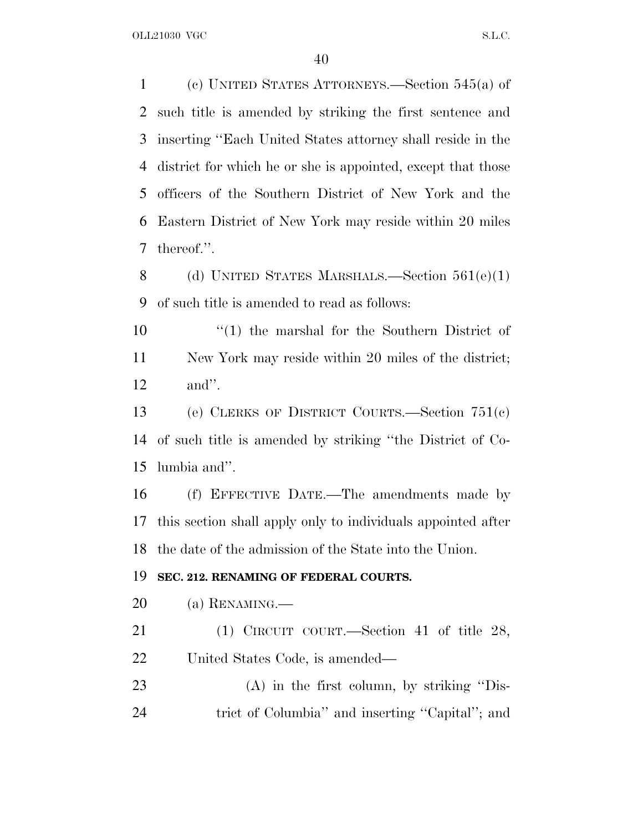(c) UNITED STATES ATTORNEYS.—Section 545(a) of such title is amended by striking the first sentence and inserting ''Each United States attorney shall reside in the district for which he or she is appointed, except that those officers of the Southern District of New York and the Eastern District of New York may reside within 20 miles thereof.''.

 (d) UNITED STATES MARSHALS.—Section 561(e)(1) of such title is amended to read as follows:

10 ''(1) the marshal for the Southern District of New York may reside within 20 miles of the district; and''.

 (e) CLERKS OF DISTRICT COURTS.—Section 751(c) of such title is amended by striking ''the District of Co-lumbia and''.

 (f) EFFECTIVE DATE.—The amendments made by this section shall apply only to individuals appointed after the date of the admission of the State into the Union.

### **SEC. 212. RENAMING OF FEDERAL COURTS.**

- (a) RENAMING.—
- (1) CIRCUIT COURT.—Section 41 of title 28, United States Code, is amended—
- (A) in the first column, by striking ''Dis-trict of Columbia'' and inserting ''Capital''; and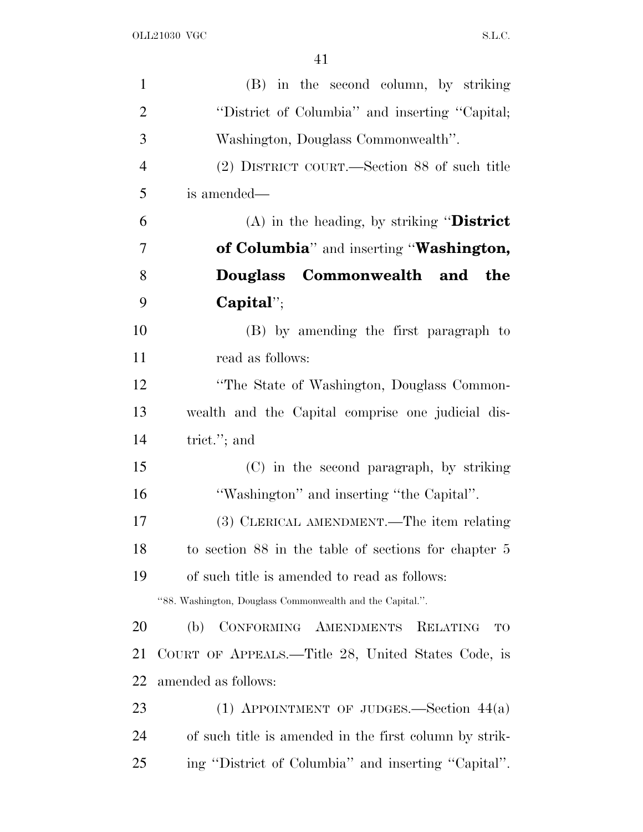| $\mathbf{1}$   | (B) in the second column, by striking                     |
|----------------|-----------------------------------------------------------|
| $\overline{2}$ | "District of Columbia" and inserting "Capital;            |
| 3              | Washington, Douglass Commonwealth".                       |
| $\overline{4}$ | (2) DISTRICT COURT.—Section 88 of such title              |
| 5              | is amended—                                               |
| 6              | (A) in the heading, by striking "District                 |
| 7              | of Columbia" and inserting "Washington,                   |
| 8              | Douglass Commonwealth and the                             |
| 9              | $Capital$                                                 |
| 10             | (B) by amending the first paragraph to                    |
| 11             | read as follows:                                          |
| 12             | "The State of Washington, Douglass Common-                |
| 13             | wealth and the Capital comprise one judicial dis-         |
| 14             | trict."; and                                              |
| 15             | (C) in the second paragraph, by striking                  |
| 16             | "Washington" and inserting "the Capital".                 |
| 17             | (3) CLERICAL AMENDMENT.—The item relating                 |
| 18             | to section 88 in the table of sections for chapter 5      |
| 19             | of such title is amended to read as follows:              |
|                | "88. Washington, Douglass Commonwealth and the Capital.". |
| 20             | CONFORMING AMENDMENTS<br>RELATING<br>(b)<br>TO            |
| 21             | COURT OF APPEALS.—Title 28, United States Code, is        |
| 22             | amended as follows:                                       |
| 23             | (1) APPOINTMENT OF JUDGES.—Section $44(a)$                |
| 24             | of such title is amended in the first column by strik-    |
| 25             | ing "District of Columbia" and inserting "Capital".       |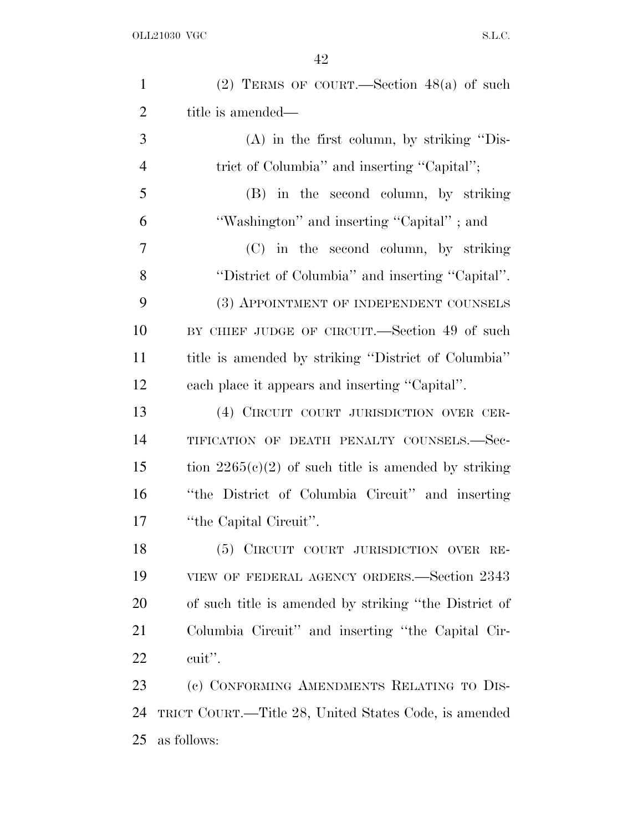| $\mathbf{1}$   | (2) TERMS OF COURT.—Section $48(a)$ of such            |
|----------------|--------------------------------------------------------|
| $\overline{2}$ | title is amended—                                      |
| 3              | $(A)$ in the first column, by striking "Dis-           |
| $\overline{4}$ | trict of Columbia" and inserting "Capital";            |
| 5              | (B) in the second column, by striking                  |
| 6              | "Washington" and inserting "Capital"; and              |
| 7              | (C) in the second column, by striking                  |
| 8              | "District of Columbia" and inserting "Capital".        |
| 9              | (3) APPOINTMENT OF INDEPENDENT COUNSELS                |
| 10             | BY CHIEF JUDGE OF CIRCUIT.—Section 49 of such          |
| 11             | title is amended by striking "District of Columbia"    |
| 12             | each place it appears and inserting "Capital".         |
| 13             | (4) CIRCUIT COURT JURISDICTION OVER CER-               |
| 14             | TIFICATION OF DEATH PENALTY COUNSELS.-Sec-             |
| 15             | tion $2265(c)(2)$ of such title is amended by striking |
| 16             | "the District of Columbia Circuit" and inserting       |
| 17             | "the Capital Circuit".                                 |
| 18             | (5) CIRCUIT COURT JURISDICTION OVER RE-                |
| 19             | VIEW OF FEDERAL AGENCY ORDERS.—Section 2343            |
| 20             | of such title is amended by striking "the District of  |
| 21             | Columbia Circuit" and inserting "the Capital Cir-      |
| 22             | cuit".                                                 |
| 23             | (c) CONFORMING AMENDMENTS RELATING TO DIS-             |
| 24             | TRICT COURT.—Title 28, United States Code, is amended  |
| 25             | as follows:                                            |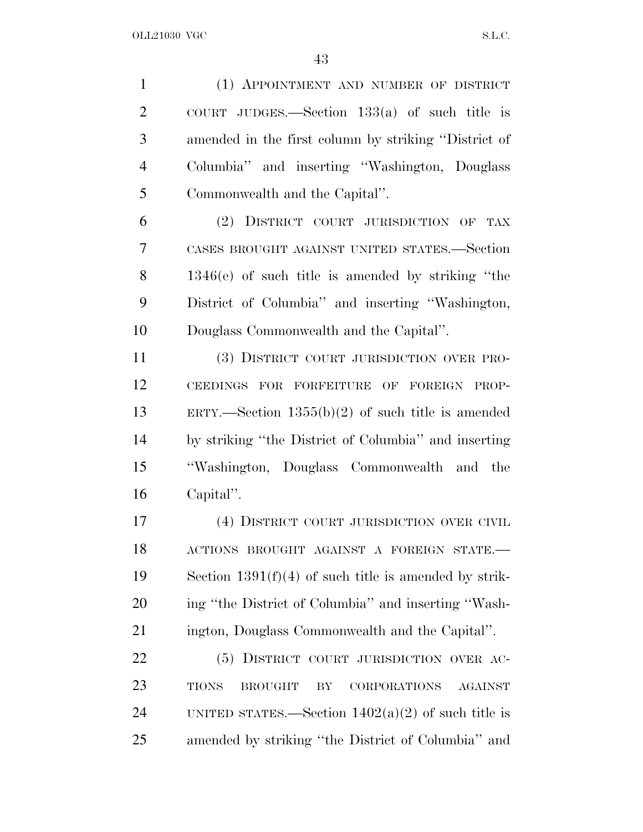(1) APPOINTMENT AND NUMBER OF DISTRICT COURT JUDGES.—Section 133(a) of such title is amended in the first column by striking ''District of Columbia'' and inserting ''Washington, Douglass Commonwealth and the Capital''.

 (2) DISTRICT COURT JURISDICTION OF TAX CASES BROUGHT AGAINST UNITED STATES.—Section 1346(e) of such title is amended by striking ''the District of Columbia'' and inserting ''Washington, Douglass Commonwealth and the Capital''.

 (3) DISTRICT COURT JURISDICTION OVER PRO- CEEDINGS FOR FORFEITURE OF FOREIGN PROP- ERTY.—Section 1355(b)(2) of such title is amended by striking ''the District of Columbia'' and inserting ''Washington, Douglass Commonwealth and the Capital''.

 (4) DISTRICT COURT JURISDICTION OVER CIVIL ACTIONS BROUGHT AGAINST A FOREIGN STATE.— Section 1391(f)(4) of such title is amended by strik- ing ''the District of Columbia'' and inserting ''Wash-ington, Douglass Commonwealth and the Capital''.

22 (5) DISTRICT COURT JURISDICTION OVER AC- TIONS BROUGHT BY CORPORATIONS AGAINST 24 UNITED STATES.—Section  $1402(a)(2)$  of such title is amended by striking ''the District of Columbia'' and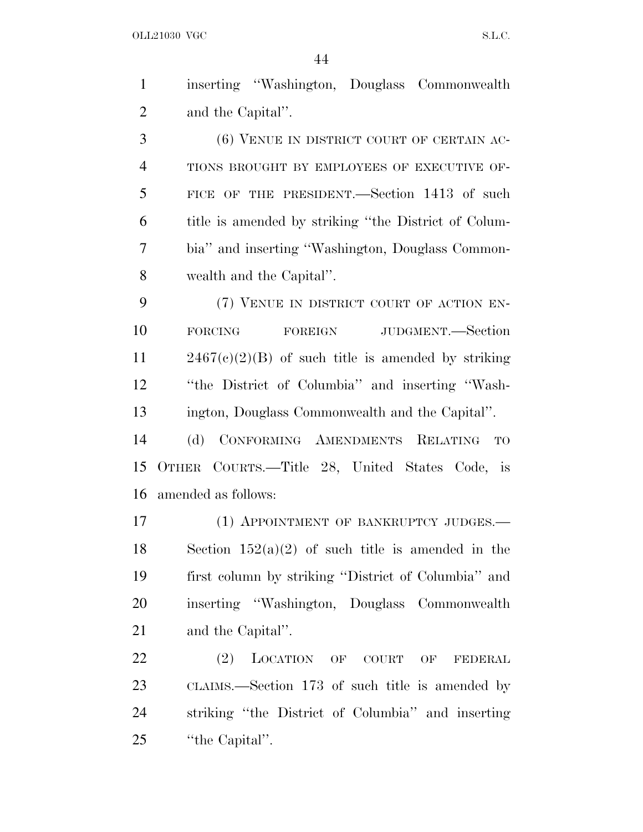| $\mathbf{1}$   | inserting "Washington, Douglass Commonwealth         |
|----------------|------------------------------------------------------|
| $\overline{2}$ | and the Capital".                                    |
| 3              | (6) VENUE IN DISTRICT COURT OF CERTAIN AC-           |
| $\overline{4}$ | TIONS BROUGHT BY EMPLOYEES OF EXECUTIVE OF-          |
| 5              | FICE OF THE PRESIDENT. Section 1413 of such          |
| 6              | title is amended by striking "the District of Colum- |
| 7              | bia" and inserting "Washington, Douglass Common-     |
| 8              | wealth and the Capital".                             |
| 9              | (7) VENUE IN DISTRICT COURT OF ACTION EN-            |
| 10             | FOREIGN JUDGMENT.—Section<br><b>FORCING</b>          |
| 11             | $2467(c)(2)(B)$ of such title is amended by striking |
| 12             | "the District of Columbia" and inserting "Wash-      |
| 13             | ington, Douglass Commonwealth and the Capital".      |
| 14             | CONFORMING AMENDMENTS RELATING TO<br>(d)             |
| 15             | OTHER COURTS.—Title 28, United States Code, is       |
| 16             | amended as follows:                                  |
| 17             | (1) APPOINTMENT OF BANKRUPTCY JUDGES.                |
| 18             | Section $152(a)(2)$ of such title is amended in the  |
| 19             | first column by striking "District of Columbia" and  |
| 20             | inserting "Washington, Douglass Commonwealth         |
| 21             | and the Capital".                                    |
| 22             | (2)<br>LOCATION OF<br>COURT OF<br>FEDERAL            |
| 23             | CLAIMS.—Section 173 of such title is amended by      |

striking ''the District of Columbia'' and inserting

25 "the Capital".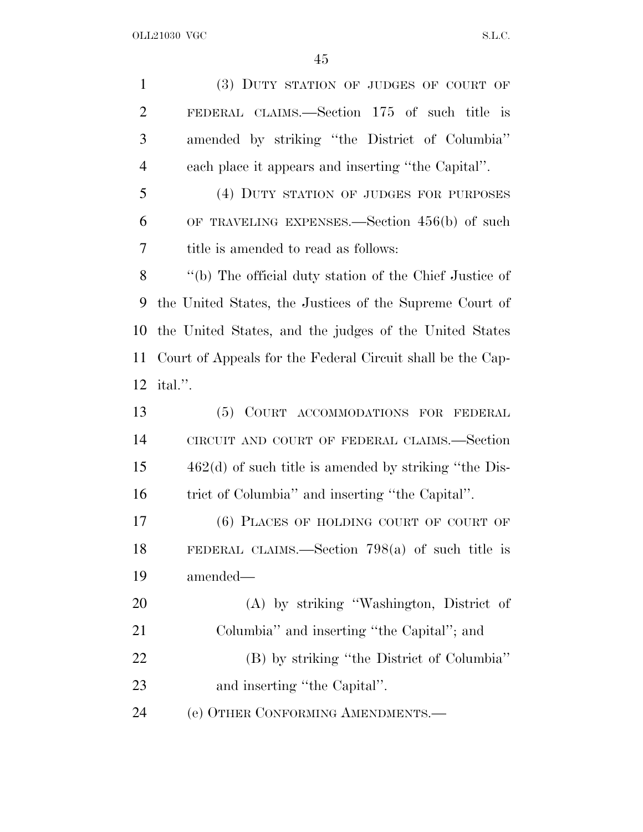| $\mathbf{1}$   | (3) DUTY STATION OF JUDGES OF COURT OF                     |
|----------------|------------------------------------------------------------|
| $\overline{2}$ | FEDERAL CLAIMS.—Section 175 of such title is               |
| 3              | amended by striking "the District of Columbia"             |
| 4              | each place it appears and inserting "the Capital".         |
| 5              | (4) DUTY STATION OF JUDGES FOR PURPOSES                    |
| 6              | OF TRAVELING EXPENSES.—Section $456(b)$ of such            |
| 7              | title is amended to read as follows:                       |
| 8              | "(b) The official duty station of the Chief Justice of     |
| 9              | the United States, the Justices of the Supreme Court of    |
| 10             | the United States, and the judges of the United States     |
| 11             | Court of Appeals for the Federal Circuit shall be the Cap- |
| 12             | ital.".                                                    |
|                |                                                            |
| 13             | (5)<br>COURT ACCOMMODATIONS FOR FEDERAL                    |
| 14             | CIRCUIT AND COURT OF FEDERAL CLAIMS.-Section               |
|                | $462(d)$ of such title is amended by striking "the Dis-    |
| 15<br>16       | trict of Columbia" and inserting "the Capital".            |
| 17             | (6) PLACES OF HOLDING COURT OF COURT OF                    |
| 18             | FEDERAL CLAIMS.—Section $798(a)$ of such title is          |
| 19             | amended—                                                   |
| 20             | (A) by striking "Washington, District of                   |
| 21             | Columbia" and inserting "the Capital"; and                 |
| <u>22</u>      | (B) by striking "the District of Columbia"                 |
| 23             | and inserting "the Capital".                               |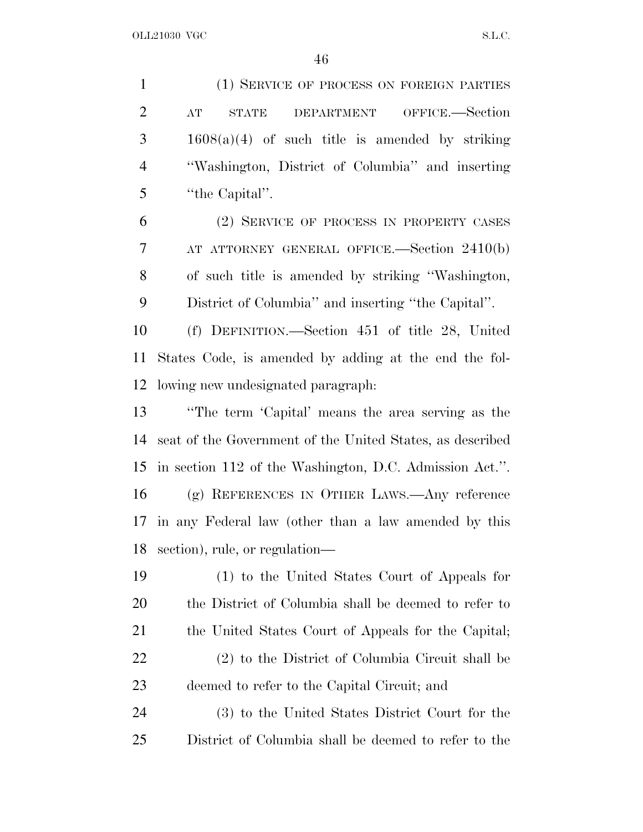(1) SERVICE OF PROCESS ON FOREIGN PARTIES AT STATE DEPARTMENT OFFICE.—Section 1608(a)(4) of such title is amended by striking ''Washington, District of Columbia'' and inserting ''the Capital''.

 (2) SERVICE OF PROCESS IN PROPERTY CASES AT ATTORNEY GENERAL OFFICE.—Section 2410(b) of such title is amended by striking ''Washington, District of Columbia'' and inserting ''the Capital''.

 (f) DEFINITION.—Section 451 of title 28, United States Code, is amended by adding at the end the fol-lowing new undesignated paragraph:

 ''The term 'Capital' means the area serving as the seat of the Government of the United States, as described in section 112 of the Washington, D.C. Admission Act.''. (g) REFERENCES IN OTHER LAWS.—Any reference in any Federal law (other than a law amended by this section), rule, or regulation—

 (1) to the United States Court of Appeals for the District of Columbia shall be deemed to refer to 21 the United States Court of Appeals for the Capital; (2) to the District of Columbia Circuit shall be deemed to refer to the Capital Circuit; and

 (3) to the United States District Court for the District of Columbia shall be deemed to refer to the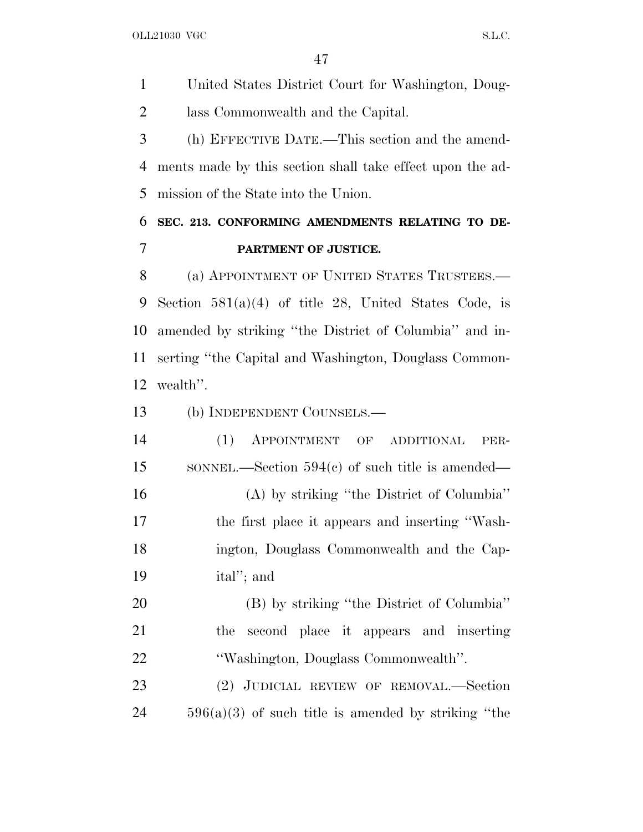United States District Court for Washington, Doug-lass Commonwealth and the Capital.

 (h) EFFECTIVE DATE.—This section and the amend- ments made by this section shall take effect upon the ad-mission of the State into the Union.

## **SEC. 213. CONFORMING AMENDMENTS RELATING TO DE-PARTMENT OF JUSTICE.**

8 (a) APPOINTMENT OF UNITED STATES TRUSTEES.— Section 581(a)(4) of title 28, United States Code, is amended by striking ''the District of Columbia'' and in- serting ''the Capital and Washington, Douglass Common-wealth''.

(b) INDEPENDENT COUNSELS.—

 (1) APPOINTMENT OF ADDITIONAL PER-15 SONNEL.—Section 594(c) of such title is amended— (A) by striking ''the District of Columbia'' the first place it appears and inserting ''Wash- ington, Douglass Commonwealth and the Cap-ital''; and

 (B) by striking ''the District of Columbia'' the second place it appears and inserting ''Washington, Douglass Commonwealth''.

 (2) JUDICIAL REVIEW OF REMOVAL.—Section 596(a)(3) of such title is amended by striking ''the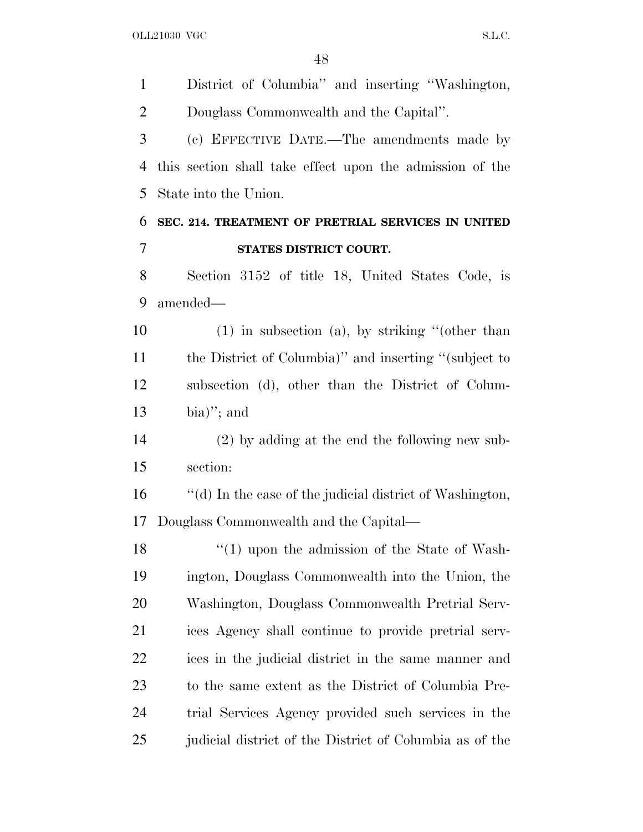District of Columbia'' and inserting ''Washington, Douglass Commonwealth and the Capital''. (c) EFFECTIVE DATE.—The amendments made by this section shall take effect upon the admission of the State into the Union. **SEC. 214. TREATMENT OF PRETRIAL SERVICES IN UNITED STATES DISTRICT COURT.** Section 3152 of title 18, United States Code, is amended— (1) in subsection (a), by striking ''(other than the District of Columbia)'' and inserting ''(subject to subsection (d), other than the District of Colum- bia)"; and (2) by adding at the end the following new sub- section: ''(d) In the case of the judicial district of Washington, Douglass Commonwealth and the Capital— 18 ''(1) upon the admission of the State of Wash- ington, Douglass Commonwealth into the Union, the Washington, Douglass Commonwealth Pretrial Serv- ices Agency shall continue to provide pretrial serv- ices in the judicial district in the same manner and to the same extent as the District of Columbia Pre- trial Services Agency provided such services in the judicial district of the District of Columbia as of the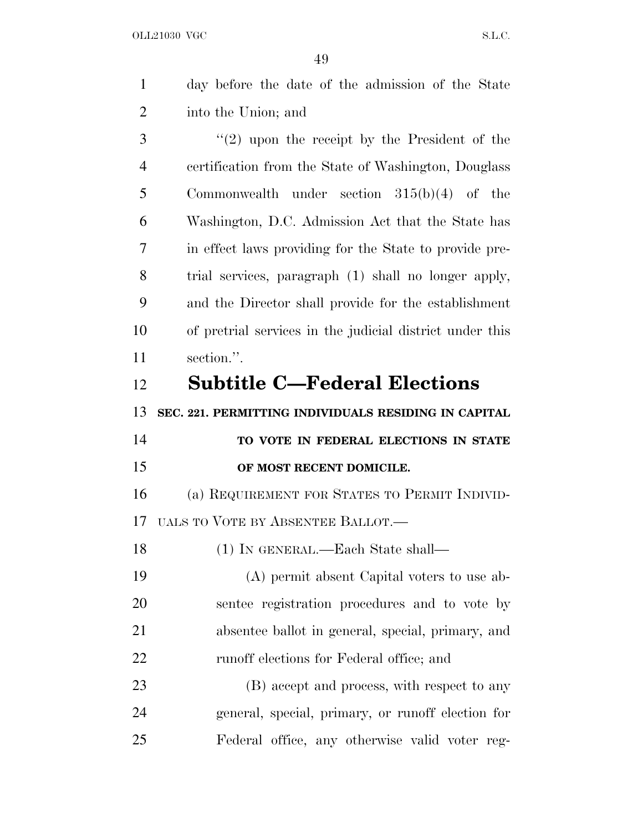$\overline{49}$ 

|                | 49                                                       |
|----------------|----------------------------------------------------------|
| $\mathbf{1}$   | day before the date of the admission of the State        |
| $\overline{2}$ | into the Union; and                                      |
| 3              | $(2)$ upon the receipt by the President of the           |
| $\overline{4}$ | certification from the State of Washington, Douglass     |
| 5              | Commonwealth under section $315(b)(4)$ of the            |
| 6              | Washington, D.C. Admission Act that the State has        |
| 7              | in effect laws providing for the State to provide pre-   |
| 8              | trial services, paragraph (1) shall no longer apply,     |
| 9              | and the Director shall provide for the establishment     |
| 10             | of pretrial services in the judicial district under this |
| 11             | section.".                                               |
| 12             | <b>Subtitle C-Federal Elections</b>                      |
| 13             | SEC. 221. PERMITTING INDIVIDUALS RESIDING IN CAPITAL     |
| 14             | TO VOTE IN FEDERAL ELECTIONS IN STATE                    |
| 15             | OF MOST RECENT DOMICILE.                                 |
| 16             | (a) REQUIREMENT FOR STATES TO PERMIT INDIVID-            |
| 17             | UALS TO VOTE BY ABSENTEE BALLOT.—                        |
| 18             | (1) IN GENERAL.—Each State shall—                        |
| 19             | (A) permit absent Capital voters to use ab-              |
|                |                                                          |

 sentee registration procedures and to vote by absentee ballot in general, special, primary, and runoff elections for Federal office; and

23 (B) accept and process, with respect to any general, special, primary, or runoff election for Federal office, any otherwise valid voter reg-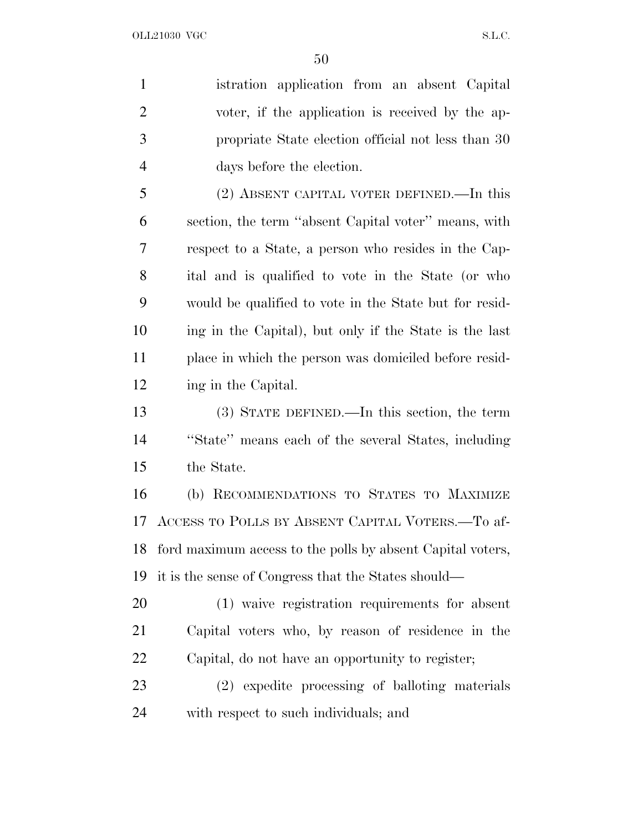istration application from an absent Capital voter, if the application is received by the ap- propriate State election official not less than 30 days before the election.

 (2) ABSENT CAPITAL VOTER DEFINED.—In this section, the term ''absent Capital voter'' means, with respect to a State, a person who resides in the Cap- ital and is qualified to vote in the State (or who would be qualified to vote in the State but for resid- ing in the Capital), but only if the State is the last place in which the person was domiciled before resid-ing in the Capital.

 (3) STATE DEFINED.—In this section, the term ''State'' means each of the several States, including the State.

 (b) RECOMMENDATIONS TO STATES TO MAXIMIZE ACCESS TO POLLS BY ABSENT CAPITAL VOTERS.—To af- ford maximum access to the polls by absent Capital voters, it is the sense of Congress that the States should—

 (1) waive registration requirements for absent Capital voters who, by reason of residence in the Capital, do not have an opportunity to register;

 (2) expedite processing of balloting materials with respect to such individuals; and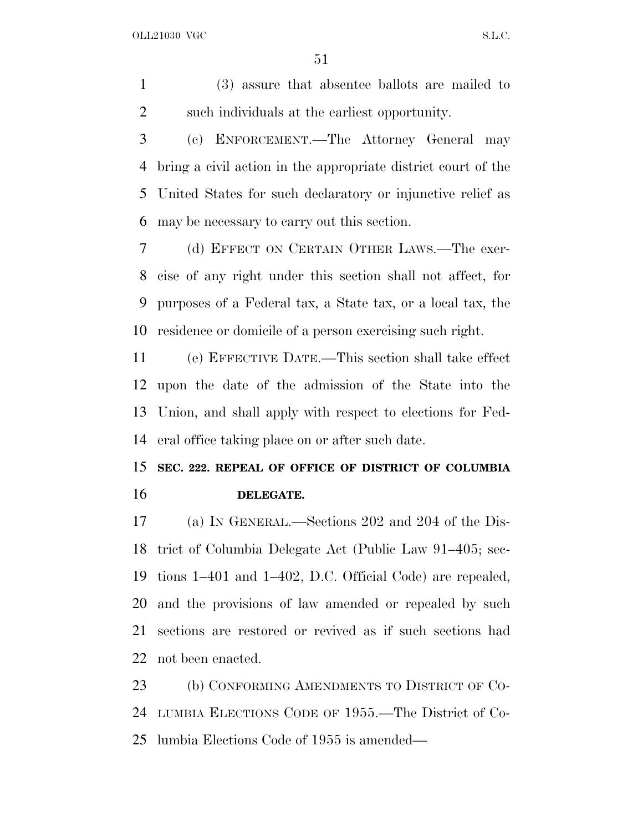(3) assure that absentee ballots are mailed to such individuals at the earliest opportunity.

 (c) ENFORCEMENT.—The Attorney General may bring a civil action in the appropriate district court of the United States for such declaratory or injunctive relief as may be necessary to carry out this section.

 (d) EFFECT ON CERTAIN OTHER LAWS.—The exer- cise of any right under this section shall not affect, for purposes of a Federal tax, a State tax, or a local tax, the residence or domicile of a person exercising such right.

 (e) EFFECTIVE DATE.—This section shall take effect upon the date of the admission of the State into the Union, and shall apply with respect to elections for Fed-eral office taking place on or after such date.

## **SEC. 222. REPEAL OF OFFICE OF DISTRICT OF COLUMBIA DELEGATE.**

 (a) I<sup>N</sup> GENERAL.—Sections 202 and 204 of the Dis- trict of Columbia Delegate Act (Public Law 91–405; sec- tions 1–401 and 1–402, D.C. Official Code) are repealed, and the provisions of law amended or repealed by such sections are restored or revived as if such sections had not been enacted.

 (b) CONFORMING AMENDMENTS TO DISTRICT OF CO- LUMBIA ELECTIONS CODE OF 1955.—The District of Co-lumbia Elections Code of 1955 is amended—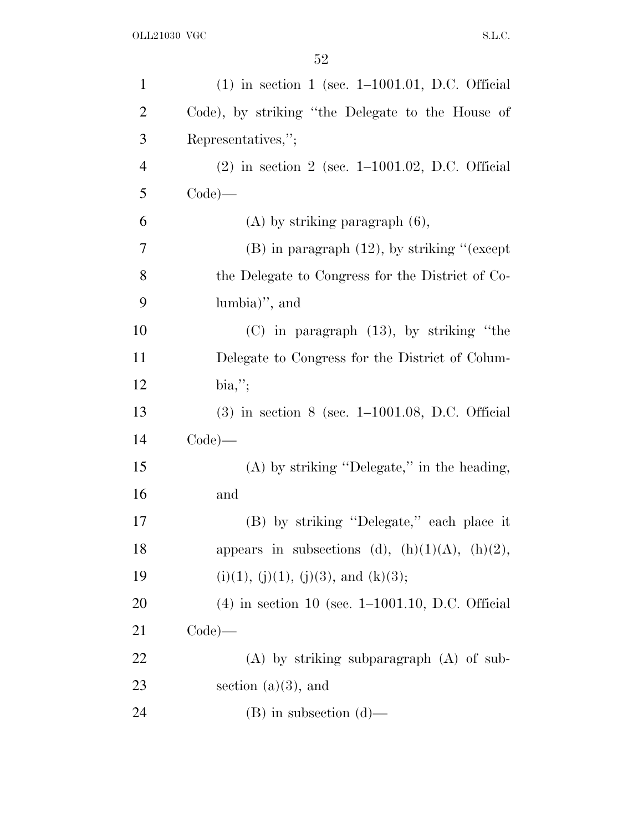| $\mathbf{1}$   | $(1)$ in section 1 (sec. 1–1001.01, D.C. Official    |
|----------------|------------------------------------------------------|
| $\overline{2}$ | Code), by striking "the Delegate to the House of     |
| 3              | Representatives,";                                   |
| $\overline{4}$ | $(2)$ in section 2 (sec. 1–1001.02, D.C. Official    |
| 5              | $Code)$ —                                            |
| 6              | $(A)$ by striking paragraph $(6)$ ,                  |
| 7              | $(B)$ in paragraph $(12)$ , by striking "(except     |
| 8              | the Delegate to Congress for the District of Co-     |
| 9              | $lumbia$ , and                                       |
| 10             | $(C)$ in paragraph $(13)$ , by striking "the         |
| 11             | Delegate to Congress for the District of Colum-      |
| 12             | bia,";                                               |
| 13             | $(3)$ in section 8 (sec. 1–1001.08, D.C. Official    |
| 14             | $Code)$ —                                            |
| 15             | $(A)$ by striking "Delegate," in the heading,        |
| 16             | and                                                  |
| 17             | (B) by striking "Delegate," each place it            |
| 18             | appears in subsections (d), $(h)(1)(A)$ , $(h)(2)$ , |
| 19             | $(i)(1), (j)(1), (j)(3),$ and $(k)(3);$              |
| 20             | $(4)$ in section 10 (sec. 1–1001.10, D.C. Official   |
| 21             | $Code)$ —                                            |
| 22             | $(A)$ by striking subparagraph $(A)$ of sub-         |
| 23             | section $(a)(3)$ , and                               |
| 24             | $(B)$ in subsection $(d)$ —                          |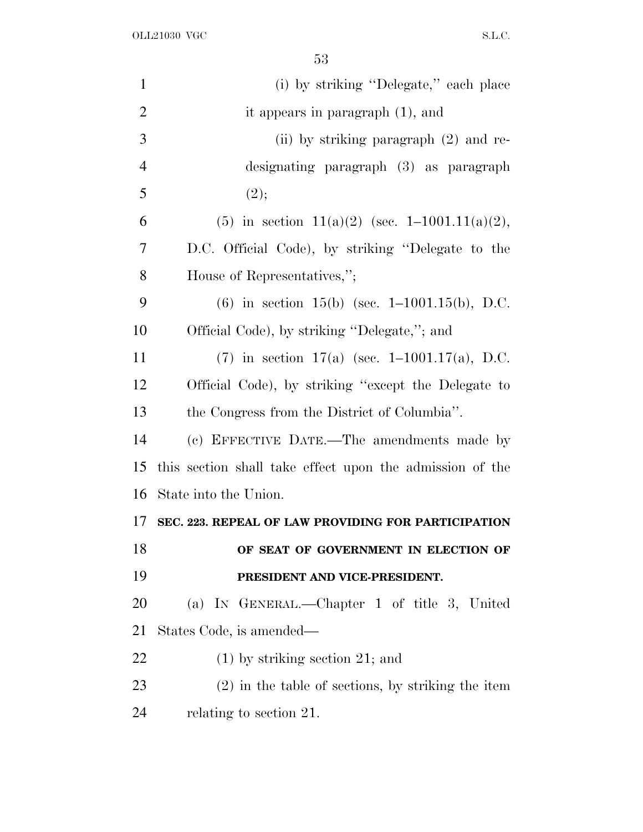| $\mathbf{1}$   | (i) by striking "Delegate," each place                   |
|----------------|----------------------------------------------------------|
| $\overline{2}$ | it appears in paragraph $(1)$ , and                      |
| 3              | (ii) by striking paragraph $(2)$ and re-                 |
| $\overline{4}$ | designating paragraph (3) as paragraph                   |
| 5              | (2);                                                     |
| 6              | (5) in section 11(a)(2) (sec. 1-1001.11(a)(2),           |
| 7              | D.C. Official Code), by striking "Delegate to the        |
| 8              | House of Representatives,";                              |
| 9              | $(6)$ in section 15(b) (sec. 1–1001.15(b), D.C.          |
| 10             | Official Code), by striking "Delegate,"; and             |
| 11             | (7) in section 17(a) (sec. $1-1001.17(a)$ , D.C.         |
| 12             | Official Code), by striking "except the Delegate to      |
| 13             | the Congress from the District of Columbia".             |
| 14             | (c) EFFECTIVE DATE.—The amendments made by               |
| 15             | this section shall take effect upon the admission of the |
| 16             | State into the Union.                                    |
| 17             | SEC. 223. REPEAL OF LAW PROVIDING FOR PARTICIPATION      |
| 18             | OF SEAT OF GOVERNMENT IN ELECTION OF                     |
| 19             | PRESIDENT AND VICE-PRESIDENT.                            |
| <b>20</b>      | (a) IN GENERAL.—Chapter 1 of title 3, United             |
| 21             | States Code, is amended—                                 |
| 22             | $(1)$ by striking section 21; and                        |
| 23             | $(2)$ in the table of sections, by striking the item     |
| 24             | relating to section 21.                                  |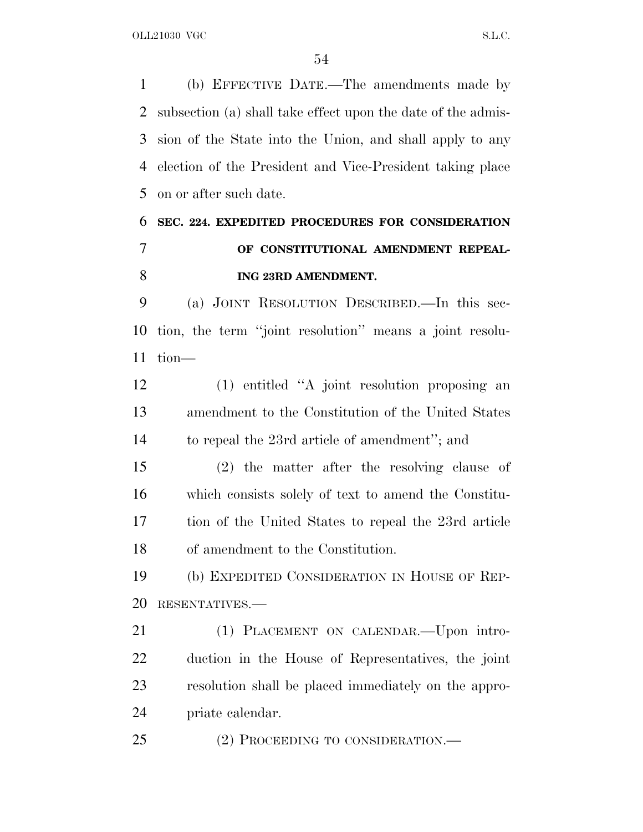(b) EFFECTIVE DATE.—The amendments made by subsection (a) shall take effect upon the date of the admis- sion of the State into the Union, and shall apply to any election of the President and Vice-President taking place on or after such date.

## **SEC. 224. EXPEDITED PROCEDURES FOR CONSIDERATION OF CONSTITUTIONAL AMENDMENT REPEAL-ING 23RD AMENDMENT.**

 (a) JOINT RESOLUTION DESCRIBED.—In this sec- tion, the term ''joint resolution'' means a joint resolu-tion—

 (1) entitled ''A joint resolution proposing an amendment to the Constitution of the United States to repeal the 23rd article of amendment''; and

 (2) the matter after the resolving clause of which consists solely of text to amend the Constitu- tion of the United States to repeal the 23rd article of amendment to the Constitution.

 (b) EXPEDITED CONSIDERATION IN HOUSE OF REP-RESENTATIVES.—

 (1) PLACEMENT ON CALENDAR.—Upon intro- duction in the House of Representatives, the joint resolution shall be placed immediately on the appro-priate calendar.

25 (2) PROCEEDING TO CONSIDERATION.—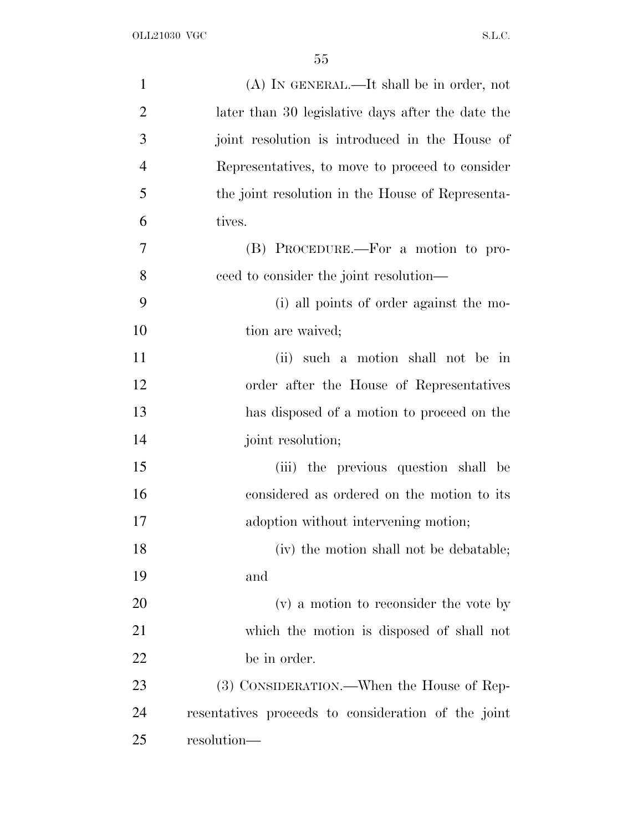| $\mathbf{1}$   | $(A)$ In GENERAL.—It shall be in order, not         |
|----------------|-----------------------------------------------------|
| $\overline{2}$ | later than 30 legislative days after the date the   |
| 3              | joint resolution is introduced in the House of      |
| $\overline{4}$ | Representatives, to move to proceed to consider     |
| 5              | the joint resolution in the House of Representa-    |
| 6              | tives.                                              |
| 7              | (B) PROCEDURE.—For a motion to pro-                 |
| 8              | ceed to consider the joint resolution—              |
| 9              | (i) all points of order against the mo-             |
| 10             | tion are waived;                                    |
| 11             | (ii) such a motion shall not be in                  |
| 12             | order after the House of Representatives            |
| 13             | has disposed of a motion to proceed on the          |
| 14             | joint resolution;                                   |
| 15             | (iii) the previous question shall be                |
| 16             | considered as ordered on the motion to its          |
| 17             | adoption without intervening motion;                |
| 18             | (iv) the motion shall not be debatable;             |
| 19             | and                                                 |
| 20             | (v) a motion to reconsider the vote by              |
| 21             | which the motion is disposed of shall not           |
| <u>22</u>      | be in order.                                        |
| 23             | (3) CONSIDERATION.—When the House of Rep-           |
| 24             | resentatives proceeds to consideration of the joint |
| 25             | resolution—                                         |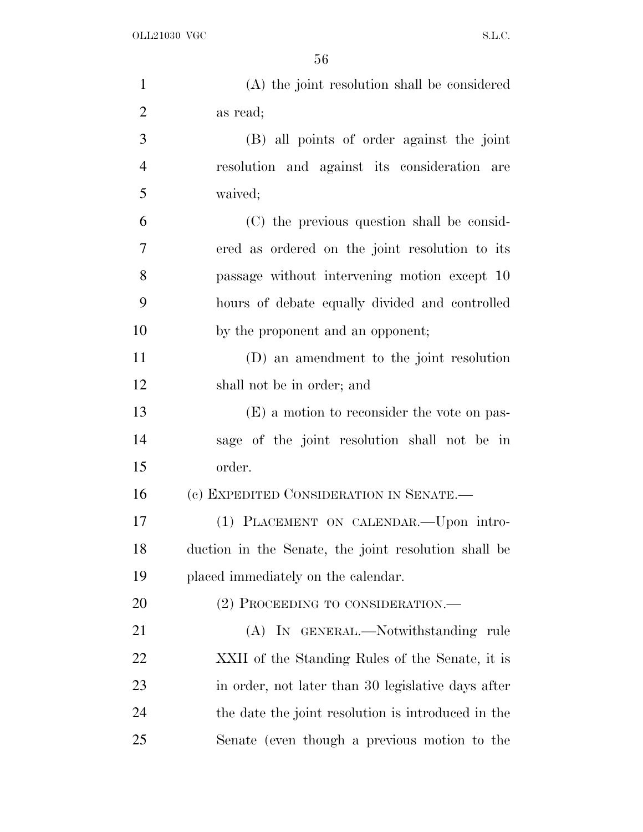| $\mathbf{1}$   | (A) the joint resolution shall be considered         |
|----------------|------------------------------------------------------|
| $\overline{2}$ | as read;                                             |
| 3              | (B) all points of order against the joint            |
| $\overline{4}$ | resolution and against its consideration are         |
| 5              | waived;                                              |
| 6              | (C) the previous question shall be consid-           |
| 7              | ered as ordered on the joint resolution to its       |
| 8              | passage without intervening motion except 10         |
| 9              | hours of debate equally divided and controlled       |
| 10             | by the proponent and an opponent;                    |
| 11             | (D) an amendment to the joint resolution             |
| 12             | shall not be in order; and                           |
| 13             | (E) a motion to reconsider the vote on pas-          |
| 14             | sage of the joint resolution shall not be in         |
| 15             | order.                                               |
| 16             | (c) EXPEDITED CONSIDERATION IN SENATE.—              |
| 17             | (1) PLACEMENT ON CALENDAR. - Upon intro-             |
| 18             | duction in the Senate, the joint resolution shall be |
| 19             | placed immediately on the calendar.                  |
| 20             | (2) PROCEEDING TO CONSIDERATION.—                    |
| 21             | (A) IN GENERAL.—Notwithstanding rule                 |
| 22             | XXII of the Standing Rules of the Senate, it is      |
| 23             | in order, not later than 30 legislative days after   |
| 24             | the date the joint resolution is introduced in the   |
| 25             | Senate (even though a previous motion to the         |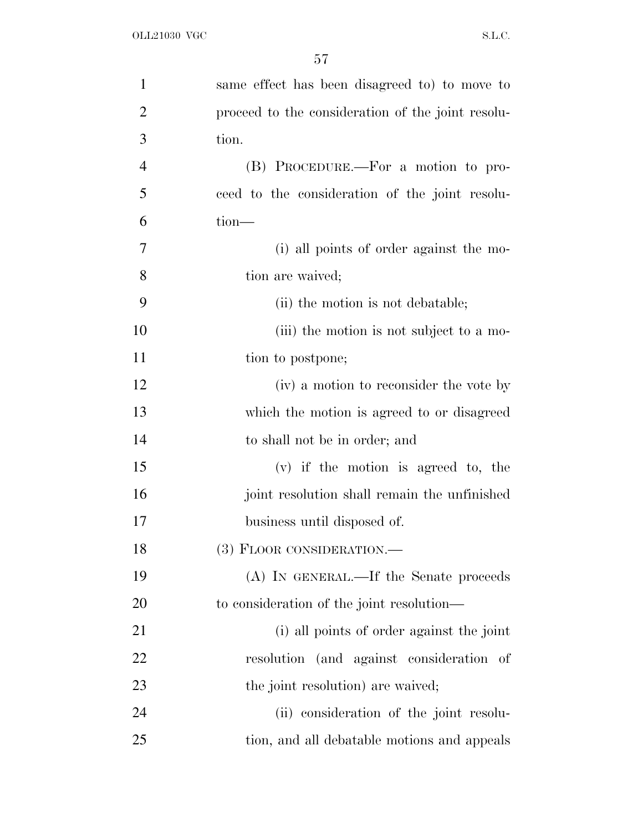| $\mathbf{1}$   | same effect has been disagreed to to move to      |
|----------------|---------------------------------------------------|
| $\overline{2}$ | proceed to the consideration of the joint resolu- |
| 3              | tion.                                             |
| $\overline{4}$ | (B) PROCEDURE.—For a motion to pro-               |
| 5              | ceed to the consideration of the joint resolu-    |
| 6              | $tion$ —                                          |
| 7              | (i) all points of order against the mo-           |
| 8              | tion are waived;                                  |
| 9              | (ii) the motion is not debatable;                 |
| 10             | (iii) the motion is not subject to a mo-          |
| 11             | tion to postpone;                                 |
| 12             | (iv) a motion to reconsider the vote by           |
| 13             | which the motion is agreed to or disagreed        |
| 14             | to shall not be in order; and                     |
| 15             | $(v)$ if the motion is agreed to, the             |
| 16             | joint resolution shall remain the unfinished      |
| 17             | business until disposed of.                       |
| 18             | (3) FLOOR CONSIDERATION.—                         |
| 19             | (A) IN GENERAL.—If the Senate proceeds            |
| 20             | to consideration of the joint resolution—         |
| 21             | (i) all points of order against the joint         |
| 22             | resolution (and against consideration of          |
| 23             | the joint resolution) are waived;                 |
| 24             | (ii) consideration of the joint resolu-           |
| 25             | tion, and all debatable motions and appeals       |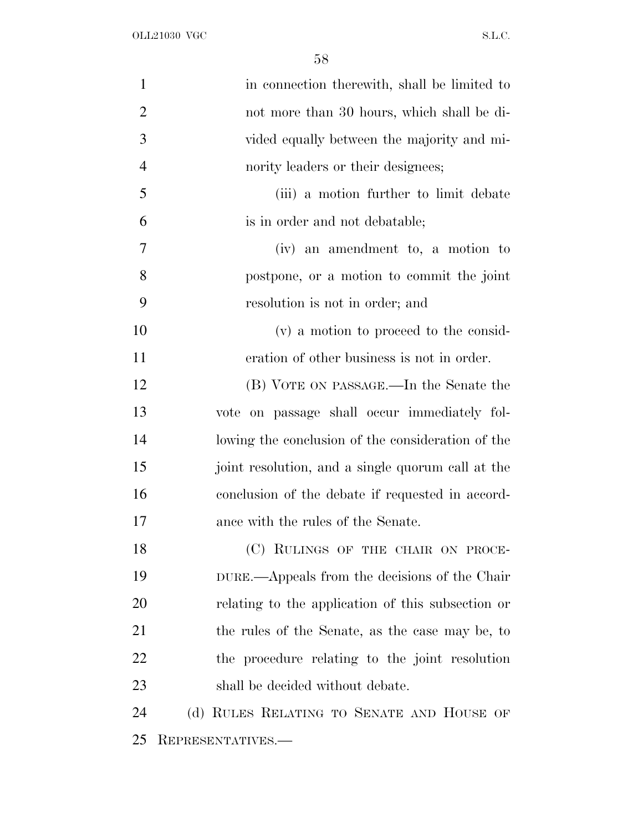| $\mathbf{1}$   | in connection therewith, shall be limited to      |
|----------------|---------------------------------------------------|
| $\overline{2}$ | not more than 30 hours, which shall be di-        |
| 3              | vided equally between the majority and mi-        |
| $\overline{4}$ | nority leaders or their designees;                |
| 5              | (iii) a motion further to limit debate            |
| 6              | is in order and not debatable;                    |
| 7              | (iv) an amendment to, a motion to                 |
| 8              | postpone, or a motion to commit the joint         |
| 9              | resolution is not in order; and                   |
| 10             | (v) a motion to proceed to the consid-            |
| 11             | eration of other business is not in order.        |
| 12             | (B) VOTE ON PASSAGE.—In the Senate the            |
| 13             | vote on passage shall occur immediately fol-      |
| 14             | lowing the conclusion of the consideration of the |
| 15             | joint resolution, and a single quorum call at the |
| 16             | conclusion of the debate if requested in accord-  |
| 17             | ance with the rules of the Senate.                |
| 18             | (C) RULINGS OF THE CHAIR ON PROCE-                |
| 19             | DURE.—Appeals from the decisions of the Chair     |
| 20             | relating to the application of this subsection or |
| 21             | the rules of the Senate, as the case may be, to   |
| 22             | the procedure relating to the joint resolution    |
| 23             | shall be decided without debate.                  |
| 24             | (d) RULES RELATING TO SENATE AND HOUSE OF         |
| 25             | REPRESENTATIVES.-                                 |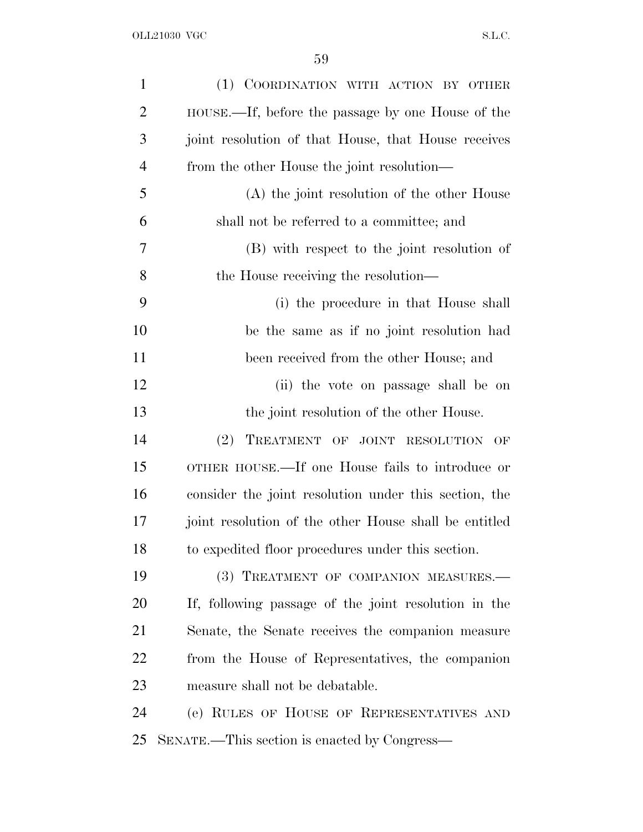| $\mathbf{1}$   | (1) COORDINATION WITH ACTION BY OTHER                 |
|----------------|-------------------------------------------------------|
| $\overline{2}$ | HOUSE.—If, before the passage by one House of the     |
| 3              | joint resolution of that House, that House receives   |
| $\overline{4}$ | from the other House the joint resolution—            |
| 5              | (A) the joint resolution of the other House           |
| 6              | shall not be referred to a committee; and             |
| 7              | (B) with respect to the joint resolution of           |
| 8              | the House receiving the resolution—                   |
| 9              | (i) the procedure in that House shall                 |
| 10             | be the same as if no joint resolution had             |
| 11             | been received from the other House; and               |
| 12             | (ii) the vote on passage shall be on                  |
| 13             | the joint resolution of the other House.              |
| 14             | TREATMENT OF JOINT RESOLUTION<br>(2)<br>OF            |
| 15             | OTHER HOUSE.—If one House fails to introduce or       |
| 16             | consider the joint resolution under this section, the |
| 17             | joint resolution of the other House shall be entitled |
| 18             | to expedited floor procedures under this section.     |
| 19             | (3) TREATMENT OF COMPANION MEASURES.-                 |
| 20             | If, following passage of the joint resolution in the  |
| 21             | Senate, the Senate receives the companion measure     |
| 22             | from the House of Representatives, the companion      |
| 23             | measure shall not be debatable.                       |
| 24             | (e) RULES OF HOUSE OF REPRESENTATIVES AND             |
| 25             | SENATE.—This section is enacted by Congress—          |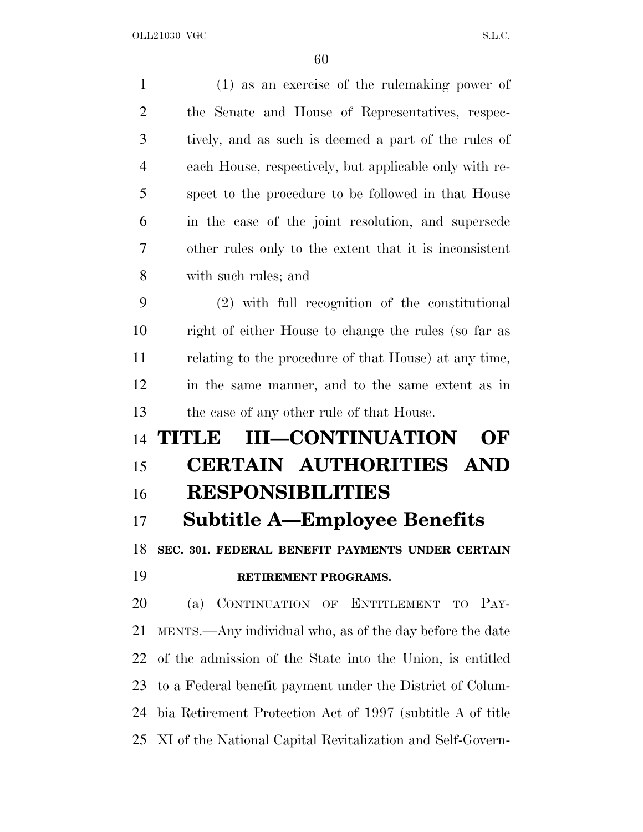(1) as an exercise of the rulemaking power of the Senate and House of Representatives, respec- tively, and as such is deemed a part of the rules of each House, respectively, but applicable only with re- spect to the procedure to be followed in that House in the case of the joint resolution, and supersede other rules only to the extent that it is inconsistent with such rules; and (2) with full recognition of the constitutional right of either House to change the rules (so far as relating to the procedure of that House) at any time, in the same manner, and to the same extent as in the case of any other rule of that House. **TITLE III—CONTINUATION OF CERTAIN AUTHORITIES AND RESPONSIBILITIES Subtitle A—Employee Benefits SEC. 301. FEDERAL BENEFIT PAYMENTS UNDER CERTAIN RETIREMENT PROGRAMS.** (a) CONTINUATION OF ENTITLEMENT TO PAY- MENTS.—Any individual who, as of the day before the date of the admission of the State into the Union, is entitled to a Federal benefit payment under the District of Colum- bia Retirement Protection Act of 1997 (subtitle A of title XI of the National Capital Revitalization and Self-Govern-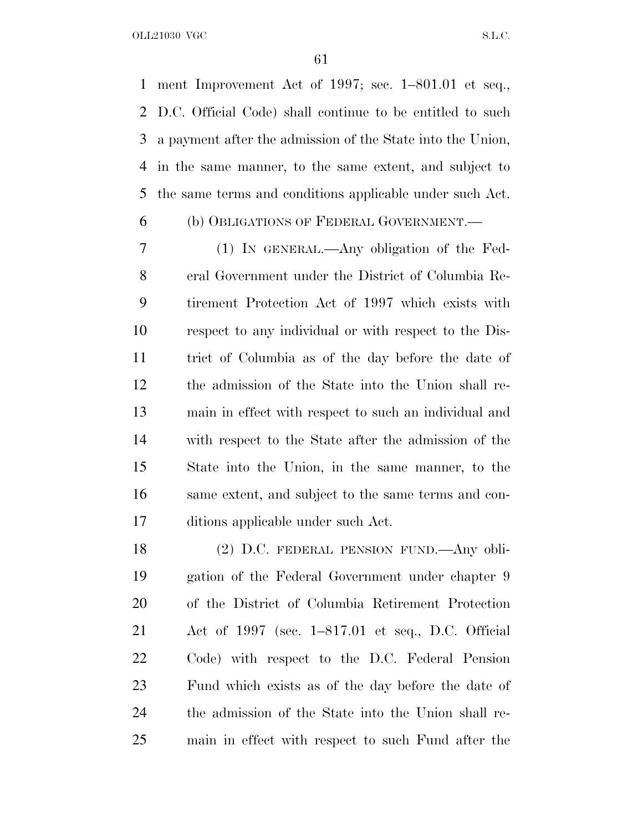ment Improvement Act of 1997; sec. 1–801.01 et seq., D.C. Official Code) shall continue to be entitled to such a payment after the admission of the State into the Union, in the same manner, to the same extent, and subject to the same terms and conditions applicable under such Act.

## (b) OBLIGATIONS OF FEDERAL GOVERNMENT.—

 (1) IN GENERAL.—Any obligation of the Fed- eral Government under the District of Columbia Re- tirement Protection Act of 1997 which exists with respect to any individual or with respect to the Dis- trict of Columbia as of the day before the date of the admission of the State into the Union shall re- main in effect with respect to such an individual and with respect to the State after the admission of the State into the Union, in the same manner, to the same extent, and subject to the same terms and con-ditions applicable under such Act.

 (2) D.C. FEDERAL PENSION FUND.—Any obli- gation of the Federal Government under chapter 9 of the District of Columbia Retirement Protection Act of 1997 (sec. 1–817.01 et seq., D.C. Official Code) with respect to the D.C. Federal Pension Fund which exists as of the day before the date of the admission of the State into the Union shall re-main in effect with respect to such Fund after the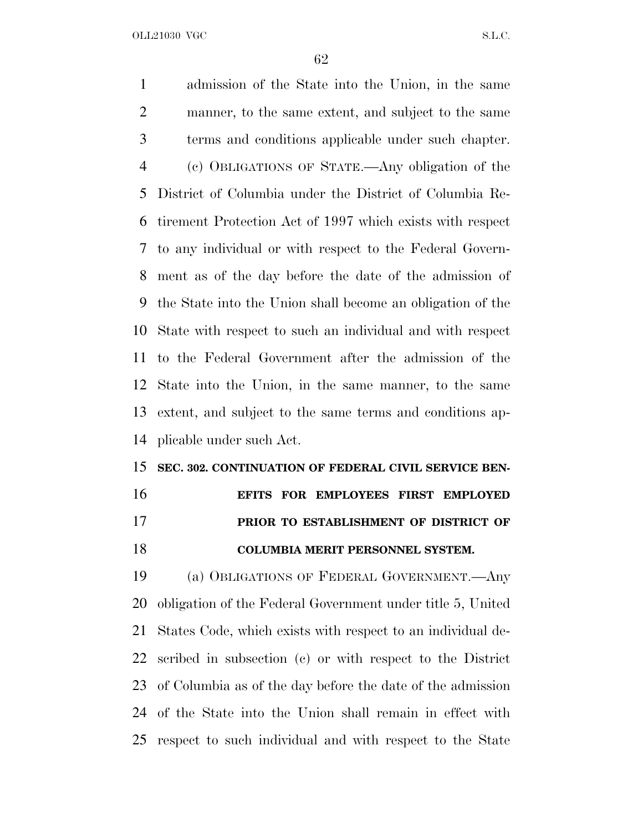admission of the State into the Union, in the same manner, to the same extent, and subject to the same terms and conditions applicable under such chapter. (c) OBLIGATIONS OF STATE.—Any obligation of the District of Columbia under the District of Columbia Re- tirement Protection Act of 1997 which exists with respect to any individual or with respect to the Federal Govern- ment as of the day before the date of the admission of the State into the Union shall become an obligation of the State with respect to such an individual and with respect to the Federal Government after the admission of the State into the Union, in the same manner, to the same extent, and subject to the same terms and conditions ap-plicable under such Act.

#### **SEC. 302. CONTINUATION OF FEDERAL CIVIL SERVICE BEN-**

 **EFITS FOR EMPLOYEES FIRST EMPLOYED PRIOR TO ESTABLISHMENT OF DISTRICT OF COLUMBIA MERIT PERSONNEL SYSTEM.**

 (a) OBLIGATIONS OF FEDERAL GOVERNMENT.—Any obligation of the Federal Government under title 5, United States Code, which exists with respect to an individual de- scribed in subsection (c) or with respect to the District of Columbia as of the day before the date of the admission of the State into the Union shall remain in effect with respect to such individual and with respect to the State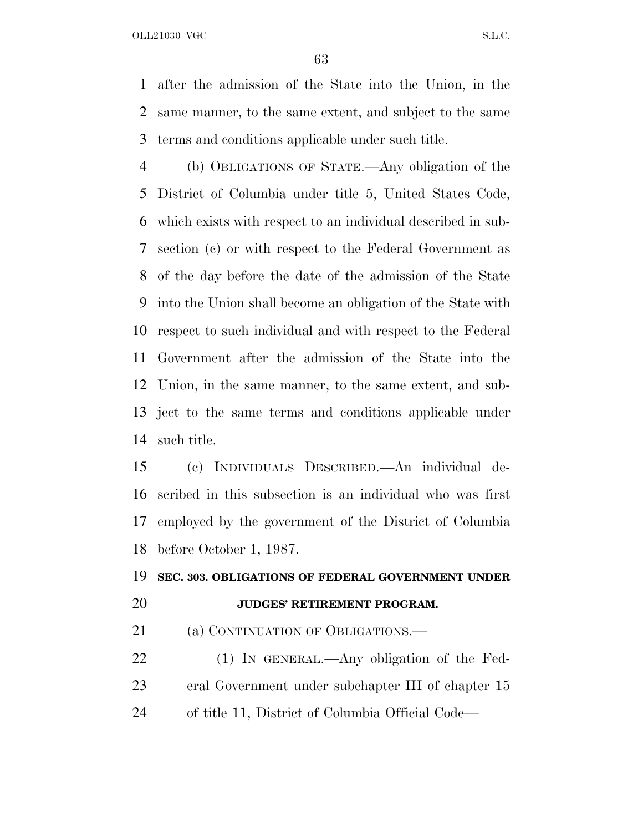after the admission of the State into the Union, in the same manner, to the same extent, and subject to the same terms and conditions applicable under such title.

 (b) OBLIGATIONS OF STATE.—Any obligation of the District of Columbia under title 5, United States Code, which exists with respect to an individual described in sub- section (c) or with respect to the Federal Government as of the day before the date of the admission of the State into the Union shall become an obligation of the State with respect to such individual and with respect to the Federal Government after the admission of the State into the Union, in the same manner, to the same extent, and sub- ject to the same terms and conditions applicable under such title.

 (c) INDIVIDUALS DESCRIBED.—An individual de- scribed in this subsection is an individual who was first employed by the government of the District of Columbia before October 1, 1987.

## **SEC. 303. OBLIGATIONS OF FEDERAL GOVERNMENT UNDER JUDGES' RETIREMENT PROGRAM.**

21 (a) CONTINUATION OF OBLIGATIONS.—

22 (1) IN GENERAL.—Any obligation of the Fed- eral Government under subchapter III of chapter 15 of title 11, District of Columbia Official Code—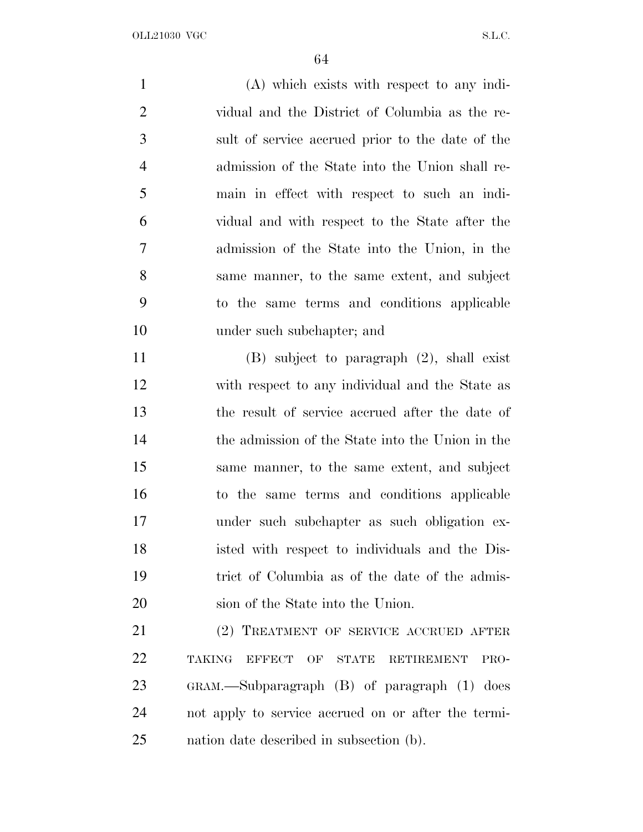(A) which exists with respect to any indi- vidual and the District of Columbia as the re- sult of service accrued prior to the date of the admission of the State into the Union shall re- main in effect with respect to such an indi- vidual and with respect to the State after the admission of the State into the Union, in the same manner, to the same extent, and subject to the same terms and conditions applicable under such subchapter; and (B) subject to paragraph (2), shall exist with respect to any individual and the State as the result of service accrued after the date of the admission of the State into the Union in the same manner, to the same extent, and subject to the same terms and conditions applicable under such subchapter as such obligation ex- isted with respect to individuals and the Dis- trict of Columbia as of the date of the admis-sion of the State into the Union.

 (2) TREATMENT OF SERVICE ACCRUED AFTER TAKING EFFECT OF STATE RETIREMENT PRO- GRAM.—Subparagraph (B) of paragraph (1) does not apply to service accrued on or after the termi-nation date described in subsection (b).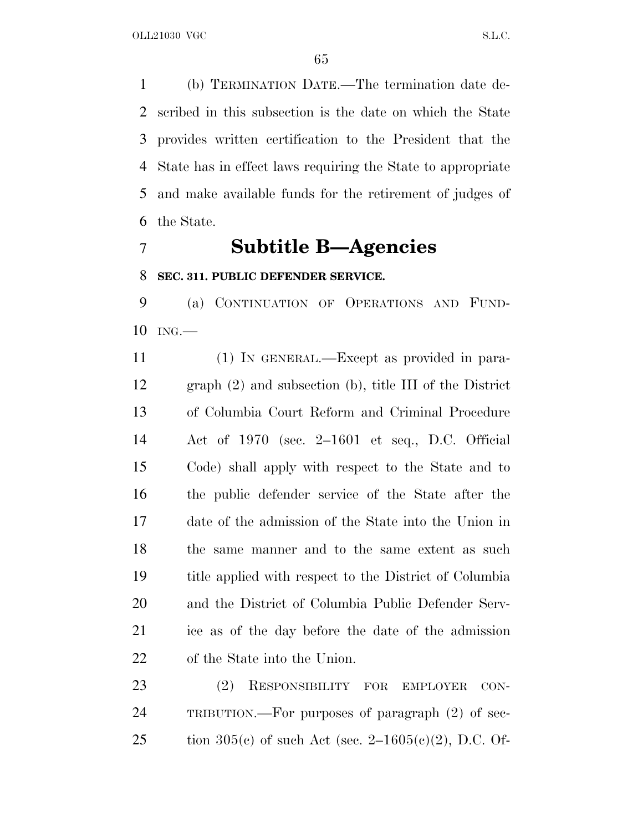(b) TERMINATION DATE.—The termination date de- scribed in this subsection is the date on which the State provides written certification to the President that the State has in effect laws requiring the State to appropriate and make available funds for the retirement of judges of the State.

## **Subtitle B—Agencies**

#### **SEC. 311. PUBLIC DEFENDER SERVICE.**

 (a) CONTINUATION OF OPERATIONS AND FUND-ING.—

 (1) IN GENERAL.—Except as provided in para- graph (2) and subsection (b), title III of the District of Columbia Court Reform and Criminal Procedure Act of 1970 (sec. 2–1601 et seq., D.C. Official Code) shall apply with respect to the State and to the public defender service of the State after the date of the admission of the State into the Union in 18 the same manner and to the same extent as such title applied with respect to the District of Columbia and the District of Columbia Public Defender Serv- ice as of the day before the date of the admission of the State into the Union.

 (2) RESPONSIBILITY FOR EMPLOYER CON- TRIBUTION.—For purposes of paragraph (2) of sec-25 tion 305(c) of such Act (sec.  $2-1605(c)(2)$ , D.C. Of-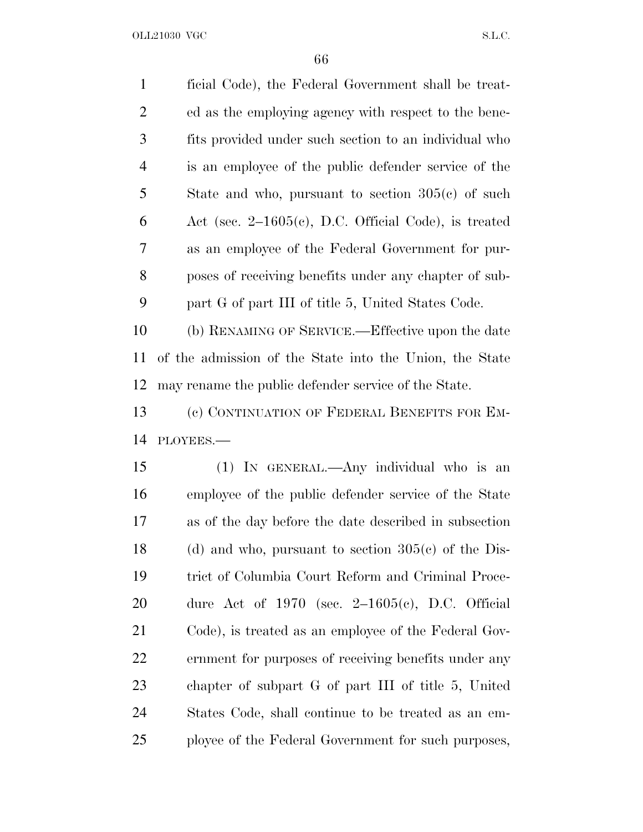ficial Code), the Federal Government shall be treat- ed as the employing agency with respect to the bene- fits provided under such section to an individual who is an employee of the public defender service of the State and who, pursuant to section 305(c) of such Act (sec. 2–1605(c), D.C. Official Code), is treated as an employee of the Federal Government for pur- poses of receiving benefits under any chapter of sub-part G of part III of title 5, United States Code.

 (b) RENAMING OF SERVICE.—Effective upon the date of the admission of the State into the Union, the State may rename the public defender service of the State.

 (c) CONTINUATION OF FEDERAL BENEFITS FOR EM-PLOYEES.—

 (1) IN GENERAL.—Any individual who is an employee of the public defender service of the State as of the day before the date described in subsection 18 (d) and who, pursuant to section  $305(c)$  of the Dis- trict of Columbia Court Reform and Criminal Proce- dure Act of 1970 (sec. 2–1605(c), D.C. Official Code), is treated as an employee of the Federal Gov- ernment for purposes of receiving benefits under any chapter of subpart G of part III of title 5, United States Code, shall continue to be treated as an em-ployee of the Federal Government for such purposes,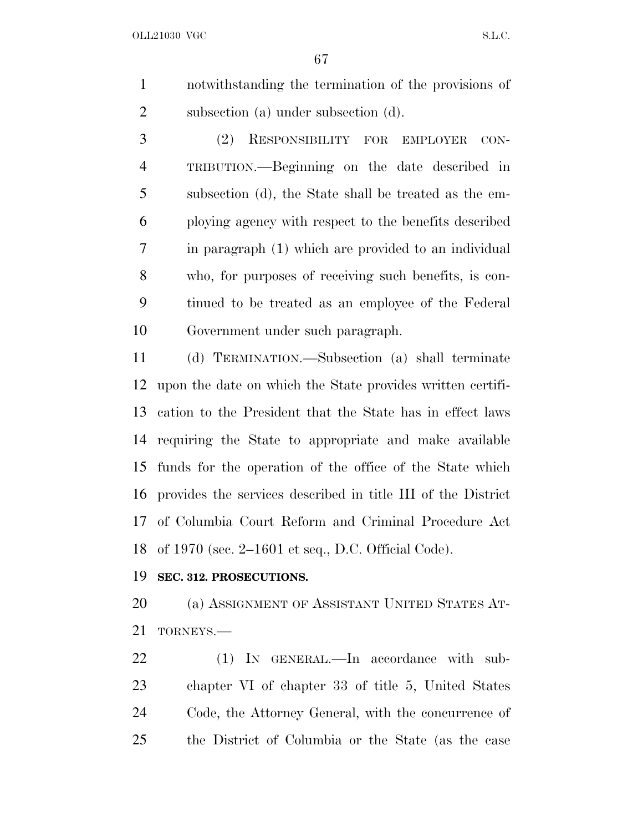notwithstanding the termination of the provisions of subsection (a) under subsection (d).

 (2) RESPONSIBILITY FOR EMPLOYER CON- TRIBUTION.—Beginning on the date described in subsection (d), the State shall be treated as the em- ploying agency with respect to the benefits described in paragraph (1) which are provided to an individual who, for purposes of receiving such benefits, is con- tinued to be treated as an employee of the Federal Government under such paragraph.

 (d) TERMINATION.—Subsection (a) shall terminate upon the date on which the State provides written certifi- cation to the President that the State has in effect laws requiring the State to appropriate and make available funds for the operation of the office of the State which provides the services described in title III of the District of Columbia Court Reform and Criminal Procedure Act of 1970 (sec. 2–1601 et seq., D.C. Official Code).

#### **SEC. 312. PROSECUTIONS.**

20 (a) ASSIGNMENT OF ASSISTANT UNITED STATES AT-TORNEYS.—

22 (1) IN GENERAL.—In accordance with sub- chapter VI of chapter 33 of title 5, United States Code, the Attorney General, with the concurrence of the District of Columbia or the State (as the case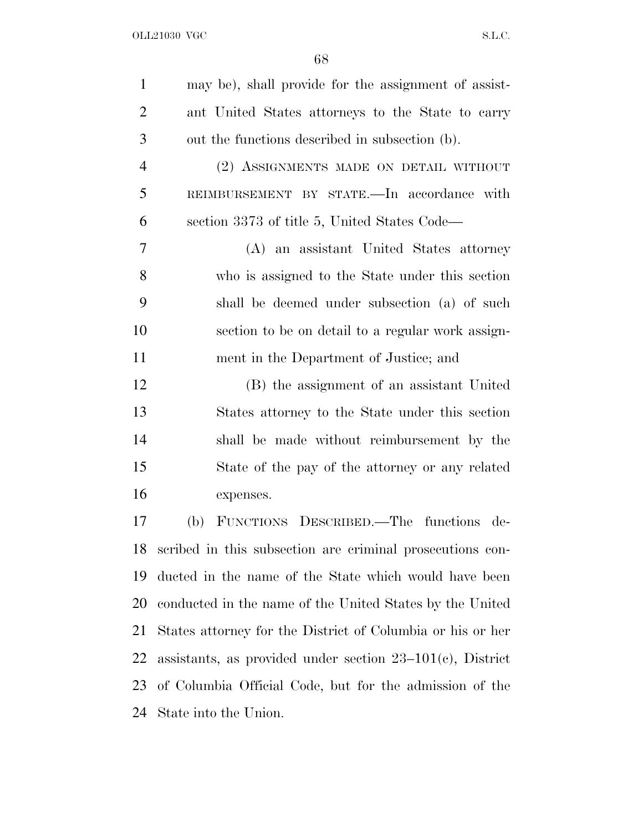| $\mathbf{1}$   | may be), shall provide for the assignment of assist-         |
|----------------|--------------------------------------------------------------|
| $\overline{2}$ | ant United States attorneys to the State to carry            |
| 3              | out the functions described in subsection (b).               |
| $\overline{4}$ | (2) ASSIGNMENTS MADE ON DETAIL WITHOUT                       |
| 5              | REIMBURSEMENT BY STATE.—In accordance with                   |
| 6              | section 3373 of title 5, United States Code—                 |
| 7              | (A) an assistant United States attorney                      |
| 8              | who is assigned to the State under this section              |
| 9              | shall be deemed under subsection (a) of such                 |
| 10             | section to be on detail to a regular work assign-            |
| 11             | ment in the Department of Justice; and                       |
| 12             | (B) the assignment of an assistant United                    |
| 13             | States attorney to the State under this section              |
| 14             | shall be made without reimbursement by the                   |
| 15             | State of the pay of the attorney or any related              |
| 16             | expenses.                                                    |
| 17             | FUNCTIONS DESCRIBED.—The functions de-<br>(b)                |
| 18             | scribed in this subsection are criminal prosecutions con-    |
| 19             | ducted in the name of the State which would have been        |
| 20             | conducted in the name of the United States by the United     |
| 21             | States attorney for the District of Columbia or his or her   |
| 22             | assistants, as provided under section $23-101(c)$ , District |
| 23             | of Columbia Official Code, but for the admission of the      |
|                |                                                              |

State into the Union.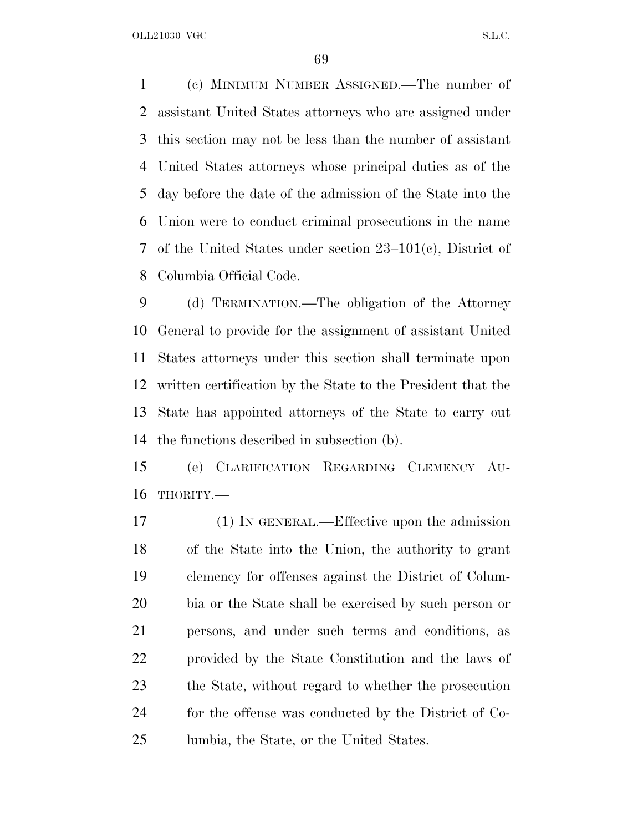(c) MINIMUM NUMBER ASSIGNED.—The number of assistant United States attorneys who are assigned under this section may not be less than the number of assistant United States attorneys whose principal duties as of the day before the date of the admission of the State into the Union were to conduct criminal prosecutions in the name of the United States under section 23–101(c), District of Columbia Official Code.

 (d) TERMINATION.—The obligation of the Attorney General to provide for the assignment of assistant United States attorneys under this section shall terminate upon written certification by the State to the President that the State has appointed attorneys of the State to carry out the functions described in subsection (b).

 (e) CLARIFICATION REGARDING CLEMENCY AU-THORITY.—

 (1) IN GENERAL.—Effective upon the admission of the State into the Union, the authority to grant clemency for offenses against the District of Colum- bia or the State shall be exercised by such person or persons, and under such terms and conditions, as provided by the State Constitution and the laws of the State, without regard to whether the prosecution for the offense was conducted by the District of Co-lumbia, the State, or the United States.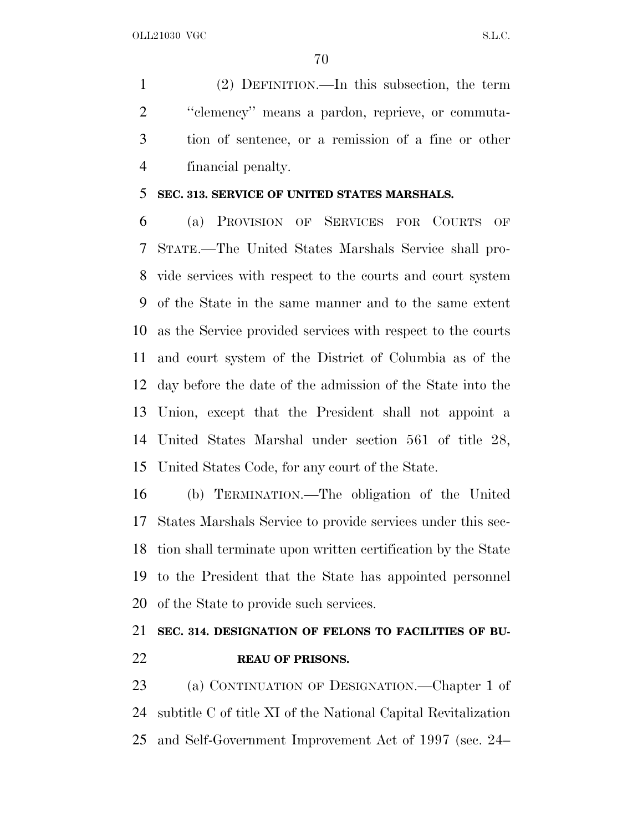(2) DEFINITION.—In this subsection, the term ''clemency'' means a pardon, reprieve, or commuta- tion of sentence, or a remission of a fine or other financial penalty.

#### **SEC. 313. SERVICE OF UNITED STATES MARSHALS.**

 (a) PROVISION OF SERVICES FOR COURTS OF STATE.—The United States Marshals Service shall pro- vide services with respect to the courts and court system of the State in the same manner and to the same extent as the Service provided services with respect to the courts and court system of the District of Columbia as of the day before the date of the admission of the State into the Union, except that the President shall not appoint a United States Marshal under section 561 of title 28, United States Code, for any court of the State.

 (b) TERMINATION.—The obligation of the United States Marshals Service to provide services under this sec- tion shall terminate upon written certification by the State to the President that the State has appointed personnel of the State to provide such services.

## **SEC. 314. DESIGNATION OF FELONS TO FACILITIES OF BU-REAU OF PRISONS.**

 (a) CONTINUATION OF DESIGNATION.—Chapter 1 of subtitle C of title XI of the National Capital Revitalization and Self-Government Improvement Act of 1997 (sec. 24–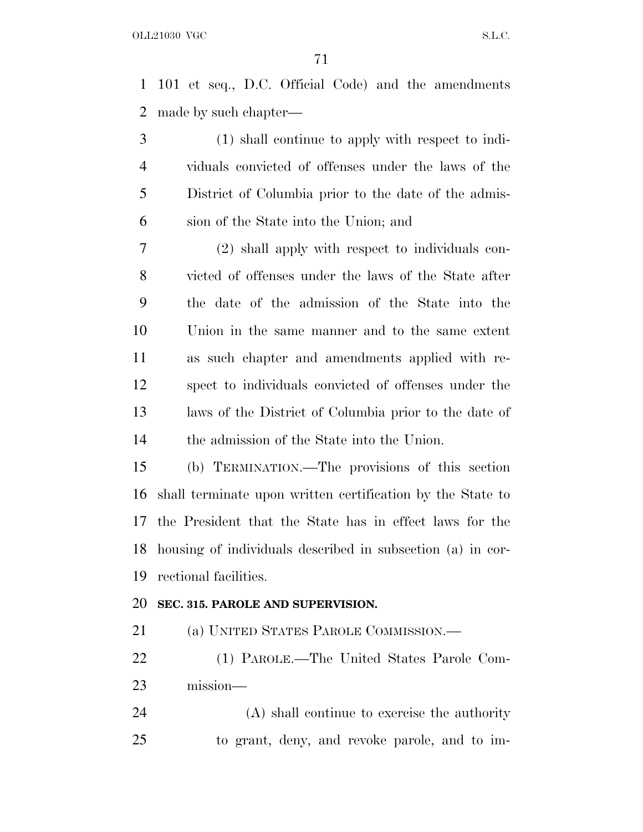101 et seq., D.C. Official Code) and the amendments made by such chapter—

 (1) shall continue to apply with respect to indi- viduals convicted of offenses under the laws of the District of Columbia prior to the date of the admis-sion of the State into the Union; and

 (2) shall apply with respect to individuals con- victed of offenses under the laws of the State after the date of the admission of the State into the Union in the same manner and to the same extent as such chapter and amendments applied with re- spect to individuals convicted of offenses under the laws of the District of Columbia prior to the date of the admission of the State into the Union.

 (b) TERMINATION.—The provisions of this section shall terminate upon written certification by the State to the President that the State has in effect laws for the housing of individuals described in subsection (a) in cor-rectional facilities.

### **SEC. 315. PAROLE AND SUPERVISION.**

(a) UNITED STATES PAROLE COMMISSION.—

 (1) PAROLE.—The United States Parole Com-mission—

 (A) shall continue to exercise the authority to grant, deny, and revoke parole, and to im-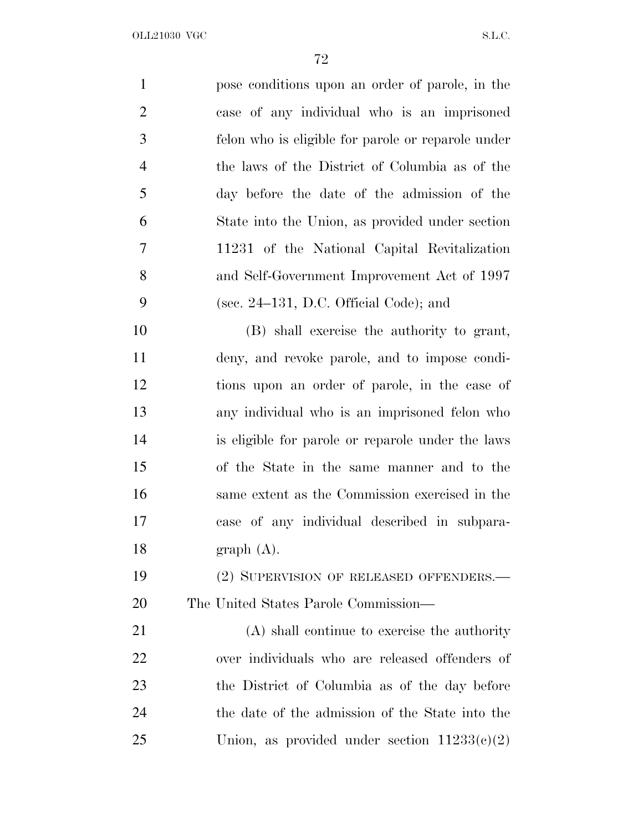| $\mathbf{1}$   | pose conditions upon an order of parole, in the    |
|----------------|----------------------------------------------------|
| $\overline{2}$ | case of any individual who is an imprisoned        |
| 3              | felon who is eligible for parole or reparole under |
| $\overline{4}$ | the laws of the District of Columbia as of the     |
| 5              | day before the date of the admission of the        |
| 6              | State into the Union, as provided under section    |
| 7              | 11231 of the National Capital Revitalization       |
| 8              | and Self-Government Improvement Act of 1997        |
| 9              | (sec. $24-131$ , D.C. Official Code); and          |
| 10             | (B) shall exercise the authority to grant,         |
| 11             | deny, and revoke parole, and to impose condi-      |
| 12             | tions upon an order of parole, in the case of      |
| 13             | any individual who is an imprisoned felon who      |
| 14             | is eligible for parole or reparole under the laws  |
| 15             | of the State in the same manner and to the         |
| 16             | same extent as the Commission exercised in the     |
| 17             | case of any individual described in subpara-       |
| 18             | graph(A).                                          |
| 19             | (2) SUPERVISION OF RELEASED OFFENDERS.—            |
| 20             | The United States Parole Commission—               |
| 21             | (A) shall continue to exercise the authority       |
| 22             | over individuals who are released offenders of     |
| 23             | the District of Columbia as of the day before      |
| 24             | the date of the admission of the State into the    |
| 25             | Union, as provided under section $11233(e)(2)$     |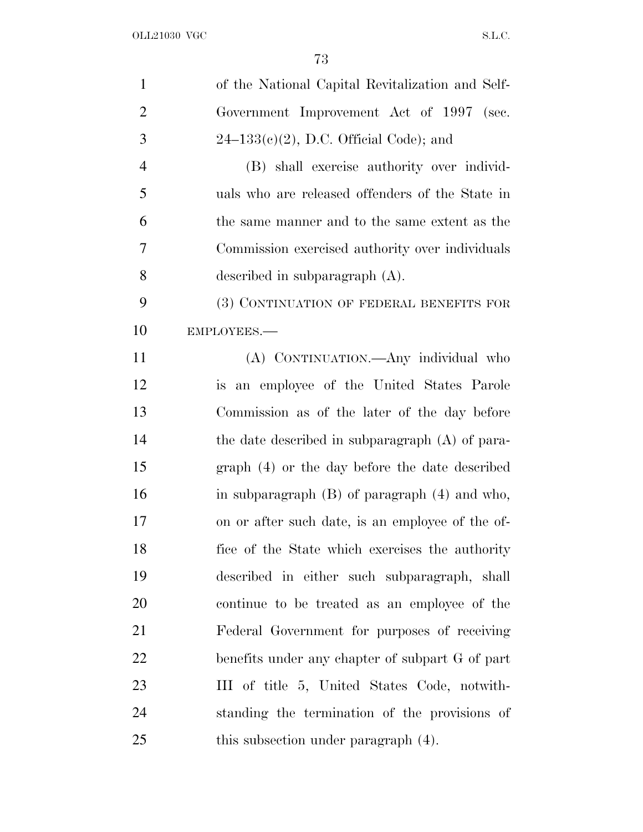| $\mathbf{1}$   | of the National Capital Revitalization and Self-  |
|----------------|---------------------------------------------------|
| $\overline{2}$ | Government Improvement Act of 1997 (sec.          |
| 3              | $24-133(e)(2)$ , D.C. Official Code); and         |
| $\overline{4}$ | (B) shall exercise authority over individ-        |
| 5              | uals who are released offenders of the State in   |
| 6              | the same manner and to the same extent as the     |
| 7              | Commission exercised authority over individuals   |
| 8              | described in subparagraph $(A)$ .                 |
| 9              | (3) CONTINUATION OF FEDERAL BENEFITS FOR          |
| 10             | EMPLOYEES.-                                       |
| 11             | (A) CONTINUATION. Any individual who              |
| 12             | is an employee of the United States Parole        |
| 13             | Commission as of the later of the day before      |
| 14             | the date described in subparagraph (A) of para-   |
| 15             | graph (4) or the day before the date described    |
| 16             | in subparagraph $(B)$ of paragraph $(4)$ and who, |
| 17             | on or after such date, is an employee of the of-  |
| 18             | fice of the State which exercises the authority   |
| 19             | described in either such subparagraph, shall      |
| 20             | continue to be treated as an employee of the      |
| 21             | Federal Government for purposes of receiving      |
| 22             | benefits under any chapter of subpart G of part   |
| 23             | III of title 5, United States Code, notwith-      |
| 24             | standing the termination of the provisions of     |
| 25             | this subsection under paragraph (4).              |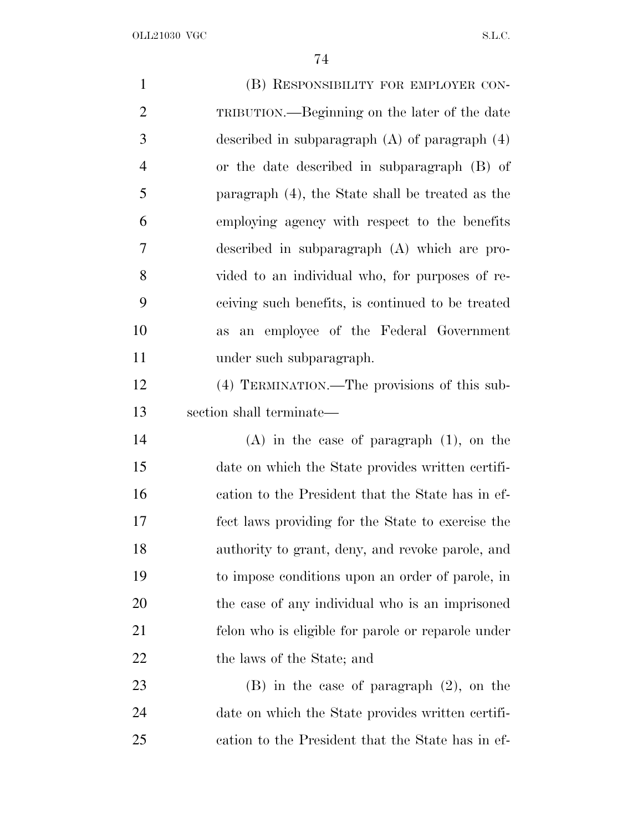OLL21030 VGC  $S.L.C.$ 

| $\mathbf{1}$   | (B) RESPONSIBILITY FOR EMPLOYER CON-               |
|----------------|----------------------------------------------------|
| $\overline{2}$ | TRIBUTION.—Beginning on the later of the date      |
| 3              | described in subparagraph $(A)$ of paragraph $(4)$ |
| $\overline{4}$ | or the date described in subparagraph (B) of       |
| 5              | paragraph (4), the State shall be treated as the   |
| 6              | employing agency with respect to the benefits      |
| 7              | described in subparagraph (A) which are pro-       |
| 8              | vided to an individual who, for purposes of re-    |
| 9              | ceiving such benefits, is continued to be treated  |
| 10             | an employee of the Federal Government<br>as        |
| 11             | under such subparagraph.                           |
| 12             | (4) TERMINATION.—The provisions of this sub-       |
| 13             | section shall terminate—                           |
| 14             | $(A)$ in the case of paragraph $(1)$ , on the      |
| 15             | date on which the State provides written certifi-  |
| 16             | cation to the President that the State has in ef-  |
| 17             | fect laws providing for the State to exercise the  |
| 18             | authority to grant, deny, and revoke parole, and   |
| 19             | to impose conditions upon an order of parole, in   |
| 20             | the case of any individual who is an imprisoned    |
| 21             | felon who is eligible for parole or reparole under |
| 22             | the laws of the State; and                         |
| 23             | $(B)$ in the case of paragraph $(2)$ , on the      |
| 24             | date on which the State provides written certifi-  |
| 25             | cation to the President that the State has in ef-  |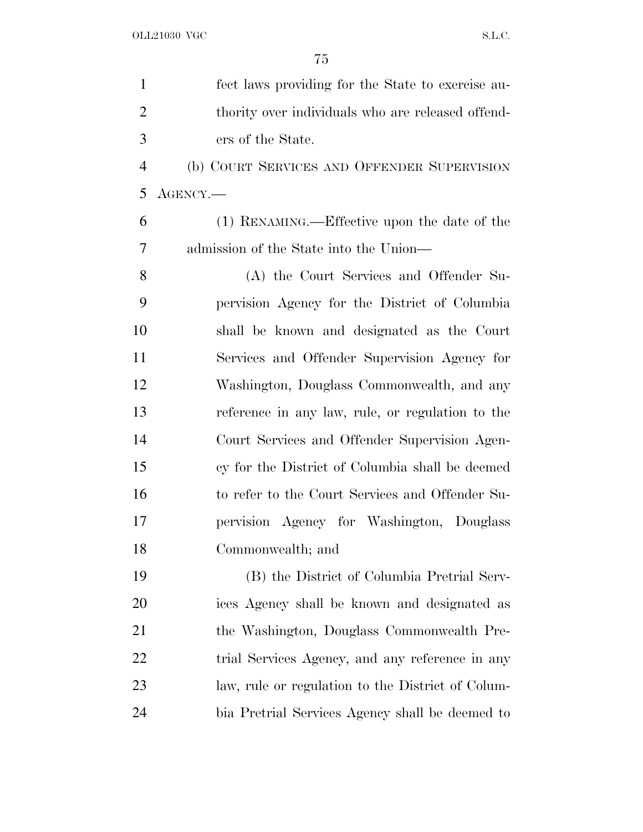| $\mathbf{1}$   | fect laws providing for the State to exercise au- |
|----------------|---------------------------------------------------|
| $\overline{2}$ | thority over individuals who are released offend- |
| 3              | ers of the State.                                 |
| $\overline{4}$ | (b) COURT SERVICES AND OFFENDER SUPERVISION       |
| 5              | $\text{AGENCY.}$                                  |
| 6              | (1) RENAMING.—Effective upon the date of the      |
| 7              | admission of the State into the Union—            |
| 8              | (A) the Court Services and Offender Su-           |
| 9              | pervision Agency for the District of Columbia     |
| 10             | shall be known and designated as the Court        |
| 11             | Services and Offender Supervision Agency for      |
| 12             | Washington, Douglass Commonwealth, and any        |
| 13             | reference in any law, rule, or regulation to the  |
| 14             | Court Services and Offender Supervision Agen-     |
| 15             | cy for the District of Columbia shall be deemed   |
| 16             | to refer to the Court Services and Offender Su-   |
| 17             | pervision Agency for Washington, Douglass         |
| 18             | Commonwealth; and                                 |
| 19             | (B) the District of Columbia Pretrial Serv-       |
| 20             | ices Agency shall be known and designated as      |
| 21             | the Washington, Douglass Commonwealth Pre-        |
| 22             | trial Services Agency, and any reference in any   |
| 23             | law, rule or regulation to the District of Colum- |
| 24             | bia Pretrial Services Agency shall be deemed to   |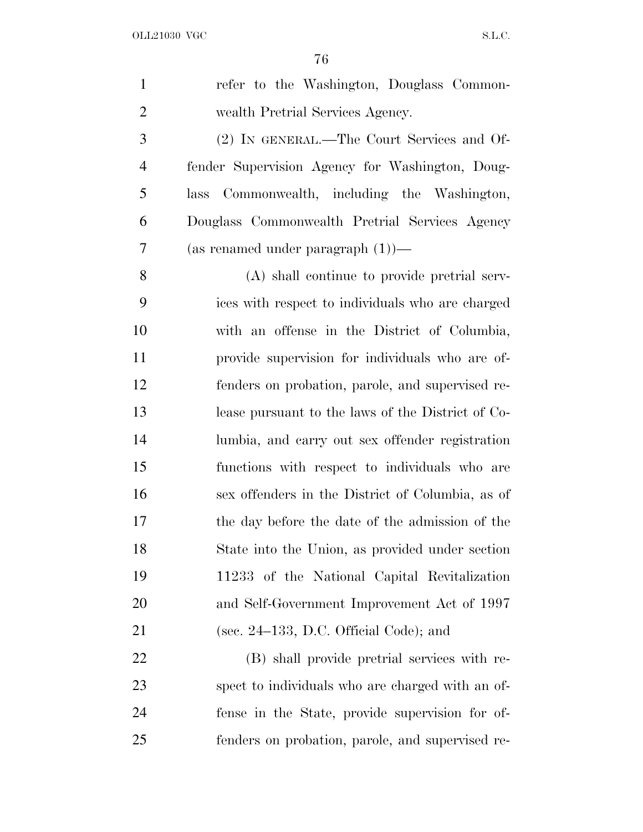| $\mathbf{1}$   | refer to the Washington, Douglass Common-         |
|----------------|---------------------------------------------------|
| $\overline{2}$ | wealth Pretrial Services Agency.                  |
| 3              | (2) IN GENERAL.—The Court Services and Of-        |
| 4              | fender Supervision Agency for Washington, Doug-   |
| 5              | Commonwealth, including the Washington,<br>lass   |
| 6              | Douglass Commonwealth Pretrial Services Agency    |
| 7              | (as renamed under paragraph $(1)$ )—              |
| 8              | (A) shall continue to provide pretrial serv-      |
| 9              | ices with respect to individuals who are charged  |
| 10             | with an offense in the District of Columbia,      |
| 11             | provide supervision for individuals who are of-   |
| 12             | fenders on probation, parole, and supervised re-  |
| 13             | lease pursuant to the laws of the District of Co- |
| 14             | lumbia, and carry out sex offender registration   |
| 15             | functions with respect to individuals who are     |
| 16             | sex offenders in the District of Columbia, as of  |
| 17             | the day before the date of the admission of the   |
| 18             | State into the Union, as provided under section   |
| 19             | 11233 of the National Capital Revitalization      |
| 20             | and Self-Government Improvement Act of 1997       |
| 21             | (sec. $24-133$ , D.C. Official Code); and         |
| 22             | (B) shall provide pretrial services with re-      |
| 23             | spect to individuals who are charged with an of-  |
| 24             | fense in the State, provide supervision for of-   |
| 25             | fenders on probation, parole, and supervised re-  |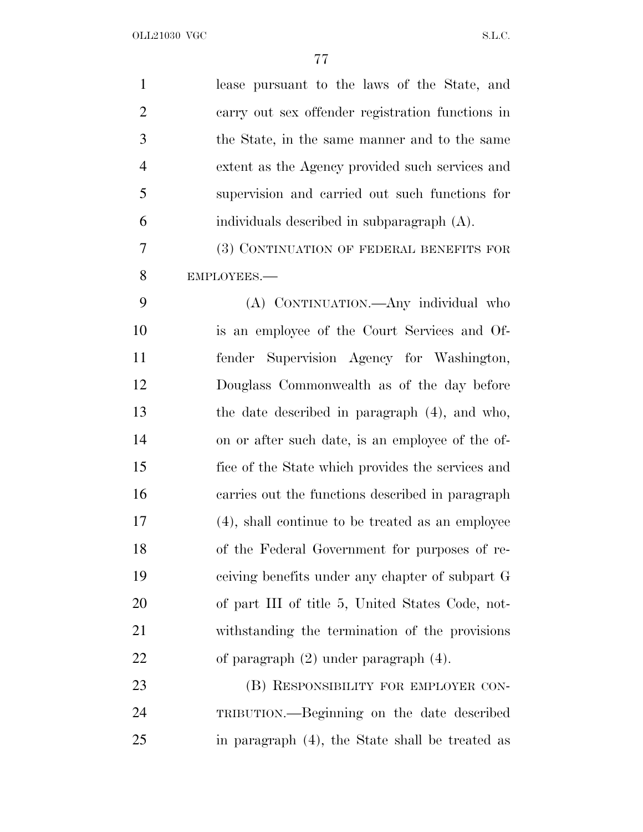| $\mathbf{1}$   | lease pursuant to the laws of the State, and      |
|----------------|---------------------------------------------------|
| $\overline{2}$ | carry out sex offender registration functions in  |
| 3              | the State, in the same manner and to the same     |
| $\overline{4}$ | extent as the Agency provided such services and   |
| 5              | supervision and carried out such functions for    |
| 6              | individuals described in subparagraph (A).        |
| 7              | (3) CONTINUATION OF FEDERAL BENEFITS FOR          |
| 8              | EMPLOYEES.-                                       |
| 9              | (A) CONTINUATION.—Any individual who              |
| 10             | is an employee of the Court Services and Of-      |
| 11             | Supervision Agency for Washington,<br>fender      |
| 12             | Douglass Commonwealth as of the day before        |
| 13             | the date described in paragraph (4), and who,     |
| 14             | on or after such date, is an employee of the of-  |
| 15             | fice of the State which provides the services and |
| 16             | carries out the functions described in paragraph  |
| 17             | (4), shall continue to be treated as an employee  |
| 18             | of the Federal Government for purposes of re-     |
| 19             | ceiving benefits under any chapter of subpart G   |
| 20             | of part III of title 5, United States Code, not-  |
| 21             | withstanding the termination of the provisions    |
| 22             | of paragraph $(2)$ under paragraph $(4)$ .        |
| 23             | (B) RESPONSIBILITY FOR EMPLOYER CON-              |
| 24             | TRIBUTION.—Beginning on the date described        |
| 25             | in paragraph (4), the State shall be treated as   |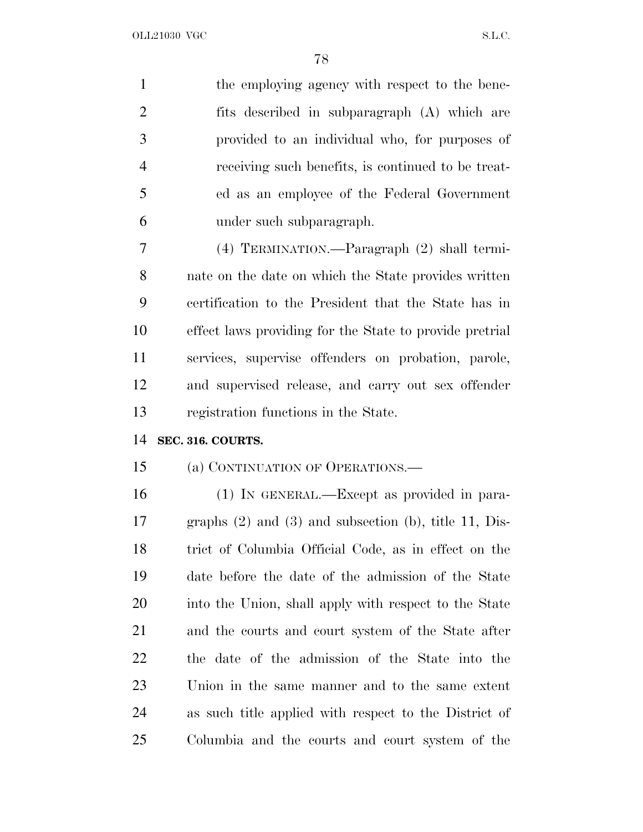| $\mathbf{1}$   | the employing agency with respect to the bene-               |
|----------------|--------------------------------------------------------------|
| $\overline{2}$ | fits described in subparagraph (A) which are                 |
| 3              | provided to an individual who, for purposes of               |
| $\overline{4}$ | receiving such benefits, is continued to be treat-           |
| 5              | ed as an employee of the Federal Government                  |
| 6              | under such subparagraph.                                     |
| 7              | (4) TERMINATION.—Paragraph (2) shall termi-                  |
| 8              | nate on the date on which the State provides written         |
| 9              | certification to the President that the State has in         |
| 10             | effect laws providing for the State to provide pretrial      |
| 11             | services, supervise offenders on probation, parole,          |
| 12             | and supervised release, and carry out sex offender           |
| 13             | registration functions in the State.                         |
| 14             | SEC. 316. COURTS.                                            |
| 15             | (a) CONTINUATION OF OPERATIONS.—                             |
| 16             | (1) IN GENERAL.—Except as provided in para-                  |
| 17             | graphs $(2)$ and $(3)$ and subsection $(b)$ , title 11, Dis- |
| 18             | trict of Columbia Official Code, as in effect on the         |
| 19             | date before the date of the admission of the State           |
| 20             | into the Union, shall apply with respect to the State        |
| 21             | and the courts and court system of the State after           |
| 22             | the date of the admission of the State into the              |
| 23             | Union in the same manner and to the same extent              |
| 24             | as such title applied with respect to the District of        |
| 25             | Columbia and the courts and court system of the              |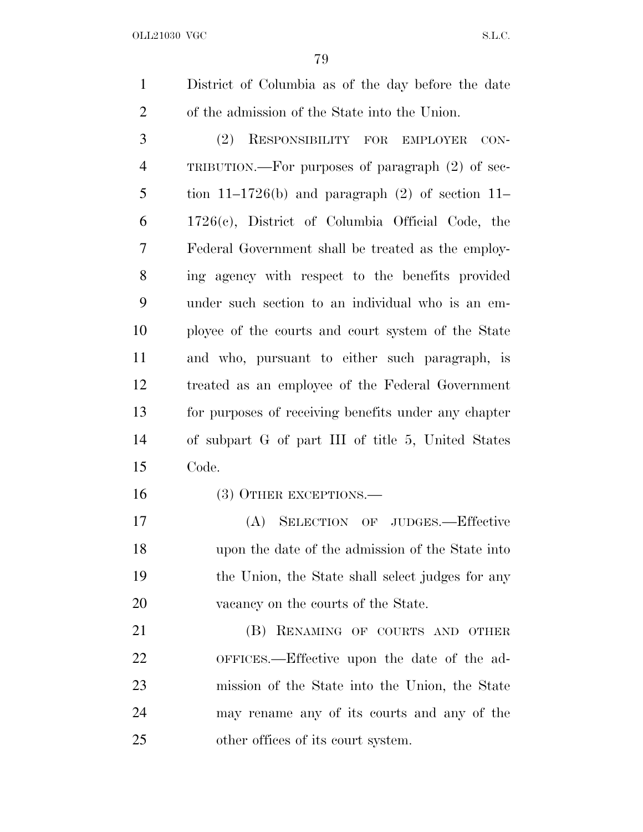OLL21030 VGC S.L.C.

 District of Columbia as of the day before the date of the admission of the State into the Union.

 (2) RESPONSIBILITY FOR EMPLOYER CON- TRIBUTION.—For purposes of paragraph (2) of sec-5 tion  $11-1726(b)$  and paragraph  $(2)$  of section  $11-$  1726(c), District of Columbia Official Code, the Federal Government shall be treated as the employ- ing agency with respect to the benefits provided under such section to an individual who is an em- ployee of the courts and court system of the State and who, pursuant to either such paragraph, is treated as an employee of the Federal Government for purposes of receiving benefits under any chapter of subpart G of part III of title 5, United States Code.

(3) OTHER EXCEPTIONS.—

 (A) SELECTION OF JUDGES.—Effective upon the date of the admission of the State into the Union, the State shall select judges for any 20 vacancy on the courts of the State.

**(B) RENAMING OF COURTS AND OTHER**  OFFICES.—Effective upon the date of the ad- mission of the State into the Union, the State may rename any of its courts and any of the other offices of its court system.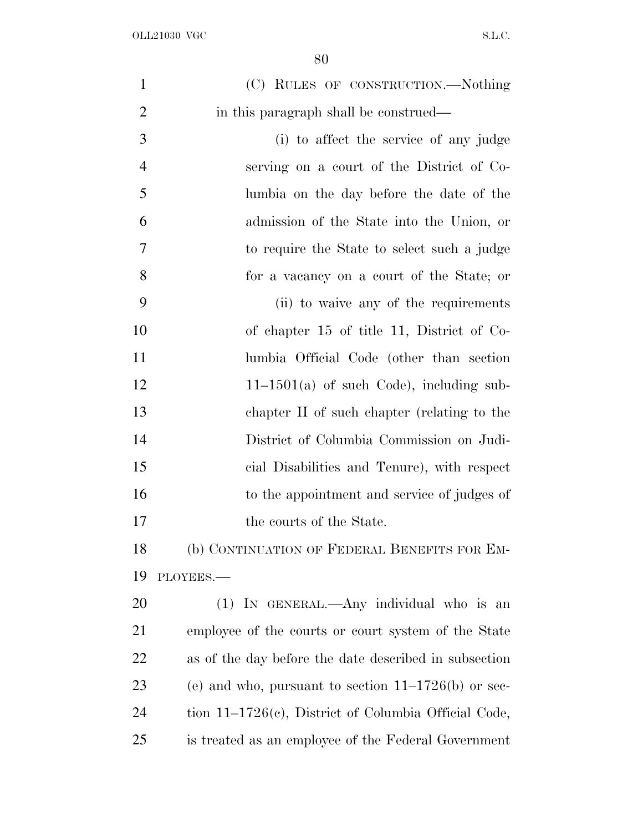| $\mathbf{1}$   | (C) RULES OF CONSTRUCTION.—Nothing                      |
|----------------|---------------------------------------------------------|
| $\overline{2}$ | in this paragraph shall be construed—                   |
| 3              | (i) to affect the service of any judge                  |
| $\overline{4}$ | serving on a court of the District of Co-               |
| 5              | lumbia on the day before the date of the                |
| 6              | admission of the State into the Union, or               |
| 7              | to require the State to select such a judge             |
| 8              | for a vacancy on a court of the State; or               |
| 9              | (ii) to waive any of the requirements                   |
| 10             | of chapter 15 of title 11, District of Co-              |
| 11             | lumbia Official Code (other than section                |
| 12             | $11-1501(a)$ of such Code), including sub-              |
| 13             | chapter II of such chapter (relating to the             |
| 14             | District of Columbia Commission on Judi-                |
| 15             | cial Disabilities and Tenure), with respect             |
| 16             | to the appointment and service of judges of             |
| 17             | the courts of the State.                                |
| 18             | (b) CONTINUATION OF FEDERAL BENEFITS FOR EM-            |
| 19             | PLOYEES.                                                |
| 20             | (1) IN GENERAL.—Any individual who is an                |
| 21             | employee of the courts or court system of the State     |
| 22             | as of the day before the date described in subsection   |
| 23             | (e) and who, pursuant to section $11-1726(b)$ or sec-   |
| 24             | tion $11-1726(c)$ , District of Columbia Official Code, |
| 25             | is treated as an employee of the Federal Government     |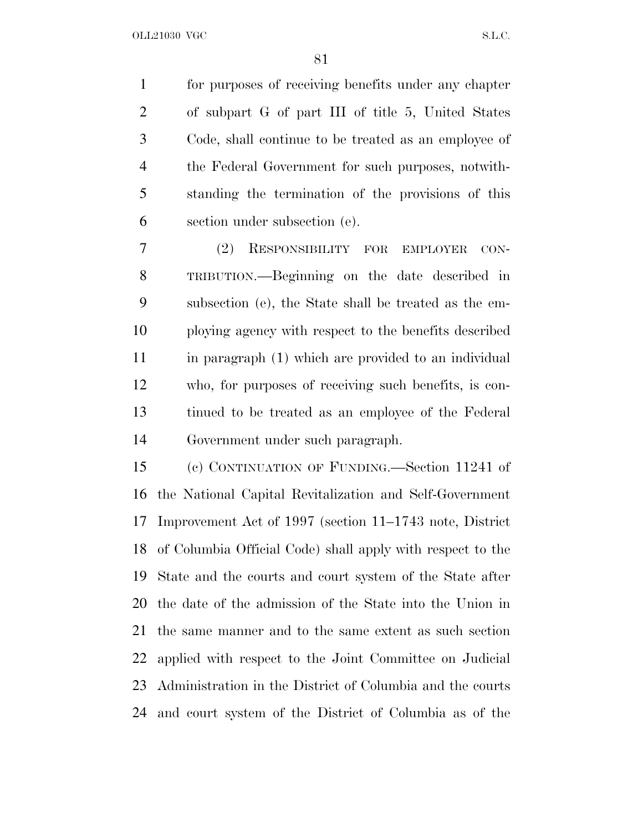for purposes of receiving benefits under any chapter of subpart G of part III of title 5, United States Code, shall continue to be treated as an employee of the Federal Government for such purposes, notwith- standing the termination of the provisions of this section under subsection (e).

 (2) RESPONSIBILITY FOR EMPLOYER CON- TRIBUTION.—Beginning on the date described in subsection (e), the State shall be treated as the em- ploying agency with respect to the benefits described in paragraph (1) which are provided to an individual who, for purposes of receiving such benefits, is con- tinued to be treated as an employee of the Federal Government under such paragraph.

 (c) CONTINUATION OF FUNDING.—Section 11241 of the National Capital Revitalization and Self-Government Improvement Act of 1997 (section 11–1743 note, District of Columbia Official Code) shall apply with respect to the State and the courts and court system of the State after the date of the admission of the State into the Union in the same manner and to the same extent as such section applied with respect to the Joint Committee on Judicial Administration in the District of Columbia and the courts and court system of the District of Columbia as of the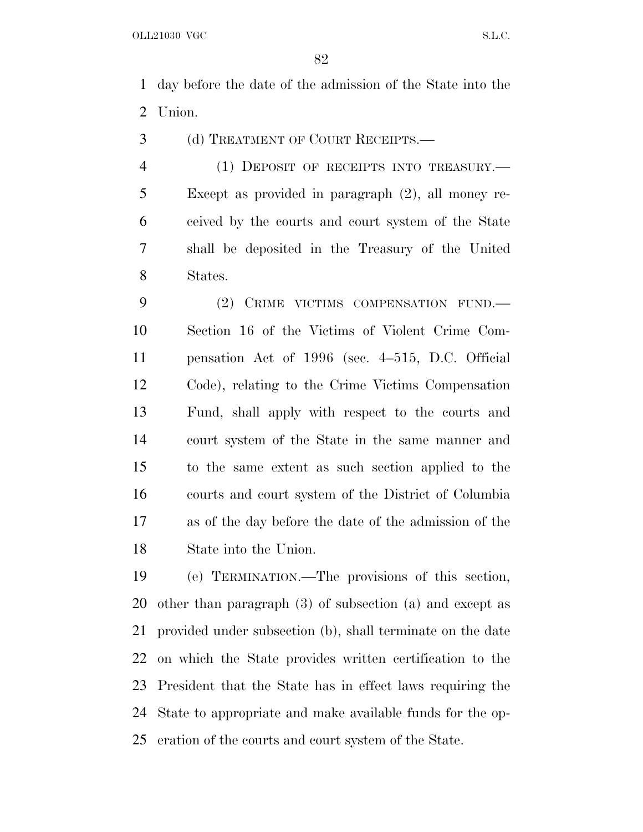day before the date of the admission of the State into the Union.

(d) TREATMENT OF COURT RECEIPTS.—

 (1) DEPOSIT OF RECEIPTS INTO TREASURY.— Except as provided in paragraph (2), all money re- ceived by the courts and court system of the State shall be deposited in the Treasury of the United States.

 (2) CRIME VICTIMS COMPENSATION FUND.— Section 16 of the Victims of Violent Crime Com- pensation Act of 1996 (sec. 4–515, D.C. Official Code), relating to the Crime Victims Compensation Fund, shall apply with respect to the courts and court system of the State in the same manner and to the same extent as such section applied to the courts and court system of the District of Columbia as of the day before the date of the admission of the State into the Union.

 (e) TERMINATION.—The provisions of this section, other than paragraph (3) of subsection (a) and except as provided under subsection (b), shall terminate on the date on which the State provides written certification to the President that the State has in effect laws requiring the State to appropriate and make available funds for the op-eration of the courts and court system of the State.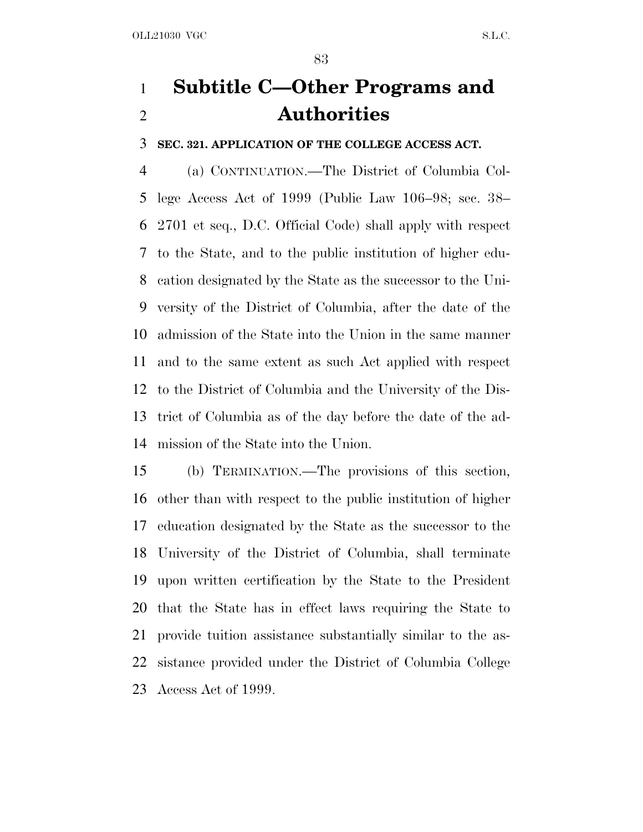# **Subtitle C—Other Programs and Authorities**

**SEC. 321. APPLICATION OF THE COLLEGE ACCESS ACT.**

 (a) CONTINUATION.—The District of Columbia Col- lege Access Act of 1999 (Public Law 106–98; sec. 38– 2701 et seq., D.C. Official Code) shall apply with respect to the State, and to the public institution of higher edu- cation designated by the State as the successor to the Uni- versity of the District of Columbia, after the date of the admission of the State into the Union in the same manner and to the same extent as such Act applied with respect to the District of Columbia and the University of the Dis- trict of Columbia as of the day before the date of the ad-mission of the State into the Union.

 (b) TERMINATION.—The provisions of this section, other than with respect to the public institution of higher education designated by the State as the successor to the University of the District of Columbia, shall terminate upon written certification by the State to the President that the State has in effect laws requiring the State to provide tuition assistance substantially similar to the as- sistance provided under the District of Columbia College Access Act of 1999.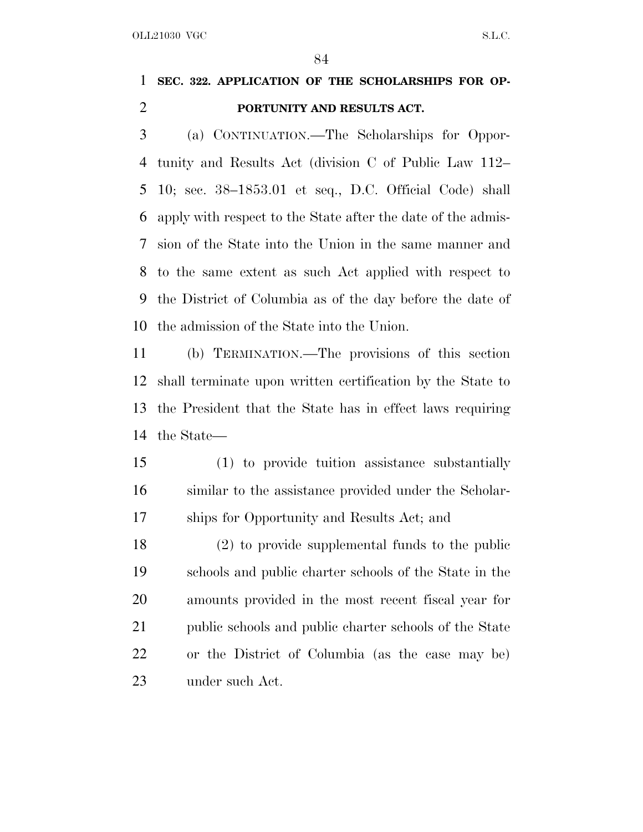OLL21030 VGC S.L.C.

# **SEC. 322. APPLICATION OF THE SCHOLARSHIPS FOR OP-PORTUNITY AND RESULTS ACT.**

 (a) CONTINUATION.—The Scholarships for Oppor- tunity and Results Act (division C of Public Law 112– 10; sec. 38–1853.01 et seq., D.C. Official Code) shall apply with respect to the State after the date of the admis- sion of the State into the Union in the same manner and to the same extent as such Act applied with respect to the District of Columbia as of the day before the date of the admission of the State into the Union.

 (b) TERMINATION.—The provisions of this section shall terminate upon written certification by the State to the President that the State has in effect laws requiring the State—

 (1) to provide tuition assistance substantially similar to the assistance provided under the Scholar-ships for Opportunity and Results Act; and

 (2) to provide supplemental funds to the public schools and public charter schools of the State in the amounts provided in the most recent fiscal year for public schools and public charter schools of the State or the District of Columbia (as the case may be) under such Act.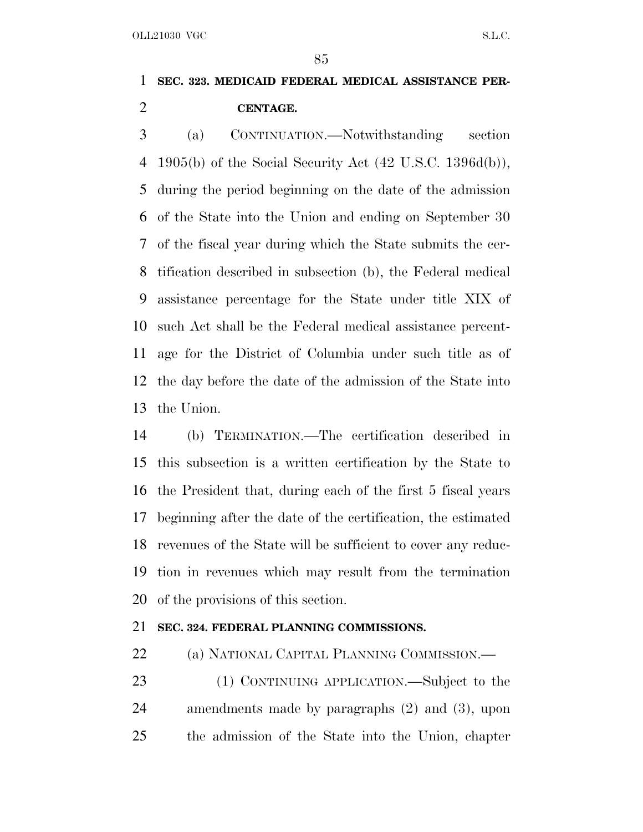## **SEC. 323. MEDICAID FEDERAL MEDICAL ASSISTANCE PER-CENTAGE.**

 (a) CONTINUATION.—Notwithstanding section 1905(b) of the Social Security Act (42 U.S.C. 1396d(b)), during the period beginning on the date of the admission of the State into the Union and ending on September 30 of the fiscal year during which the State submits the cer- tification described in subsection (b), the Federal medical assistance percentage for the State under title XIX of such Act shall be the Federal medical assistance percent- age for the District of Columbia under such title as of the day before the date of the admission of the State into the Union.

 (b) TERMINATION.—The certification described in this subsection is a written certification by the State to the President that, during each of the first 5 fiscal years beginning after the date of the certification, the estimated revenues of the State will be sufficient to cover any reduc- tion in revenues which may result from the termination of the provisions of this section.

### **SEC. 324. FEDERAL PLANNING COMMISSIONS.**

(a) NATIONAL CAPITAL PLANNING COMMISSION.—

 (1) CONTINUING APPLICATION.—Subject to the amendments made by paragraphs (2) and (3), upon the admission of the State into the Union, chapter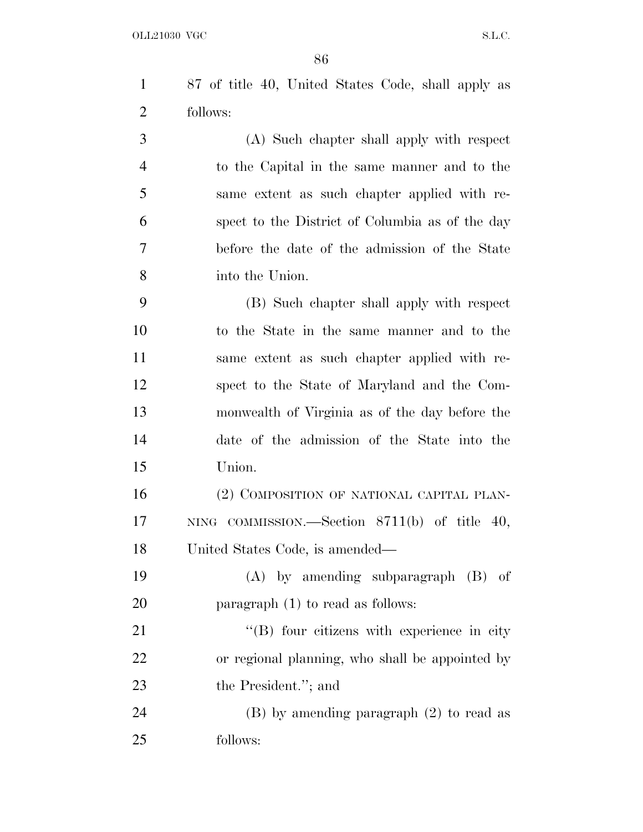87 of title 40, United States Code, shall apply as follows:

 (A) Such chapter shall apply with respect to the Capital in the same manner and to the same extent as such chapter applied with re- spect to the District of Columbia as of the day before the date of the admission of the State into the Union.

 (B) Such chapter shall apply with respect to the State in the same manner and to the same extent as such chapter applied with re- spect to the State of Maryland and the Com- monwealth of Virginia as of the day before the date of the admission of the State into the Union.

 (2) COMPOSITION OF NATIONAL CAPITAL PLAN- NING COMMISSION.—Section 8711(b) of title 40, United States Code, is amended—

 (A) by amending subparagraph (B) of **paragraph** (1) to read as follows:

21 ''(B) four citizens with experience in city or regional planning, who shall be appointed by 23 the President."; and

 (B) by amending paragraph (2) to read as follows: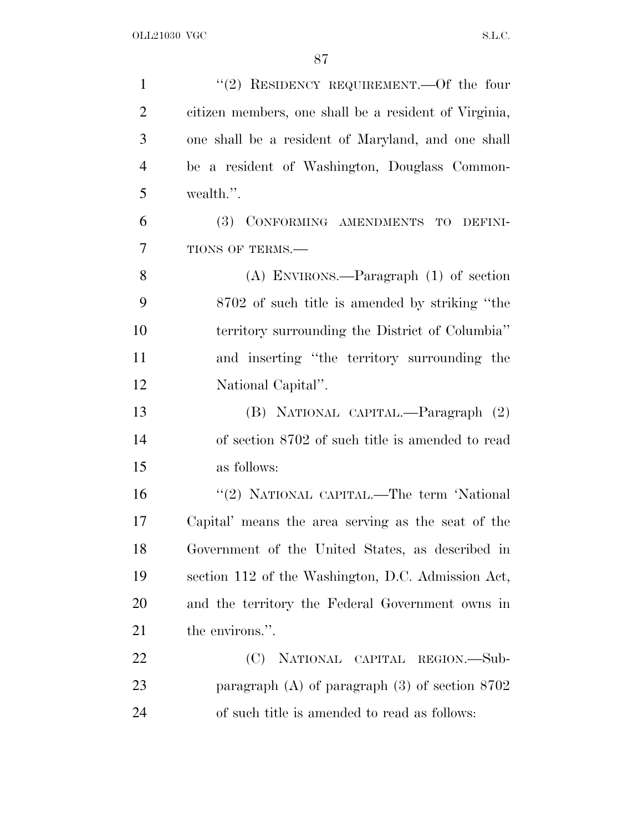| $\mathbf{1}$   | "(2) RESIDENCY REQUIREMENT.—Of the four               |
|----------------|-------------------------------------------------------|
| $\overline{2}$ | citizen members, one shall be a resident of Virginia, |
| 3              | one shall be a resident of Maryland, and one shall    |
| $\overline{4}$ | be a resident of Washington, Douglass Common-         |
| 5              | wealth.".                                             |
| 6              | (3) CONFORMING AMENDMENTS TO DEFINI-                  |
| 7              | TIONS OF TERMS.-                                      |
| 8              | $(A)$ ENVIRONS.—Paragraph $(1)$ of section            |
| 9              | 8702 of such title is amended by striking "the        |
| 10             | territory surrounding the District of Columbia"       |
| 11             | and inserting "the territory surrounding the          |
| 12             | National Capital".                                    |
| 13             | (B) NATIONAL CAPITAL.—Paragraph (2)                   |
| 14             | of section 8702 of such title is amended to read      |
| 15             | as follows:                                           |
| 16             | "(2) NATIONAL CAPITAL.—The term 'National             |
| 17             | Capital' means the area serving as the seat of the    |
| 18             | Government of the United States, as described in      |
| 19             | section 112 of the Washington, D.C. Admission Act,    |
| 20             | and the territory the Federal Government owns in      |
| 21             | the environs.".                                       |
| 22             | (C)<br>NATIONAL CAPITAL REGION.-Sub-                  |
| 23             | paragraph $(A)$ of paragraph $(3)$ of section $8702$  |
| 24             | of such title is amended to read as follows:          |
|                |                                                       |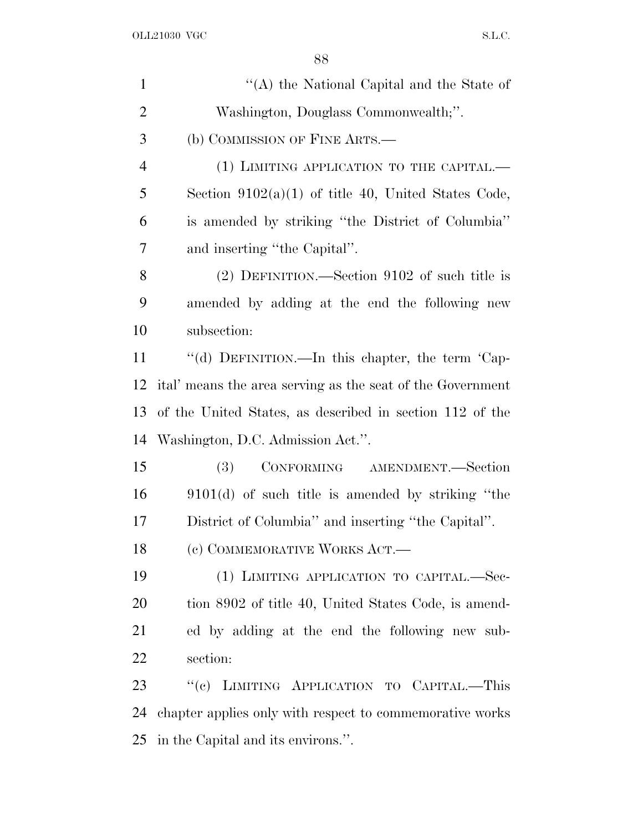| $\mathbf{1}$   | "(A) the National Capital and the State of                 |
|----------------|------------------------------------------------------------|
| $\overline{2}$ | Washington, Douglass Commonwealth;".                       |
| 3              | (b) COMMISSION OF FINE ARTS.—                              |
| $\overline{4}$ | (1) LIMITING APPLICATION TO THE CAPITAL.—                  |
| 5              | Section $9102(a)(1)$ of title 40, United States Code,      |
| 6              | is amended by striking "the District of Columbia"          |
| 7              | and inserting "the Capital".                               |
| 8              | $(2)$ DEFINITION.—Section 9102 of such title is            |
| 9              | amended by adding at the end the following new             |
| 10             | subsection:                                                |
| 11             | "(d) DEFINITION.—In this chapter, the term 'Cap-           |
| 12             | ital' means the area serving as the seat of the Government |
| 13             | of the United States, as described in section 112 of the   |
| 14             | Washington, D.C. Admission Act.".                          |
| 15             | CONFORMING AMENDMENT.-Section<br>(3)                       |
| 16             | $9101(d)$ of such title is amended by striking "the        |
| 17             | District of Columbia" and inserting "the Capital".         |
| 18             | (c) COMMEMORATIVE WORKS ACT.—                              |
| 19             | (1) LIMITING APPLICATION TO CAPITAL.-Sec-                  |
| 20             | tion 8902 of title 40, United States Code, is amend-       |
| 21             | ed by adding at the end the following new sub-             |
| 22             | section:                                                   |
| 23             | "(c) LIMITING APPLICATION TO CAPITAL.—This                 |
| 24             | chapter applies only with respect to commemorative works   |
| 25             | in the Capital and its environs.".                         |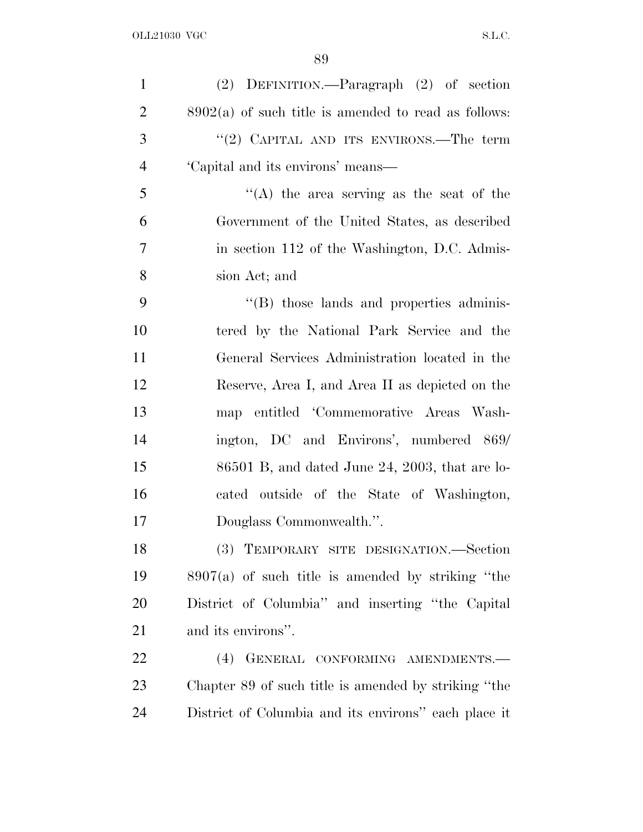| $\mathbf{1}$   | (2) DEFINITION.—Paragraph (2) of section               |
|----------------|--------------------------------------------------------|
| $\overline{2}$ | $8902(a)$ of such title is amended to read as follows: |
| 3              | "(2) CAPITAL AND ITS ENVIRONS.—The term                |
| $\overline{4}$ | 'Capital and its environs' means—                      |
| 5              | "(A) the area serving as the seat of the               |
| 6              | Government of the United States, as described          |
| 7              | in section 112 of the Washington, D.C. Admis-          |
| 8              | sion Act; and                                          |
| 9              | $\cdot$ (B) those lands and properties adminis-        |
| 10             | tered by the National Park Service and the             |
| 11             | General Services Administration located in the         |
| 12             | Reserve, Area I, and Area II as depicted on the        |
| 13             | map entitled 'Commemorative Areas Wash-                |
| 14             | ington, DC and Environs', numbered 869/                |
| 15             | $86501$ B, and dated June 24, 2003, that are lo-       |
| 16             | cated outside of the State of Washington,              |
| 17             | Douglass Commonwealth.".                               |
| 18             | TEMPORARY SITE DESIGNATION.—Section<br>(3)             |
| 19             | $8907(a)$ of such title is amended by striking "the    |
| 20             | District of Columbia" and inserting "the Capital       |
| 21             | and its environs".                                     |
| 22             | GENERAL CONFORMING AMENDMENTS.-<br>(4)                 |
| 23             | Chapter 89 of such title is amended by striking "the   |
| 24             | District of Columbia and its environs" each place it   |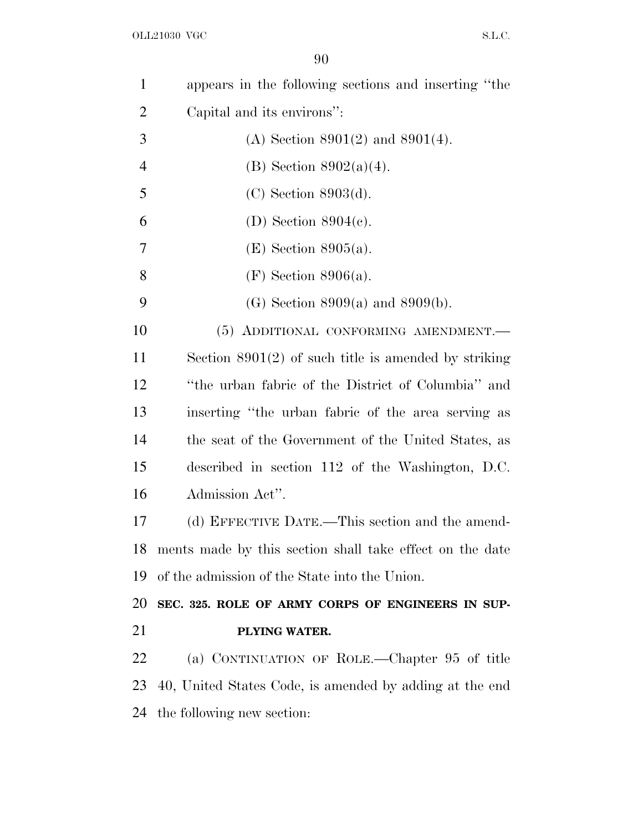| $\mathbf{1}$   | appears in the following sections and inserting "the     |
|----------------|----------------------------------------------------------|
| $\overline{2}$ | Capital and its environs":                               |
| 3              | (A) Section $8901(2)$ and $8901(4)$ .                    |
| 4              | (B) Section $8902(a)(4)$ .                               |
| 5              | $(C)$ Section 8903 $(d)$ .                               |
| 6              | (D) Section $8904(e)$ .                                  |
| 7              | $(E)$ Section 8905(a).                                   |
| 8              | $(F)$ Section 8906(a).                                   |
| 9              | (G) Section $8909(a)$ and $8909(b)$ .                    |
| 10             | (5) ADDITIONAL CONFORMING AMENDMENT.-                    |
| 11             | Section $8901(2)$ of such title is amended by striking   |
| 12             | "the urban fabric of the District of Columbia" and       |
| 13             | inserting "the urban fabric of the area serving as       |
| 14             | the seat of the Government of the United States, as      |
| 15             | described in section 112 of the Washington, D.C.         |
| 16             | Admission Act".                                          |
| 17             | (d) EFFECTIVE DATE.—This section and the amend-          |
| 18             | ments made by this section shall take effect on the date |
| 19             | of the admission of the State into the Union.            |
| 20             | SEC. 325. ROLE OF ARMY CORPS OF ENGINEERS IN SUP-        |
| 21             | PLYING WATER.                                            |
| 22             | (a) CONTINUATION OF ROLE.—Chapter 95 of title            |
| 23             | 40, United States Code, is amended by adding at the end  |
| 24             | the following new section:                               |
|                |                                                          |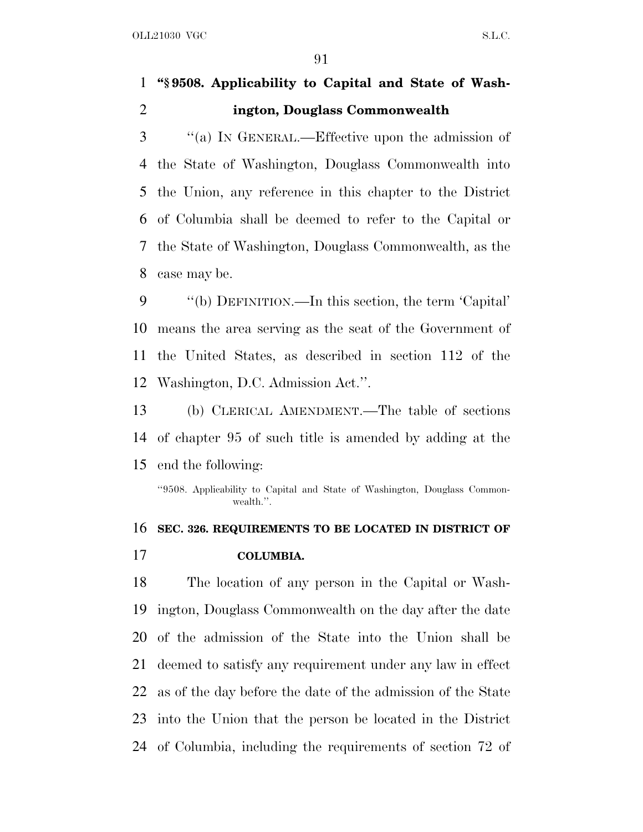### **''§ 9508. Applicability to Capital and State of Wash-ington, Douglass Commonwealth**

 ''(a) I<sup>N</sup> GENERAL.—Effective upon the admission of the State of Washington, Douglass Commonwealth into the Union, any reference in this chapter to the District of Columbia shall be deemed to refer to the Capital or the State of Washington, Douglass Commonwealth, as the case may be.

 ''(b) DEFINITION.—In this section, the term 'Capital' means the area serving as the seat of the Government of the United States, as described in section 112 of the Washington, D.C. Admission Act.''.

 (b) CLERICAL AMENDMENT.—The table of sections of chapter 95 of such title is amended by adding at the end the following:

''9508. Applicability to Capital and State of Washington, Douglass Commonwealth.''.

# **SEC. 326. REQUIREMENTS TO BE LOCATED IN DISTRICT OF COLUMBIA.**

 The location of any person in the Capital or Wash- ington, Douglass Commonwealth on the day after the date of the admission of the State into the Union shall be deemed to satisfy any requirement under any law in effect as of the day before the date of the admission of the State into the Union that the person be located in the District of Columbia, including the requirements of section 72 of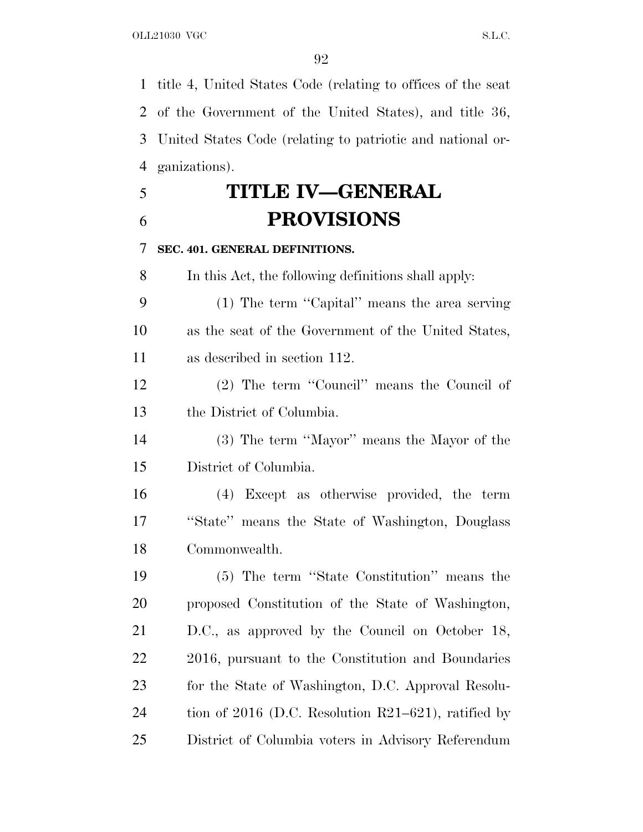title 4, United States Code (relating to offices of the seat of the Government of the United States), and title 36, United States Code (relating to patriotic and national or-ganizations).

 **TITLE IV—GENERAL PROVISIONS**

### **SEC. 401. GENERAL DEFINITIONS.**

In this Act, the following definitions shall apply:

 (1) The term ''Capital'' means the area serving as the seat of the Government of the United States, as described in section 112.

 (2) The term ''Council'' means the Council of the District of Columbia.

 (3) The term ''Mayor'' means the Mayor of the District of Columbia.

 (4) Except as otherwise provided, the term ''State'' means the State of Washington, Douglass Commonwealth.

 (5) The term ''State Constitution'' means the proposed Constitution of the State of Washington, D.C., as approved by the Council on October 18, 2016, pursuant to the Constitution and Boundaries for the State of Washington, D.C. Approval Resolu- tion of 2016 (D.C. Resolution R21–621), ratified by District of Columbia voters in Advisory Referendum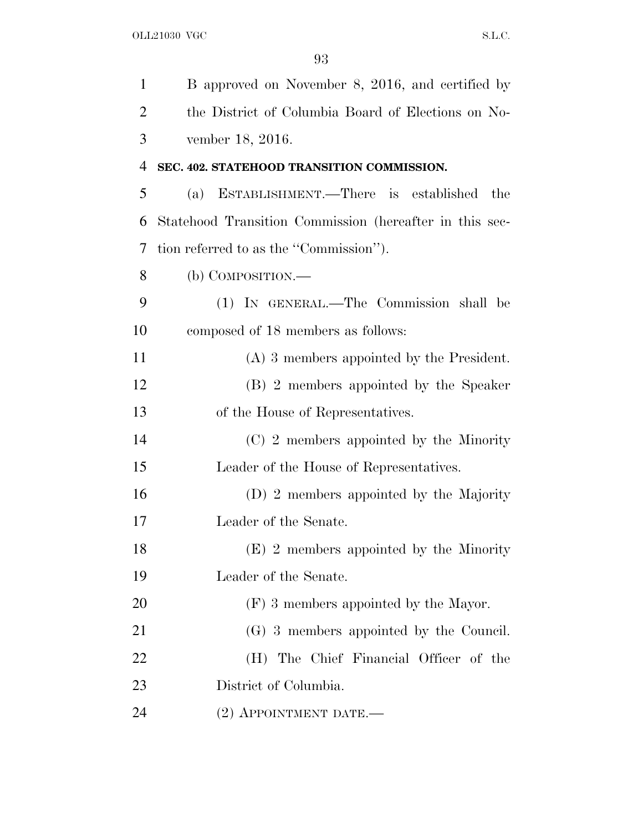| $\mathbf{1}$   | B approved on November 8, 2016, and certified by        |
|----------------|---------------------------------------------------------|
| $\overline{2}$ | the District of Columbia Board of Elections on No-      |
| 3              | vember 18, 2016.                                        |
| 4              | SEC. 402. STATEHOOD TRANSITION COMMISSION.              |
| 5              | (a) ESTABLISHMENT.—There is established<br>the          |
| 6              | Statehood Transition Commission (hereafter in this sec- |
| 7              | tion referred to as the "Commission".                   |
| 8              | (b) COMPOSITION.—                                       |
| 9              | (1) IN GENERAL.—The Commission shall be                 |
| 10             | composed of 18 members as follows:                      |
| 11             | $(A)$ 3 members appointed by the President.             |
| 12             | (B) 2 members appointed by the Speaker                  |
| 13             | of the House of Representatives.                        |
| 14             | (C) 2 members appointed by the Minority                 |
| 15             | Leader of the House of Representatives.                 |
| 16             | (D) 2 members appointed by the Majority                 |
| 17             | Leader of the Senate.                                   |
| 18             | $(E)$ 2 members appointed by the Minority               |
| 19             | Leader of the Senate.                                   |
| 20             | $(F)$ 3 members appointed by the Mayor.                 |
| 21             | (G) 3 members appointed by the Council.                 |
| 22             | (H) The Chief Financial Officer of the                  |
| 23             | District of Columbia.                                   |
| 24             | $(2)$ APPOINTMENT DATE.—                                |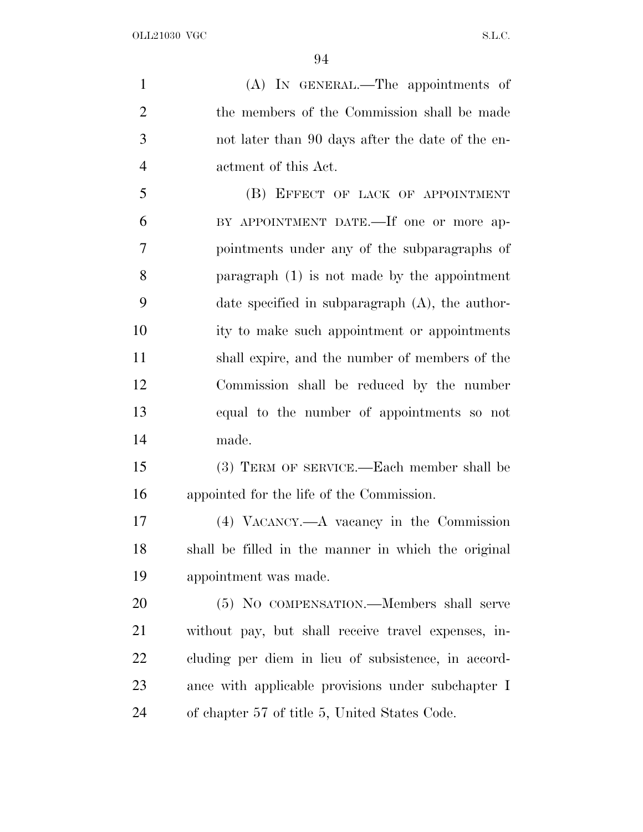(A) IN GENERAL.—The appointments of the members of the Commission shall be made not later than 90 days after the date of the en- actment of this Act. 5 (B) EFFECT OF LACK OF APPOINTMENT BY APPOINTMENT DATE.—If one or more ap- pointments under any of the subparagraphs of paragraph (1) is not made by the appointment date specified in subparagraph (A), the author- ity to make such appointment or appointments shall expire, and the number of members of the Commission shall be reduced by the number equal to the number of appointments so not made. (3) TERM OF SERVICE.—Each member shall be appointed for the life of the Commission. (4) VACANCY.—A vacancy in the Commission shall be filled in the manner in which the original appointment was made. (5) NO COMPENSATION.—Members shall serve without pay, but shall receive travel expenses, in- cluding per diem in lieu of subsistence, in accord-ance with applicable provisions under subchapter I

of chapter 57 of title 5, United States Code.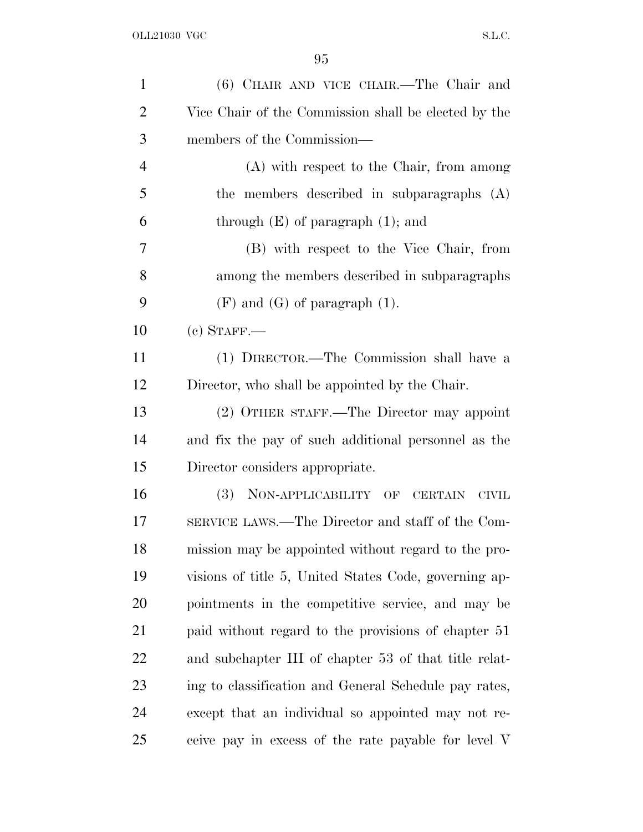| $\mathbf{1}$   | (6) CHAIR AND VICE CHAIR.—The Chair and               |
|----------------|-------------------------------------------------------|
| $\overline{2}$ | Vice Chair of the Commission shall be elected by the  |
| 3              | members of the Commission—                            |
| $\overline{4}$ | (A) with respect to the Chair, from among             |
| 5              | the members described in subparagraphs (A)            |
| 6              | through $(E)$ of paragraph $(1)$ ; and                |
| 7              | (B) with respect to the Vice Chair, from              |
| 8              | among the members described in subparagraphs          |
| 9              | $(F)$ and $(G)$ of paragraph $(1)$ .                  |
| 10             | $(c)$ STAFF.—                                         |
| 11             | (1) DIRECTOR.—The Commission shall have a             |
| 12             | Director, who shall be appointed by the Chair.        |
| 13             | (2) OTHER STAFF.—The Director may appoint             |
| 14             | and fix the pay of such additional personnel as the   |
| 15             | Director considers appropriate.                       |
| 16             | (3) NON-APPLICABILITY OF CERTAIN<br>CIVIL             |
| 17             | SERVICE LAWS.—The Director and staff of the Com-      |
| 18             | mission may be appointed without regard to the pro-   |
| 19             | visions of title 5, United States Code, governing ap- |
| 20             | pointments in the competitive service, and may be     |
| 21             | paid without regard to the provisions of chapter 51   |
| 22             | and subchapter III of chapter 53 of that title relat- |
| 23             | ing to classification and General Schedule pay rates, |
| 24             | except that an individual so appointed may not re-    |
| 25             | ceive pay in excess of the rate payable for level V   |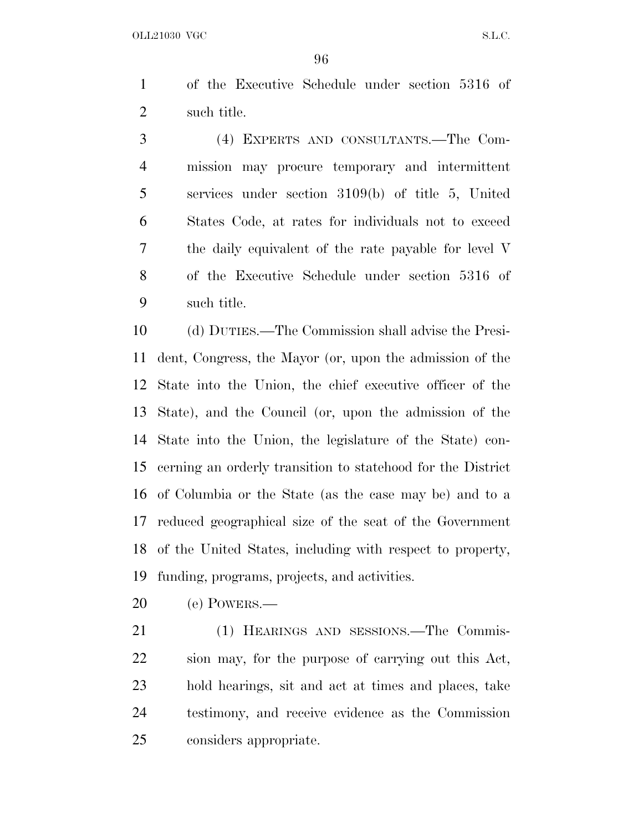OLL21030 VGC S.L.C.

 of the Executive Schedule under section 5316 of such title.

 (4) EXPERTS AND CONSULTANTS.—The Com- mission may procure temporary and intermittent services under section 3109(b) of title 5, United States Code, at rates for individuals not to exceed the daily equivalent of the rate payable for level V of the Executive Schedule under section 5316 of such title.

 (d) DUTIES.—The Commission shall advise the Presi- dent, Congress, the Mayor (or, upon the admission of the State into the Union, the chief executive officer of the State), and the Council (or, upon the admission of the State into the Union, the legislature of the State) con- cerning an orderly transition to statehood for the District of Columbia or the State (as the case may be) and to a reduced geographical size of the seat of the Government of the United States, including with respect to property, funding, programs, projects, and activities.

(e) POWERS.—

 (1) HEARINGS AND SESSIONS.—The Commis- sion may, for the purpose of carrying out this Act, hold hearings, sit and act at times and places, take testimony, and receive evidence as the Commission considers appropriate.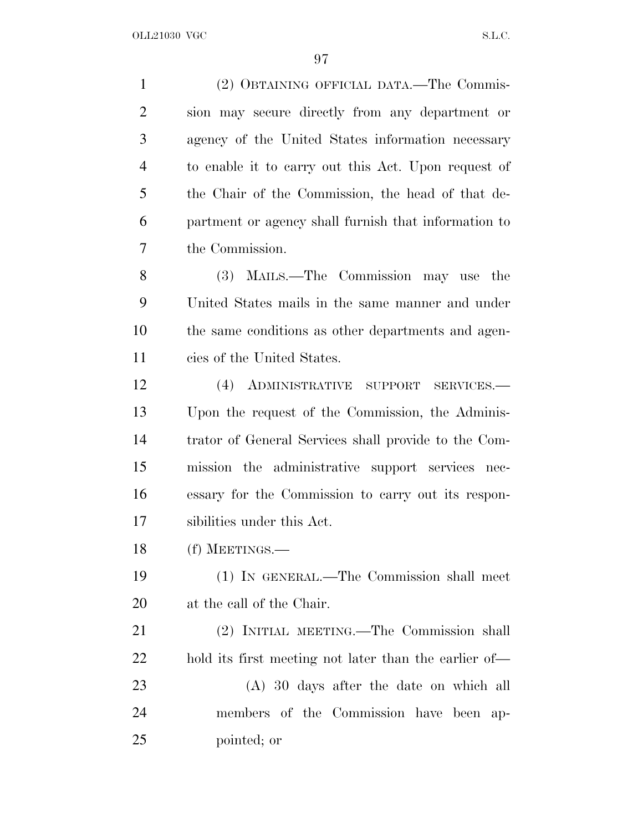(2) OBTAINING OFFICIAL DATA.—The Commis- sion may secure directly from any department or agency of the United States information necessary to enable it to carry out this Act. Upon request of the Chair of the Commission, the head of that de- partment or agency shall furnish that information to the Commission. (3) MAILS.—The Commission may use the United States mails in the same manner and under the same conditions as other departments and agen- cies of the United States. (4) ADMINISTRATIVE SUPPORT SERVICES.— Upon the request of the Commission, the Adminis- trator of General Services shall provide to the Com- mission the administrative support services nec- essary for the Commission to carry out its respon-sibilities under this Act.

(f) MEETINGS.—

 (1) IN GENERAL.—The Commission shall meet at the call of the Chair.

 (2) INITIAL MEETING.—The Commission shall hold its first meeting not later than the earlier of—

 (A) 30 days after the date on which all members of the Commission have been ap-pointed; or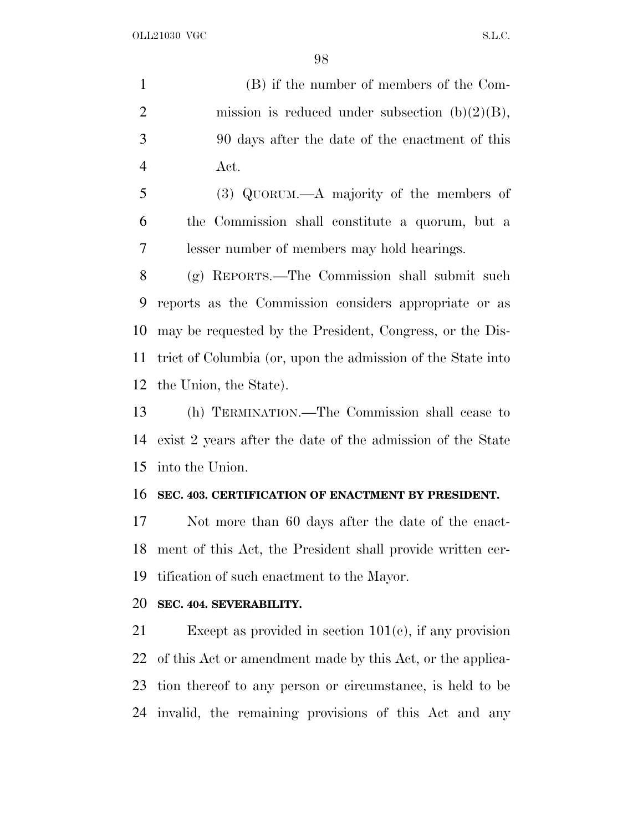OLL21030 VGC S.L.C.

 (B) if the number of members of the Com-2 mission is reduced under subsection  $(b)(2)(B)$ , 90 days after the date of the enactment of this Act.

 (3) QUORUM.—A majority of the members of the Commission shall constitute a quorum, but a lesser number of members may hold hearings.

 (g) REPORTS.—The Commission shall submit such reports as the Commission considers appropriate or as may be requested by the President, Congress, or the Dis- trict of Columbia (or, upon the admission of the State into the Union, the State).

 (h) TERMINATION.—The Commission shall cease to exist 2 years after the date of the admission of the State into the Union.

#### **SEC. 403. CERTIFICATION OF ENACTMENT BY PRESIDENT.**

 Not more than 60 days after the date of the enact- ment of this Act, the President shall provide written cer-tification of such enactment to the Mayor.

### **SEC. 404. SEVERABILITY.**

 Except as provided in section 101(c), if any provision of this Act or amendment made by this Act, or the applica- tion thereof to any person or circumstance, is held to be invalid, the remaining provisions of this Act and any